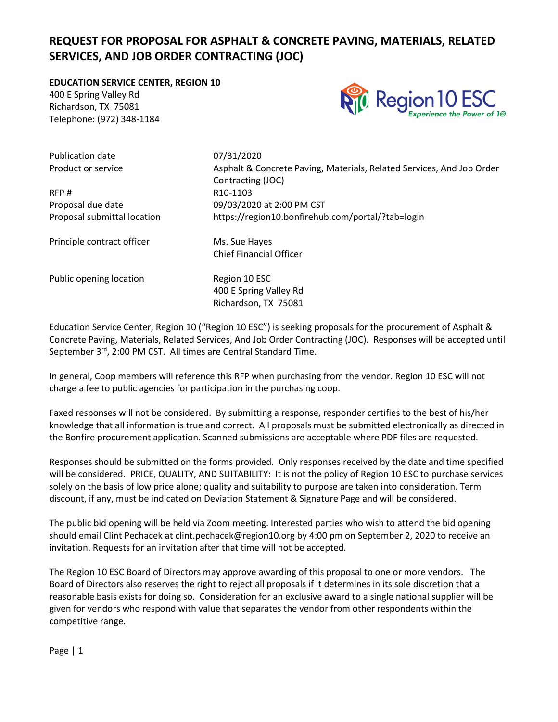# **REQUEST FOR PROPOSAL FOR ASPHALT & CONCRETE PAVING, MATERIALS, RELATED SERVICES, AND JOB ORDER CONTRACTING (JOC)**

**EDUCATION SERVICE CENTER, REGION 10**

400 E Spring Valley Rd Richardson, TX 75081 Telephone: (972) 348-1184



Publication date 07/31/2020

RFP # R10-1103

Product or service **Asphalt & Concrete Paving, Materials, Related Services, And Job Order** Concrete Paving, Materials, Related Services, And Job Order Contracting (JOC) Proposal due date 09/03/2020 at 2:00 PM CST Proposal submittal location https://region10.bonfirehub.com/portal/?tab=login

Principle contract officer Ms. Sue Hayes

Chief Financial Officer

Public opening location Region 10 ESC

400 E Spring Valley Rd Richardson, TX 75081

Education Service Center, Region 10 ("Region 10 ESC") is seeking proposals for the procurement of Asphalt & Concrete Paving, Materials, Related Services, And Job Order Contracting (JOC). Responses will be accepted until September 3<sup>rd</sup>, 2:00 PM CST. All times are Central Standard Time.

In general, Coop members will reference this RFP when purchasing from the vendor. Region 10 ESC will not charge a fee to public agencies for participation in the purchasing coop.

Faxed responses will not be considered. By submitting a response, responder certifies to the best of his/her knowledge that all information is true and correct. All proposals must be submitted electronically as directed in the Bonfire procurement application. Scanned submissions are acceptable where PDF files are requested.

Responses should be submitted on the forms provided. Only responses received by the date and time specified will be considered. PRICE, QUALITY, AND SUITABILITY: It is not the policy of Region 10 ESC to purchase services solely on the basis of low price alone; quality and suitability to purpose are taken into consideration. Term discount, if any, must be indicated on Deviation Statement & Signature Page and will be considered.

The public bid opening will be held via Zoom meeting. Interested parties who wish to attend the bid opening should email Clint Pechacek at clint.pechacek@region10.org by 4:00 pm on September 2, 2020 to receive an invitation. Requests for an invitation after that time will not be accepted.

The Region 10 ESC Board of Directors may approve awarding of this proposal to one or more vendors. The Board of Directors also reserves the right to reject all proposals if it determines in its sole discretion that a reasonable basis exists for doing so. Consideration for an exclusive award to a single national supplier will be given for vendors who respond with value that separates the vendor from other respondents within the competitive range.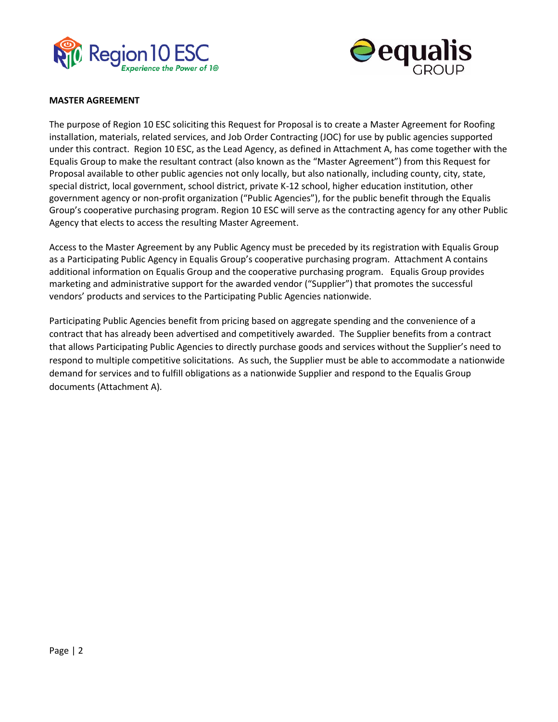



#### **MASTER AGREEMENT**

The purpose of Region 10 ESC soliciting this Request for Proposal is to create a Master Agreement for Roofing installation, materials, related services, and Job Order Contracting (JOC) for use by public agencies supported under this contract. Region 10 ESC, as the Lead Agency, as defined in Attachment A, has come together with the Equalis Group to make the resultant contract (also known as the "Master Agreement") from this Request for Proposal available to other public agencies not only locally, but also nationally, including county, city, state, special district, local government, school district, private K-12 school, higher education institution, other government agency or non-profit organization ("Public Agencies"), for the public benefit through the Equalis Group's cooperative purchasing program. Region 10 ESC will serve as the contracting agency for any other Public Agency that elects to access the resulting Master Agreement.

Access to the Master Agreement by any Public Agency must be preceded by its registration with Equalis Group as a Participating Public Agency in Equalis Group's cooperative purchasing program. Attachment A contains additional information on Equalis Group and the cooperative purchasing program. Equalis Group provides marketing and administrative support for the awarded vendor ("Supplier") that promotes the successful vendors' products and services to the Participating Public Agencies nationwide.

Participating Public Agencies benefit from pricing based on aggregate spending and the convenience of a contract that has already been advertised and competitively awarded. The Supplier benefits from a contract that allows Participating Public Agencies to directly purchase goods and services without the Supplier's need to respond to multiple competitive solicitations. As such, the Supplier must be able to accommodate a nationwide demand for services and to fulfill obligations as a nationwide Supplier and respond to the Equalis Group documents (Attachment A).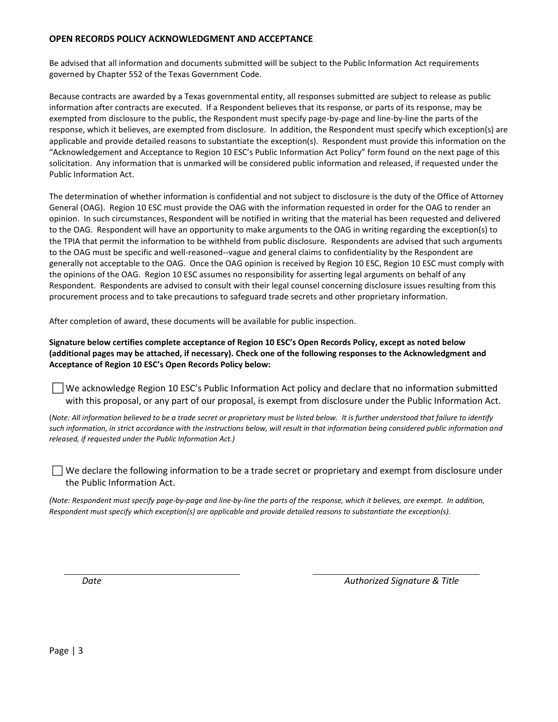#### **OPEN RECORDS POLICY ACKNOWLEDGMENT AND ACCEPTANCE**

Be advised that all information and documents submitted will be subject to the Public Information Act requirements governed by Chapter 552 of the Texas Government Code.

Because contracts are awarded by a Texas governmental entity, all responses submitted are subject to release as public information after contracts are executed. If a Respondent believes that its response, or parts of its response, may be exempted from disclosure to the public, the Respondent must specify page-by-page and line-by-line the parts of the response, which it believes, are exempted from disclosure. In addition, the Respondent must specify which exception(s) are applicable and provide detailed reasons to substantiate the exception(s). Respondent must provide this information on the "Acknowledgement and Acceptance to Region 10 ESC's Public Information Act Policy" form found on the next page of this solicitation. Any information that is unmarked will be considered public information and released, if requested under the Public Information Act.

The determination of whether information is confidential and not subject to disclosure is the duty of the Office of Attorney General (OAG). Region 10 ESC must provide the OAG with the information requested in order for the OAG to render an opinion. In such circumstances, Respondent will be notified in writing that the material has been requested and delivered to the OAG. Respondent will have an opportunity to make arguments to the OAG in writing regarding the exception(s) to the TPIA that permit the information to be withheld from public disclosure. Respondents are advised that such arguments to the OAG must be specific and well-reasoned--vague and general claims to confidentiality by the Respondent are generally not acceptable to the OAG. Once the OAG opinion is received by Region 10 ESC, Region 10 ESC must comply with the opinions of the OAG. Region 10 ESC assumes no responsibility for asserting legal arguments on behalf of any Respondent. Respondents are advised to consult with their legal counsel concerning disclosure issues resulting from this procurement process and to take precautions to safeguard trade secrets and other proprietary information.

After completion of award, these documents will be available for public inspection.

**Signature below certifies complete acceptance of Region 10 ESC's Open Records Policy, except as noted below (additional pages may be attached, if necessary). Check one of the following responses to the Acknowledgment and Acceptance of Region 10 ESC's Open Records Policy below:**

 We acknowledge Region 10 ESC's Public Information Act policy and declare that no information submitted with this proposal, or any part of our proposal, is exempt from disclosure under the Public Information Act.

(*Note: All information believed to be a trade secret or proprietary must be listed below. It is further understood that failure to identify such information, in strict accordance with the instructions below, will result in that information being considered public information and released, if requested under the Public Information Act.)*

 $\Box$  We declare the following information to be a trade secret or proprietary and exempt from disclosure under the Public Information Act.

*(Note: Respondent must specify page-by-page and line-by-line the parts of the response, which it believes, are exempt. In addition, Respondent must specify which exception(s) are applicable and provide detailed reasons to substantiate the exception(s).* 

*Date Authorized Signature & Title*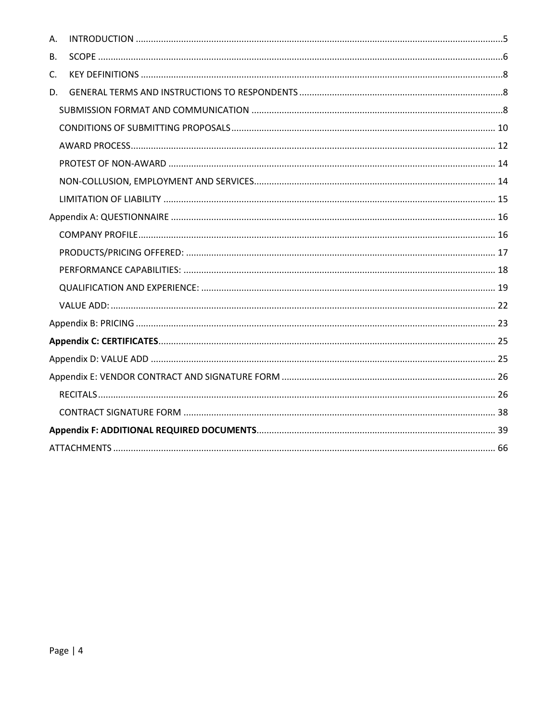| А. |  |
|----|--|
| В. |  |
| C. |  |
| D. |  |
|    |  |
|    |  |
|    |  |
|    |  |
|    |  |
|    |  |
|    |  |
|    |  |
|    |  |
|    |  |
|    |  |
|    |  |
|    |  |
|    |  |
|    |  |
|    |  |
|    |  |
|    |  |
|    |  |
|    |  |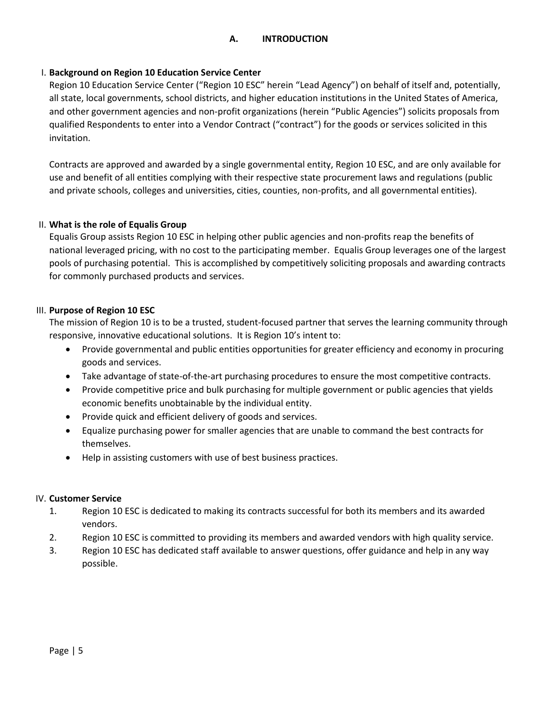# <span id="page-4-0"></span>I. **Background on Region 10 Education Service Center**

Region 10 Education Service Center ("Region 10 ESC" herein "Lead Agency") on behalf of itself and, potentially, all state, local governments, school districts, and higher education institutions in the United States of America, and other government agencies and non-profit organizations (herein "Public Agencies") solicits proposals from qualified Respondents to enter into a Vendor Contract ("contract") for the goods or services solicited in this invitation.

Contracts are approved and awarded by a single governmental entity, Region 10 ESC, and are only available for use and benefit of all entities complying with their respective state procurement laws and regulations (public and private schools, colleges and universities, cities, counties, non-profits, and all governmental entities).

# II. **What is the role of Equalis Group**

Equalis Group assists Region 10 ESC in helping other public agencies and non-profits reap the benefits of national leveraged pricing, with no cost to the participating member. Equalis Group leverages one of the largest pools of purchasing potential. This is accomplished by competitively soliciting proposals and awarding contracts for commonly purchased products and services.

# III. **Purpose of Region 10 ESC**

The mission of Region 10 is to be a trusted, student-focused partner that serves the learning community through responsive, innovative educational solutions. It is Region 10's intent to:

- Provide governmental and public entities opportunities for greater efficiency and economy in procuring goods and services.
- Take advantage of state-of-the-art purchasing procedures to ensure the most competitive contracts.
- Provide competitive price and bulk purchasing for multiple government or public agencies that yields economic benefits unobtainable by the individual entity.
- Provide quick and efficient delivery of goods and services.
- Equalize purchasing power for smaller agencies that are unable to command the best contracts for themselves.
- Help in assisting customers with use of best business practices.

# IV. **Customer Service**

- 1. Region 10 ESC is dedicated to making its contracts successful for both its members and its awarded vendors.
- 2. Region 10 ESC is committed to providing its members and awarded vendors with high quality service.
- 3. Region 10 ESC has dedicated staff available to answer questions, offer guidance and help in any way possible.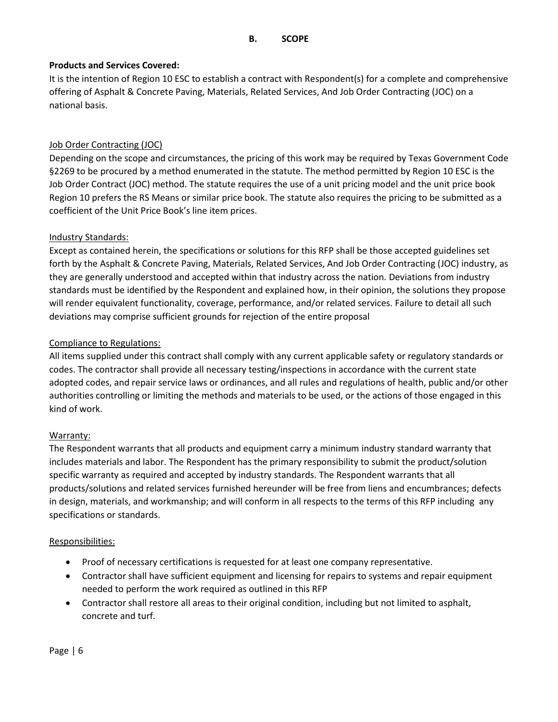# <span id="page-5-0"></span>**Products and Services Covered:**

It is the intention of Region 10 ESC to establish a contract with Respondent(s) for a complete and comprehensive offering of Asphalt & Concrete Paving, Materials, Related Services, And Job Order Contracting (JOC) on a national basis.

# Job Order Contracting (JOC)

Depending on the scope and circumstances, the pricing of this work may be required by Texas Government Code §2269 to be procured by a method enumerated in the statute. The method permitted by Region 10 ESC is the Job Order Contract (JOC) method. The statute requires the use of a unit pricing model and the unit price book Region 10 prefers the RS Means or similar price book. The statute also requires the pricing to be submitted as a coefficient of the Unit Price Book's line item prices.

# Industry Standards:

Except as contained herein, the specifications or solutions for this RFP shall be those accepted guidelines set forth by the Asphalt & Concrete Paving, Materials, Related Services, And Job Order Contracting (JOC) industry, as they are generally understood and accepted within that industry across the nation. Deviations from industry standards must be identified by the Respondent and explained how, in their opinion, the solutions they propose will render equivalent functionality, coverage, performance, and/or related services. Failure to detail all such deviations may comprise sufficient grounds for rejection of the entire proposal

# Compliance to Regulations:

All items supplied under this contract shall comply with any current applicable safety or regulatory standards or codes. The contractor shall provide all necessary testing/inspections in accordance with the current state adopted codes, and repair service laws or ordinances, and all rules and regulations of health, public and/or other authorities controlling or limiting the methods and materials to be used, or the actions of those engaged in this kind of work.

## Warranty:

The Respondent warrants that all products and equipment carry a minimum industry standard warranty that includes materials and labor. The Respondent has the primary responsibility to submit the product/solution specific warranty as required and accepted by industry standards. The Respondent warrants that all products/solutions and related services furnished hereunder will be free from liens and encumbrances; defects in design, materials, and workmanship; and will conform in all respects to the terms of this RFP including any specifications or standards.

## Responsibilities:

- Proof of necessary certifications is requested for at least one company representative.
- Contractor shall have sufficient equipment and licensing for repairs to systems and repair equipment needed to perform the work required as outlined in this RFP
- Contractor shall restore all areas to their original condition, including but not limited to asphalt, concrete and turf.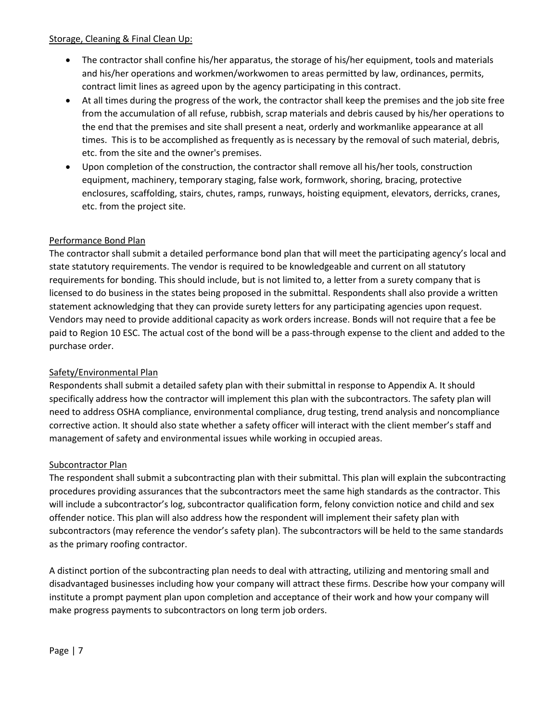## Storage, Cleaning & Final Clean Up:

- The contractor shall confine his/her apparatus, the storage of his/her equipment, tools and materials and his/her operations and workmen/workwomen to areas permitted by law, ordinances, permits, contract limit lines as agreed upon by the agency participating in this contract.
- At all times during the progress of the work, the contractor shall keep the premises and the job site free from the accumulation of all refuse, rubbish, scrap materials and debris caused by his/her operations to the end that the premises and site shall present a neat, orderly and workmanlike appearance at all times. This is to be accomplished as frequently as is necessary by the removal of such material, debris, etc. from the site and the owner's premises.
- Upon completion of the construction, the contractor shall remove all his/her tools, construction equipment, machinery, temporary staging, false work, formwork, shoring, bracing, protective enclosures, scaffolding, stairs, chutes, ramps, runways, hoisting equipment, elevators, derricks, cranes, etc. from the project site.

# Performance Bond Plan

The contractor shall submit a detailed performance bond plan that will meet the participating agency's local and state statutory requirements. The vendor is required to be knowledgeable and current on all statutory requirements for bonding. This should include, but is not limited to, a letter from a surety company that is licensed to do business in the states being proposed in the submittal. Respondents shall also provide a written statement acknowledging that they can provide surety letters for any participating agencies upon request. Vendors may need to provide additional capacity as work orders increase. Bonds will not require that a fee be paid to Region 10 ESC. The actual cost of the bond will be a pass-through expense to the client and added to the purchase order.

# Safety/Environmental Plan

Respondents shall submit a detailed safety plan with their submittal in response to Appendix A. It should specifically address how the contractor will implement this plan with the subcontractors. The safety plan will need to address OSHA compliance, environmental compliance, drug testing, trend analysis and noncompliance corrective action. It should also state whether a safety officer will interact with the client member's staff and management of safety and environmental issues while working in occupied areas.

# Subcontractor Plan

The respondent shall submit a subcontracting plan with their submittal. This plan will explain the subcontracting procedures providing assurances that the subcontractors meet the same high standards as the contractor. This will include a subcontractor's log, subcontractor qualification form, felony conviction notice and child and sex offender notice. This plan will also address how the respondent will implement their safety plan with subcontractors (may reference the vendor's safety plan). The subcontractors will be held to the same standards as the primary roofing contractor.

A distinct portion of the subcontracting plan needs to deal with attracting, utilizing and mentoring small and disadvantaged businesses including how your company will attract these firms. Describe how your company will institute a prompt payment plan upon completion and acceptance of their work and how your company will make progress payments to subcontractors on long term job orders.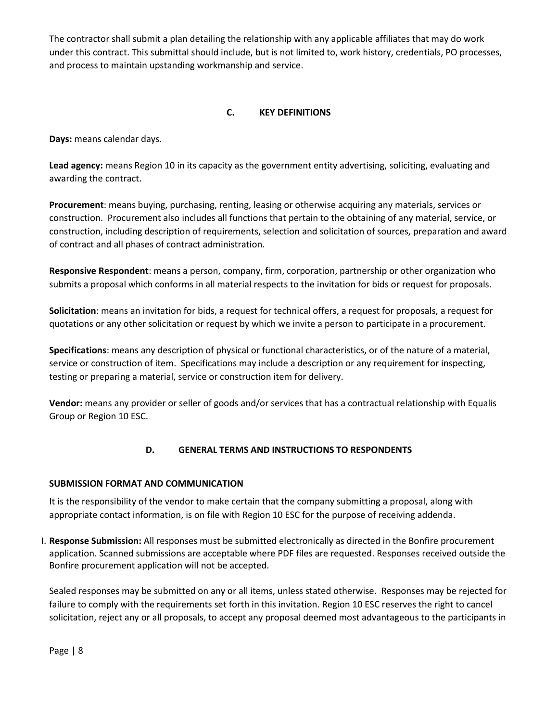The contractor shall submit a plan detailing the relationship with any applicable affiliates that may do work under this contract. This submittal should include, but is not limited to, work history, credentials, PO processes, and process to maintain upstanding workmanship and service.

# **C. KEY DEFINITIONS**

<span id="page-7-0"></span>**Days:** means calendar days.

**Lead agency:** means Region 10 in its capacity as the government entity advertising, soliciting, evaluating and awarding the contract.

**Procurement**: means buying, purchasing, renting, leasing or otherwise acquiring any materials, services or construction. Procurement also includes all functions that pertain to the obtaining of any material, service, or construction, including description of requirements, selection and solicitation of sources, preparation and award of contract and all phases of contract administration.

**Responsive Respondent**: means a person, company, firm, corporation, partnership or other organization who submits a proposal which conforms in all material respects to the invitation for bids or request for proposals.

**Solicitation**: means an invitation for bids, a request for technical offers, a request for proposals, a request for quotations or any other solicitation or request by which we invite a person to participate in a procurement.

**Specifications**: means any description of physical or functional characteristics, or of the nature of a material, service or construction of item. Specifications may include a description or any requirement for inspecting, testing or preparing a material, service or construction item for delivery.

**Vendor:** means any provider or seller of goods and/or services that has a contractual relationship with Equalis Group or Region 10 ESC.

# **D. GENERAL TERMS AND INSTRUCTIONS TO RESPONDENTS**

## <span id="page-7-2"></span><span id="page-7-1"></span>**SUBMISSION FORMAT AND COMMUNICATION**

It is the responsibility of the vendor to make certain that the company submitting a proposal, along with appropriate contact information, is on file with Region 10 ESC for the purpose of receiving addenda.

I. **Response Submission:** All responses must be submitted electronically as directed in the Bonfire procurement application. Scanned submissions are acceptable where PDF files are requested. Responses received outside the Bonfire procurement application will not be accepted.

Sealed responses may be submitted on any or all items, unless stated otherwise. Responses may be rejected for failure to comply with the requirements set forth in this invitation. Region 10 ESC reserves the right to cancel solicitation, reject any or all proposals, to accept any proposal deemed most advantageous to the participants in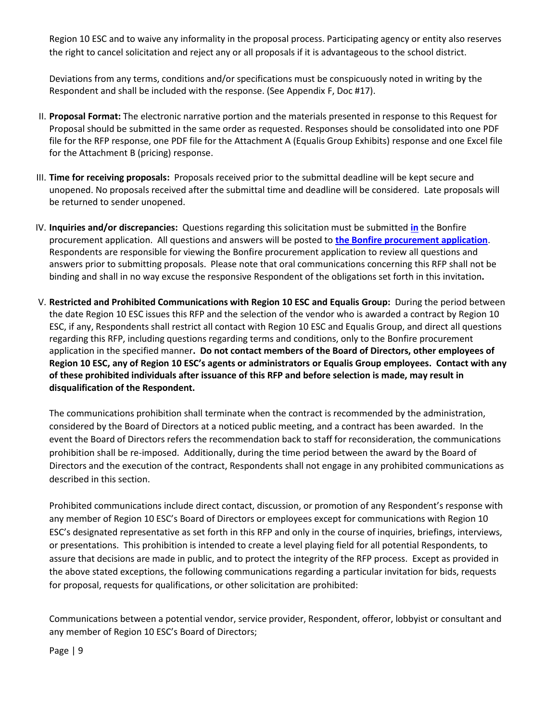Region 10 ESC and to waive any informality in the proposal process. Participating agency or entity also reserves the right to cancel solicitation and reject any or all proposals if it is advantageous to the school district.

Deviations from any terms, conditions and/or specifications must be conspicuously noted in writing by the Respondent and shall be included with the response. (See Appendix F, Doc #17).

- II. **Proposal Format:** The electronic narrative portion and the materials presented in response to this Request for Proposal should be submitted in the same order as requested. Responses should be consolidated into one PDF file for the RFP response, one PDF file for the Attachment A (Equalis Group Exhibits) response and one Excel file for the Attachment B (pricing) response.
- III. **Time for receiving proposals:** Proposals received prior to the submittal deadline will be kept secure and unopened. No proposals received after the submittal time and deadline will be considered. Late proposals will be returned to sender unopened.
- IV. **Inquiries and/or discrepancies:** Questions regarding this solicitation must be submitted **[in](mailto:in)** the Bonfire procurement application. All questions and answers will be posted to **[the](https://www.region10.org/about-us/request-for-proposals-bids/) Bonfire procurement application**. Respondents are responsible for viewing the Bonfire procurement application to review all questions and answers prior to submitting proposals. Please note that oral communications concerning this RFP shall not be binding and shall in no way excuse the responsive Respondent of the obligations set forth in this invitation**.**
- V. **Restricted and Prohibited Communications with Region 10 ESC and Equalis Group:** During the period between the date Region 10 ESC issues this RFP and the selection of the vendor who is awarded a contract by Region 10 ESC, if any, Respondents shall restrict all contact with Region 10 ESC and Equalis Group, and direct all questions regarding this RFP, including questions regarding terms and conditions, only to the Bonfire procurement application in the specified manner**. Do not contact members of the Board of Directors, other employees of Region 10 ESC, any of Region 10 ESC's agents or administrators or Equalis Group employees. Contact with any of these prohibited individuals after issuance of this RFP and before selection is made, may result in disqualification of the Respondent.**

The communications prohibition shall terminate when the contract is recommended by the administration, considered by the Board of Directors at a noticed public meeting, and a contract has been awarded. In the event the Board of Directors refers the recommendation back to staff for reconsideration, the communications prohibition shall be re-imposed. Additionally, during the time period between the award by the Board of Directors and the execution of the contract, Respondents shall not engage in any prohibited communications as described in this section.

Prohibited communications include direct contact, discussion, or promotion of any Respondent's response with any member of Region 10 ESC's Board of Directors or employees except for communications with Region 10 ESC's designated representative as set forth in this RFP and only in the course of inquiries, briefings, interviews, or presentations. This prohibition is intended to create a level playing field for all potential Respondents, to assure that decisions are made in public, and to protect the integrity of the RFP process. Except as provided in the above stated exceptions, the following communications regarding a particular invitation for bids, requests for proposal, requests for qualifications, or other solicitation are prohibited:

Communications between a potential vendor, service provider, Respondent, offeror, lobbyist or consultant and any member of Region 10 ESC's Board of Directors;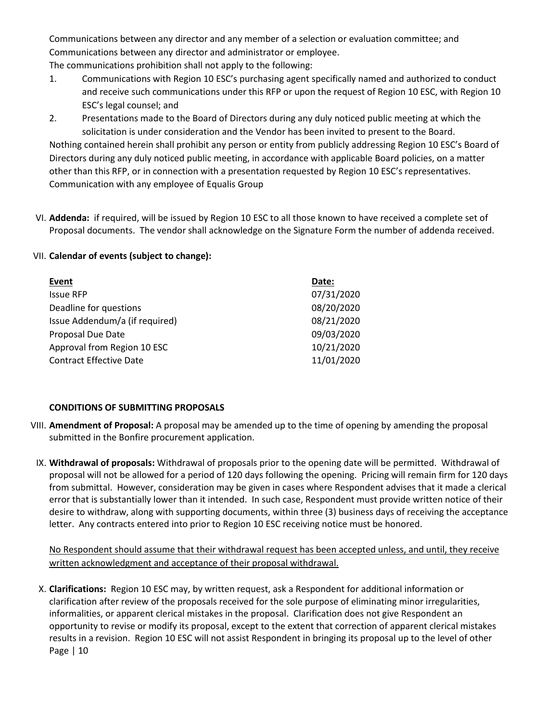Communications between any director and any member of a selection or evaluation committee; and Communications between any director and administrator or employee.

The communications prohibition shall not apply to the following:

- 1. Communications with Region 10 ESC's purchasing agent specifically named and authorized to conduct and receive such communications under this RFP or upon the request of Region 10 ESC, with Region 10 ESC's legal counsel; and
- 2. Presentations made to the Board of Directors during any duly noticed public meeting at which the solicitation is under consideration and the Vendor has been invited to present to the Board.

Nothing contained herein shall prohibit any person or entity from publicly addressing Region 10 ESC's Board of Directors during any duly noticed public meeting, in accordance with applicable Board policies, on a matter other than this RFP, or in connection with a presentation requested by Region 10 ESC's representatives. Communication with any employee of Equalis Group

VI. **Addenda:** if required, will be issued by Region 10 ESC to all those known to have received a complete set of Proposal documents. The vendor shall acknowledge on the Signature Form the number of addenda received.

# VII. **Calendar of events (subject to change):**

| Event                          | Date:      |
|--------------------------------|------------|
| <b>Issue RFP</b>               | 07/31/2020 |
| Deadline for questions         | 08/20/2020 |
| Issue Addendum/a (if required) | 08/21/2020 |
| Proposal Due Date              | 09/03/2020 |
| Approval from Region 10 ESC    | 10/21/2020 |
| <b>Contract Effective Date</b> | 11/01/2020 |

# <span id="page-9-0"></span>**CONDITIONS OF SUBMITTING PROPOSALS**

- VIII. **Amendment of Proposal:** A proposal may be amended up to the time of opening by amending the proposal submitted in the Bonfire procurement application.
	- IX. **Withdrawal of proposals:** Withdrawal of proposals prior to the opening date will be permitted. Withdrawal of proposal will not be allowed for a period of 120 days following the opening. Pricing will remain firm for 120 days from submittal. However, consideration may be given in cases where Respondent advises that it made a clerical error that is substantially lower than it intended. In such case, Respondent must provide written notice of their desire to withdraw, along with supporting documents, within three (3) business days of receiving the acceptance letter. Any contracts entered into prior to Region 10 ESC receiving notice must be honored.

No Respondent should assume that their withdrawal request has been accepted unless, and until, they receive written acknowledgment and acceptance of their proposal withdrawal.

Page | 10 X. **Clarifications:** Region 10 ESC may, by written request, ask a Respondent for additional information or clarification after review of the proposals received for the sole purpose of eliminating minor irregularities, informalities, or apparent clerical mistakes in the proposal. Clarification does not give Respondent an opportunity to revise or modify its proposal, except to the extent that correction of apparent clerical mistakes results in a revision. Region 10 ESC will not assist Respondent in bringing its proposal up to the level of other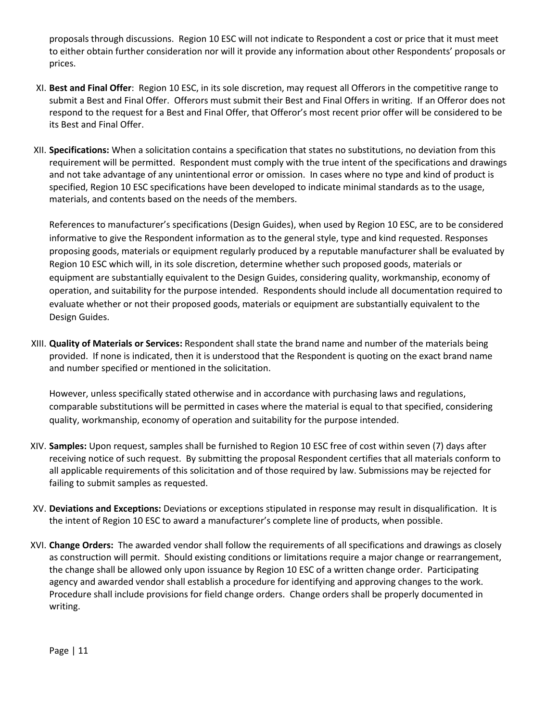proposals through discussions. Region 10 ESC will not indicate to Respondent a cost or price that it must meet to either obtain further consideration nor will it provide any information about other Respondents' proposals or prices.

- XI. **Best and Final Offer**: Region 10 ESC, in its sole discretion, may request all Offerors in the competitive range to submit a Best and Final Offer. Offerors must submit their Best and Final Offers in writing. If an Offeror does not respond to the request for a Best and Final Offer, that Offeror's most recent prior offer will be considered to be its Best and Final Offer.
- XII. **Specifications:** When a solicitation contains a specification that states no substitutions, no deviation from this requirement will be permitted. Respondent must comply with the true intent of the specifications and drawings and not take advantage of any unintentional error or omission. In cases where no type and kind of product is specified, Region 10 ESC specifications have been developed to indicate minimal standards as to the usage, materials, and contents based on the needs of the members.

References to manufacturer's specifications (Design Guides), when used by Region 10 ESC, are to be considered informative to give the Respondent information as to the general style, type and kind requested. Responses proposing goods, materials or equipment regularly produced by a reputable manufacturer shall be evaluated by Region 10 ESC which will, in its sole discretion, determine whether such proposed goods, materials or equipment are substantially equivalent to the Design Guides, considering quality, workmanship, economy of operation, and suitability for the purpose intended. Respondents should include all documentation required to evaluate whether or not their proposed goods, materials or equipment are substantially equivalent to the Design Guides.

XIII. **Quality of Materials or Services:** Respondent shall state the brand name and number of the materials being provided. If none is indicated, then it is understood that the Respondent is quoting on the exact brand name and number specified or mentioned in the solicitation.

However, unless specifically stated otherwise and in accordance with purchasing laws and regulations, comparable substitutions will be permitted in cases where the material is equal to that specified, considering quality, workmanship, economy of operation and suitability for the purpose intended.

- XIV. **Samples:** Upon request, samples shall be furnished to Region 10 ESC free of cost within seven (7) days after receiving notice of such request. By submitting the proposal Respondent certifies that all materials conform to all applicable requirements of this solicitation and of those required by law. Submissions may be rejected for failing to submit samples as requested.
- XV. **Deviations and Exceptions:** Deviations or exceptions stipulated in response may result in disqualification. It is the intent of Region 10 ESC to award a manufacturer's complete line of products, when possible.
- XVI. **Change Orders:** The awarded vendor shall follow the requirements of all specifications and drawings as closely as construction will permit. Should existing conditions or limitations require a major change or rearrangement, the change shall be allowed only upon issuance by Region 10 ESC of a written change order. Participating agency and awarded vendor shall establish a procedure for identifying and approving changes to the work. Procedure shall include provisions for field change orders. Change orders shall be properly documented in writing.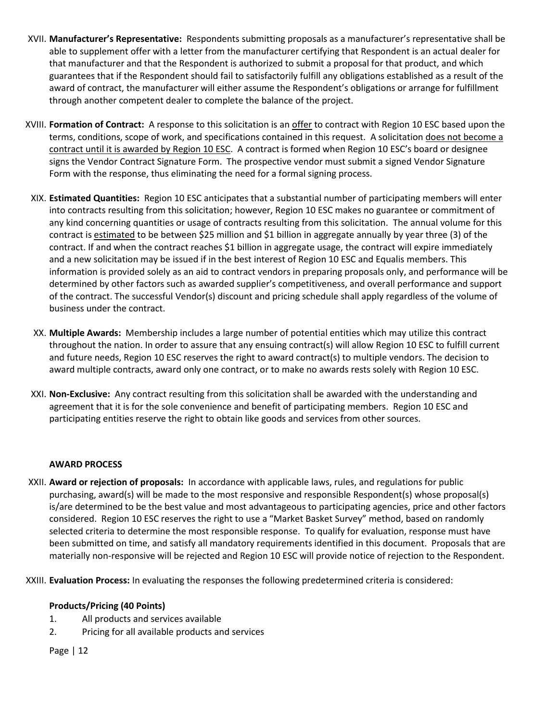- XVII. **Manufacturer's Representative:** Respondents submitting proposals as a manufacturer's representative shall be able to supplement offer with a letter from the manufacturer certifying that Respondent is an actual dealer for that manufacturer and that the Respondent is authorized to submit a proposal for that product, and which guarantees that if the Respondent should fail to satisfactorily fulfill any obligations established as a result of the award of contract, the manufacturer will either assume the Respondent's obligations or arrange for fulfillment through another competent dealer to complete the balance of the project.
- XVIII. **Formation of Contract:** A response to this solicitation is an offer to contract with Region 10 ESC based upon the terms, conditions, scope of work, and specifications contained in this request. A solicitation does not become a contract until it is awarded by Region 10 ESC. A contract is formed when Region 10 ESC's board or designee signs the Vendor Contract Signature Form. The prospective vendor must submit a signed Vendor Signature Form with the response, thus eliminating the need for a formal signing process.
- XIX. **Estimated Quantities:** Region 10 ESC anticipates that a substantial number of participating members will enter into contracts resulting from this solicitation; however, Region 10 ESC makes no guarantee or commitment of any kind concerning quantities or usage of contracts resulting from this solicitation. The annual volume for this contract is estimated to be between \$25 million and \$1 billion in aggregate annually by year three (3) of the contract. If and when the contract reaches \$1 billion in aggregate usage, the contract will expire immediately and a new solicitation may be issued if in the best interest of Region 10 ESC and Equalis members. This information is provided solely as an aid to contract vendors in preparing proposals only, and performance will be determined by other factors such as awarded supplier's competitiveness, and overall performance and support of the contract. The successful Vendor(s) discount and pricing schedule shall apply regardless of the volume of business under the contract.
- XX. **Multiple Awards:** Membership includes a large number of potential entities which may utilize this contract throughout the nation. In order to assure that any ensuing contract(s) will allow Region 10 ESC to fulfill current and future needs, Region 10 ESC reserves the right to award contract(s) to multiple vendors. The decision to award multiple contracts, award only one contract, or to make no awards rests solely with Region 10 ESC.
- XXI. **Non-Exclusive:** Any contract resulting from this solicitation shall be awarded with the understanding and agreement that it is for the sole convenience and benefit of participating members. Region 10 ESC and participating entities reserve the right to obtain like goods and services from other sources.

## <span id="page-11-0"></span>**AWARD PROCESS**

- XXII. **Award or rejection of proposals:** In accordance with applicable laws, rules, and regulations for public purchasing, award(s) will be made to the most responsive and responsible Respondent(s) whose proposal(s) is/are determined to be the best value and most advantageous to participating agencies, price and other factors considered. Region 10 ESC reserves the right to use a "Market Basket Survey" method, based on randomly selected criteria to determine the most responsible response. To qualify for evaluation, response must have been submitted on time, and satisfy all mandatory requirements identified in this document. Proposals that are materially non-responsive will be rejected and Region 10 ESC will provide notice of rejection to the Respondent.
- XXIII. **Evaluation Process:** In evaluating the responses the following predetermined criteria is considered:

## **Products/Pricing (40 Points)**

- 1. All products and services available
- 2. Pricing for all available products and services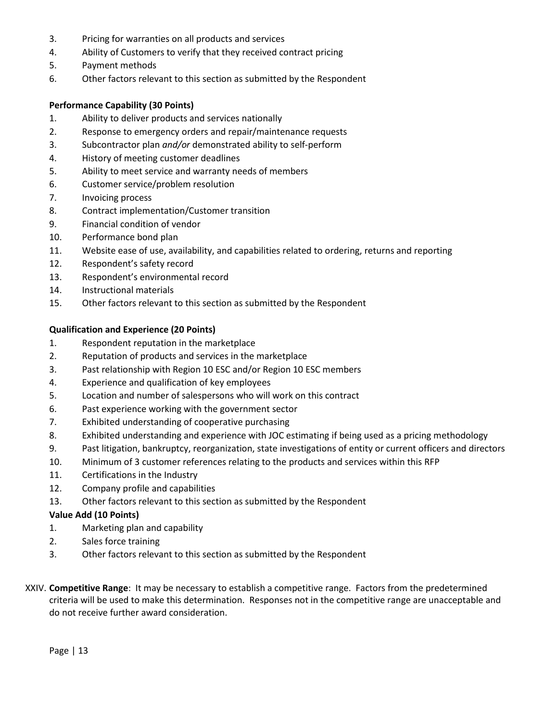- 3. Pricing for warranties on all products and services
- 4. Ability of Customers to verify that they received contract pricing
- 5. Payment methods
- 6. Other factors relevant to this section as submitted by the Respondent

## **Performance Capability (30 Points)**

- 1. Ability to deliver products and services nationally
- 2. Response to emergency orders and repair/maintenance requests
- 3. Subcontractor plan *and/or* demonstrated ability to self-perform
- 4. History of meeting customer deadlines
- 5. Ability to meet service and warranty needs of members
- 6. Customer service/problem resolution
- 7. Invoicing process
- 8. Contract implementation/Customer transition
- 9. Financial condition of vendor
- 10. Performance bond plan
- 11. Website ease of use, availability, and capabilities related to ordering, returns and reporting
- 12. Respondent's safety record
- 13. Respondent's environmental record
- 14. Instructional materials
- 15. Other factors relevant to this section as submitted by the Respondent

## **Qualification and Experience (20 Points)**

- 1. Respondent reputation in the marketplace
- 2. Reputation of products and services in the marketplace
- 3. Past relationship with Region 10 ESC and/or Region 10 ESC members
- 4. Experience and qualification of key employees
- 5. Location and number of salespersons who will work on this contract
- 6. Past experience working with the government sector
- 7. Exhibited understanding of cooperative purchasing
- 8. Exhibited understanding and experience with JOC estimating if being used as a pricing methodology
- 9. Past litigation, bankruptcy, reorganization, state investigations of entity or current officers and directors
- 10. Minimum of 3 customer references relating to the products and services within this RFP
- 11. Certifications in the Industry
- 12. Company profile and capabilities
- 13. Other factors relevant to this section as submitted by the Respondent

## **Value Add (10 Points)**

- 1. Marketing plan and capability
- 2. Sales force training
- 3. Other factors relevant to this section as submitted by the Respondent
- XXIV. **Competitive Range**: It may be necessary to establish a competitive range. Factors from the predetermined criteria will be used to make this determination. Responses not in the competitive range are unacceptable and do not receive further award consideration.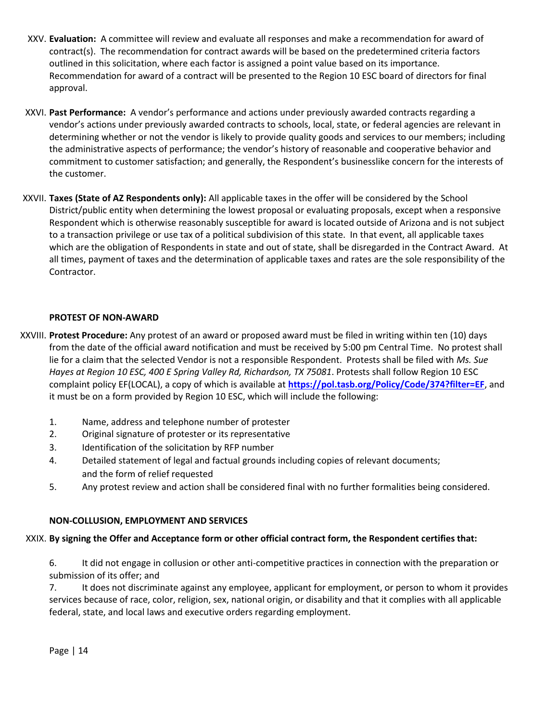- XXV. **Evaluation:** A committee will review and evaluate all responses and make a recommendation for award of contract(s). The recommendation for contract awards will be based on the predetermined criteria factors outlined in this solicitation, where each factor is assigned a point value based on its importance. Recommendation for award of a contract will be presented to the Region 10 ESC board of directors for final approval.
- XXVI. **Past Performance:** A vendor's performance and actions under previously awarded contracts regarding a vendor's actions under previously awarded contracts to schools, local, state, or federal agencies are relevant in determining whether or not the vendor is likely to provide quality goods and services to our members; including the administrative aspects of performance; the vendor's history of reasonable and cooperative behavior and commitment to customer satisfaction; and generally, the Respondent's businesslike concern for the interests of the customer.
- XXVII. **Taxes (State of AZ Respondents only):** All applicable taxes in the offer will be considered by the School District/public entity when determining the lowest proposal or evaluating proposals, except when a responsive Respondent which is otherwise reasonably susceptible for award is located outside of Arizona and is not subject to a transaction privilege or use tax of a political subdivision of this state. In that event, all applicable taxes which are the obligation of Respondents in state and out of state, shall be disregarded in the Contract Award. At all times, payment of taxes and the determination of applicable taxes and rates are the sole responsibility of the Contractor.

# <span id="page-13-0"></span>**PROTEST OF NON-AWARD**

- XXVIII. **Protest Procedure:** Any protest of an award or proposed award must be filed in writing within ten (10) days from the date of the official award notification and must be received by 5:00 pm Central Time. No protest shall lie for a claim that the selected Vendor is not a responsible Respondent. Protests shall be filed with *Ms. Sue Hayes at Region 10 ESC, 400 E Spring Valley Rd, Richardson, TX 75081*. Protests shall follow Region 10 ESC complaint policy EF(LOCAL), a copy of which is available at **<https://pol.tasb.org/Policy/Code/374?filter=EF>**, and it must be on a form provided by Region 10 ESC, which will include the following:
	- 1. Name, address and telephone number of protester
	- 2. Original signature of protester or its representative
	- 3. Identification of the solicitation by RFP number
	- 4. Detailed statement of legal and factual grounds including copies of relevant documents; and the form of relief requested
	- 5. Any protest review and action shall be considered final with no further formalities being considered.

# <span id="page-13-1"></span>**NON-COLLUSION, EMPLOYMENT AND SERVICES**

# XXIX. **By signing the Offer and Acceptance form or other official contract form, the Respondent certifies that:**

6. It did not engage in collusion or other anti-competitive practices in connection with the preparation or submission of its offer; and

7. It does not discriminate against any employee, applicant for employment, or person to whom it provides services because of race, color, religion, sex, national origin, or disability and that it complies with all applicable federal, state, and local laws and executive orders regarding employment.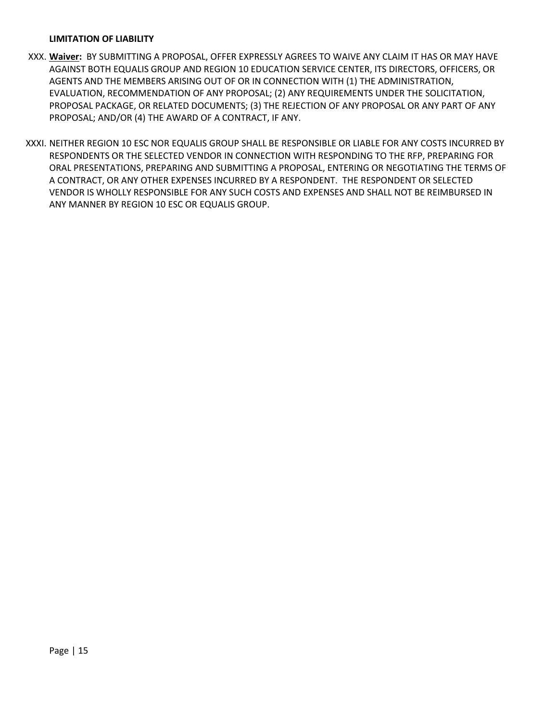#### <span id="page-14-0"></span>**LIMITATION OF LIABILITY**

- XXX. **Waiver:** BY SUBMITTING A PROPOSAL, OFFER EXPRESSLY AGREES TO WAIVE ANY CLAIM IT HAS OR MAY HAVE AGAINST BOTH EQUALIS GROUP AND REGION 10 EDUCATION SERVICE CENTER, ITS DIRECTORS, OFFICERS, OR AGENTS AND THE MEMBERS ARISING OUT OF OR IN CONNECTION WITH (1) THE ADMINISTRATION, EVALUATION, RECOMMENDATION OF ANY PROPOSAL; (2) ANY REQUIREMENTS UNDER THE SOLICITATION, PROPOSAL PACKAGE, OR RELATED DOCUMENTS; (3) THE REJECTION OF ANY PROPOSAL OR ANY PART OF ANY PROPOSAL; AND/OR (4) THE AWARD OF A CONTRACT, IF ANY.
- XXXI. NEITHER REGION 10 ESC NOR EQUALIS GROUP SHALL BE RESPONSIBLE OR LIABLE FOR ANY COSTS INCURRED BY RESPONDENTS OR THE SELECTED VENDOR IN CONNECTION WITH RESPONDING TO THE RFP, PREPARING FOR ORAL PRESENTATIONS, PREPARING AND SUBMITTING A PROPOSAL, ENTERING OR NEGOTIATING THE TERMS OF A CONTRACT, OR ANY OTHER EXPENSES INCURRED BY A RESPONDENT. THE RESPONDENT OR SELECTED VENDOR IS WHOLLY RESPONSIBLE FOR ANY SUCH COSTS AND EXPENSES AND SHALL NOT BE REIMBURSED IN ANY MANNER BY REGION 10 ESC OR EQUALIS GROUP.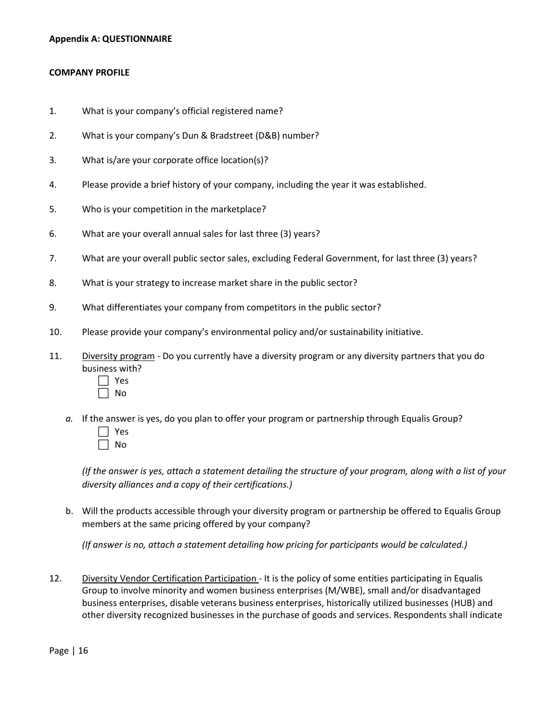#### <span id="page-15-0"></span>**Appendix A: QUESTIONNAIRE**

#### <span id="page-15-1"></span>**COMPANY PROFILE**

- 1. What is your company's official registered name?
- 2. What is your company's Dun & Bradstreet (D&B) number?
- 3. What is/are your corporate office location(s)?
- 4. Please provide a brief history of your company, including the year it was established.
- 5. Who is your competition in the marketplace?
- 6. What are your overall annual sales for last three (3) years?
- 7. What are your overall public sector sales, excluding Federal Government, for last three (3) years?
- 8. What is your strategy to increase market share in the public sector?
- 9. What differentiates your company from competitors in the public sector?
- 10. Please provide your company's environmental policy and/or sustainability initiative.
- 11. Diversity program Do you currently have a diversity program or any diversity partners that you do business with?
	- Yes No
	- *a.* If the answer is yes, do you plan to offer your program or partnership through Equalis Group?
		- Yes No

*(If the answer is yes, attach a statement detailing the structure of your program, along with a list of your diversity alliances and a copy of their certifications.)*

b. Will the products accessible through your diversity program or partnership be offered to Equalis Group members at the same pricing offered by your company?

*(If answer is no, attach a statement detailing how pricing for participants would be calculated.)*

12. Diversity Vendor Certification Participation - It is the policy of some entities participating in Equalis Group to involve minority and women business enterprises (M/WBE), small and/or disadvantaged business enterprises, disable veterans business enterprises, historically utilized businesses (HUB) and other diversity recognized businesses in the purchase of goods and services. Respondents shall indicate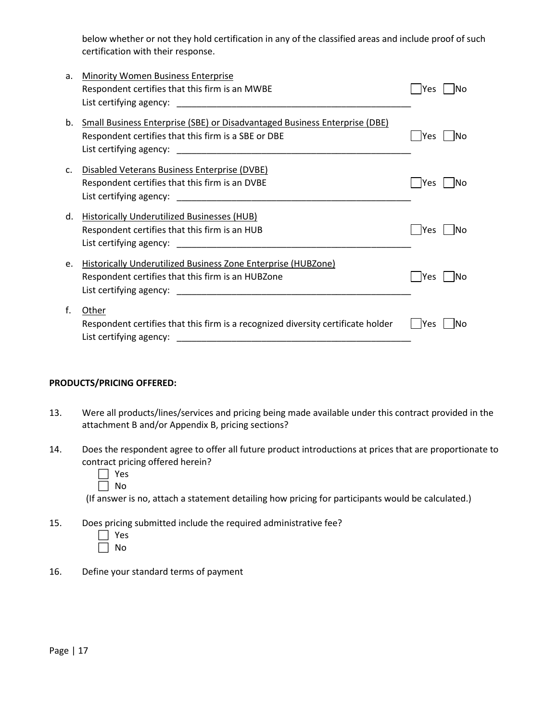below whether or not they hold certification in any of the classified areas and include proof of such certification with their response.

| a.             | <b>Minority Women Business Enterprise</b>                                        |                   |
|----------------|----------------------------------------------------------------------------------|-------------------|
|                | Respondent certifies that this firm is an MWBE                                   | lNo<br>lYes       |
|                |                                                                                  |                   |
|                |                                                                                  |                   |
| b.             | Small Business Enterprise (SBE) or Disadvantaged Business Enterprise (DBE)       |                   |
|                | Respondent certifies that this firm is a SBE or DBE                              | lNo<br>lYes       |
|                |                                                                                  |                   |
|                |                                                                                  |                   |
| $\mathsf{C}$ . | Disabled Veterans Business Enterprise (DVBE)                                     |                   |
|                | Respondent certifies that this firm is an DVBE                                   | lYes<br>lNo       |
|                | List certifying agency: List certifying agency:                                  |                   |
| d.             | Historically Underutilized Businesses (HUB)                                      |                   |
|                |                                                                                  |                   |
|                | Respondent certifies that this firm is an HUB                                    | lYes<br>lNo       |
|                | List certifying agency: List certifying agency:                                  |                   |
| e.             | Historically Underutilized Business Zone Enterprise (HUBZone)                    |                   |
|                | Respondent certifies that this firm is an HUBZone                                | <b>Yes</b><br>IΝo |
|                |                                                                                  |                   |
|                |                                                                                  |                   |
| f.             | Other                                                                            |                   |
|                | Respondent certifies that this firm is a recognized diversity certificate holder | lYes<br>lNo       |
|                |                                                                                  |                   |
|                |                                                                                  |                   |

#### <span id="page-16-0"></span>**PRODUCTS/PRICING OFFERED:**

- 13. Were all products/lines/services and pricing being made available under this contract provided in the attachment B and/or Appendix B, pricing sections?
- 14. Does the respondent agree to offer all future product introductions at prices that are proportionate to contract pricing offered herein?
	- Yes
	- $\Box$  No

(If answer is no, attach a statement detailing how pricing for participants would be calculated.)

15. Does pricing submitted include the required administrative fee?

| n<br>d |
|--------|

16. Define your standard terms of payment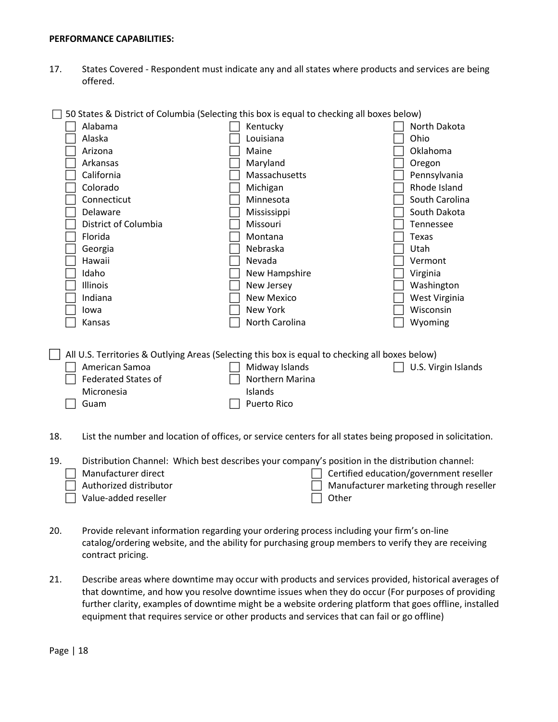#### <span id="page-17-0"></span>**PERFORMANCE CAPABILITIES:**

17. States Covered - Respondent must indicate any and all states where products and services are being offered.

| 50 States & District of Columbia (Selecting this box is equal to checking all boxes below) |                                                                                                 |                     |  |  |
|--------------------------------------------------------------------------------------------|-------------------------------------------------------------------------------------------------|---------------------|--|--|
| Alabama                                                                                    | Kentucky                                                                                        | North Dakota        |  |  |
| Alaska                                                                                     | Louisiana                                                                                       | Ohio                |  |  |
| Arizona                                                                                    | Maine                                                                                           | Oklahoma            |  |  |
| Arkansas                                                                                   | Maryland                                                                                        | Oregon              |  |  |
| California                                                                                 | Massachusetts                                                                                   | Pennsylvania        |  |  |
| Colorado                                                                                   | Michigan                                                                                        | Rhode Island        |  |  |
| Connecticut                                                                                | Minnesota                                                                                       | South Carolina      |  |  |
| Delaware                                                                                   | Mississippi                                                                                     | South Dakota        |  |  |
| District of Columbia                                                                       | Missouri                                                                                        | <b>Tennessee</b>    |  |  |
| Florida                                                                                    | Montana                                                                                         | Texas               |  |  |
| Georgia                                                                                    | Nebraska                                                                                        | Utah                |  |  |
| Hawaii                                                                                     | Nevada                                                                                          | Vermont             |  |  |
| Idaho                                                                                      | New Hampshire                                                                                   | Virginia            |  |  |
| Illinois                                                                                   | New Jersey                                                                                      | Washington          |  |  |
| Indiana                                                                                    | <b>New Mexico</b>                                                                               | West Virginia       |  |  |
| lowa                                                                                       | New York                                                                                        | Wisconsin           |  |  |
| Kansas                                                                                     | North Carolina                                                                                  | Wyoming             |  |  |
|                                                                                            |                                                                                                 |                     |  |  |
|                                                                                            |                                                                                                 |                     |  |  |
|                                                                                            | All U.S. Territories & Outlying Areas (Selecting this box is equal to checking all boxes below) |                     |  |  |
| American Samoa                                                                             | Midway Islands                                                                                  | U.S. Virgin Islands |  |  |
| <b>Federated States of</b>                                                                 | Northern Marina                                                                                 |                     |  |  |
| Micronesia                                                                                 | Islands                                                                                         |                     |  |  |
| Guam                                                                                       | Puerto Rico                                                                                     |                     |  |  |
|                                                                                            |                                                                                                 |                     |  |  |
|                                                                                            |                                                                                                 |                     |  |  |

18. List the number and location of offices, or service centers for all states being proposed in solicitation.

| 19. | Distribution Channel: Which best describes your company's position in the distribution channel: |                                                |
|-----|-------------------------------------------------------------------------------------------------|------------------------------------------------|
|     | Manufacturer direct                                                                             | $\Box$ Certified education/government reseller |
|     | $\Box$ Authorized distributor                                                                   | $\Box$ Manufacturer marketing through reseller |
|     | $\Box$ Value-added reseller                                                                     | l l Other                                      |

- 20. Provide relevant information regarding your ordering process including your firm's on-line catalog/ordering website, and the ability for purchasing group members to verify they are receiving contract pricing.
- 21. Describe areas where downtime may occur with products and services provided, historical averages of that downtime, and how you resolve downtime issues when they do occur (For purposes of providing further clarity, examples of downtime might be a website ordering platform that goes offline, installed equipment that requires service or other products and services that can fail or go offline)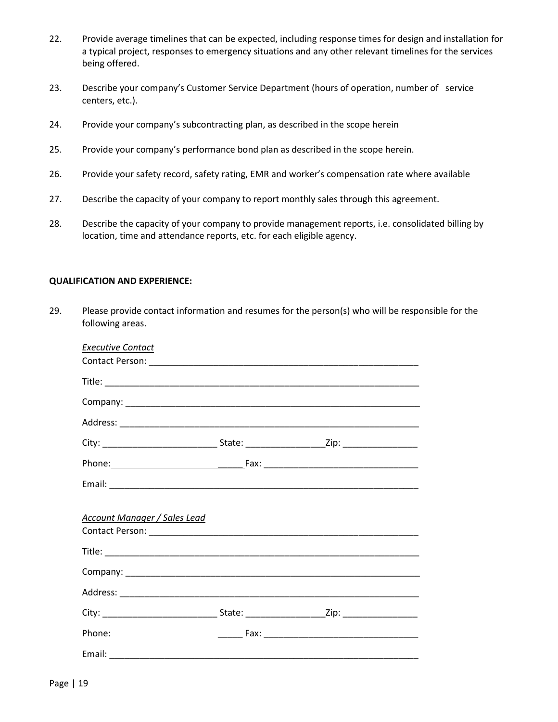- 22. Provide average timelines that can be expected, including response times for design and installation for a typical project, responses to emergency situations and any other relevant timelines for the services being offered.
- 23. Describe your company's Customer Service Department (hours of operation, number of service centers, etc.).
- 24. Provide your company's subcontracting plan, as described in the scope herein
- 25. Provide your company's performance bond plan as described in the scope herein.
- 26. Provide your safety record, safety rating, EMR and worker's compensation rate where available
- 27. Describe the capacity of your company to report monthly sales through this agreement.
- 28. Describe the capacity of your company to provide management reports, i.e. consolidated billing by location, time and attendance reports, etc. for each eligible agency.

#### <span id="page-18-0"></span>**QUALIFICATION AND EXPERIENCE:**

29. Please provide contact information and resumes for the person(s) who will be responsible for the following areas.

| Executive Contact                   |  |
|-------------------------------------|--|
|                                     |  |
|                                     |  |
|                                     |  |
|                                     |  |
|                                     |  |
|                                     |  |
|                                     |  |
| <b>Account Manager / Sales Lead</b> |  |
|                                     |  |
|                                     |  |
|                                     |  |
|                                     |  |
|                                     |  |
|                                     |  |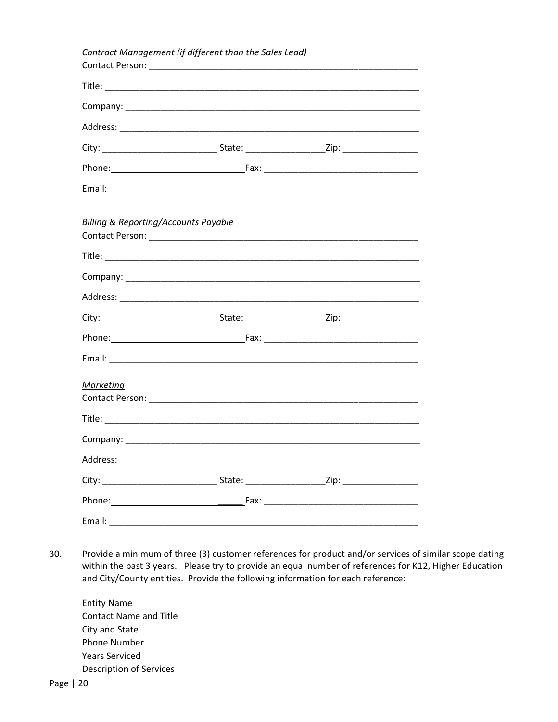|                                                 | Contract Management (if different than the Sales Lead) |  |
|-------------------------------------------------|--------------------------------------------------------|--|
|                                                 |                                                        |  |
|                                                 |                                                        |  |
|                                                 |                                                        |  |
|                                                 |                                                        |  |
|                                                 |                                                        |  |
|                                                 |                                                        |  |
|                                                 |                                                        |  |
| <b>Billing &amp; Reporting/Accounts Payable</b> |                                                        |  |
|                                                 |                                                        |  |
|                                                 |                                                        |  |
|                                                 |                                                        |  |
|                                                 |                                                        |  |
|                                                 |                                                        |  |
|                                                 |                                                        |  |
| <b>Marketing</b>                                |                                                        |  |
|                                                 |                                                        |  |
|                                                 |                                                        |  |
|                                                 |                                                        |  |
|                                                 |                                                        |  |
|                                                 |                                                        |  |
| Email:                                          |                                                        |  |

30. Provide a minimum of three (3) customer references for product and/or services of similar scope dating within the past 3 years. Please try to provide an equal number of references for K12, Higher Education and City/County entities. Provide the following information for each reference:

Entity Name Contact Name and Title City and State Phone Number Years Serviced Description of Services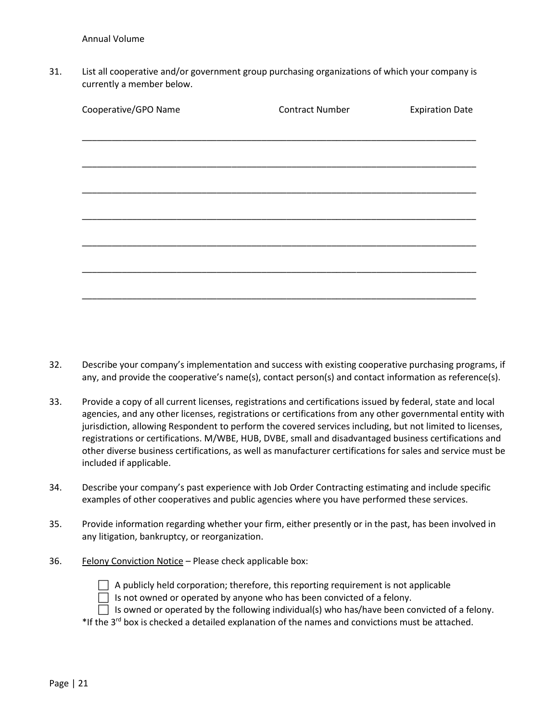31. List all cooperative and/or government group purchasing organizations of which your company is currently a member below.

| Cooperative/GPO Name | <b>Contract Number</b> | <b>Expiration Date</b> |
|----------------------|------------------------|------------------------|
|                      |                        |                        |
|                      |                        |                        |
|                      |                        |                        |
|                      |                        |                        |
|                      |                        |                        |
|                      |                        |                        |
|                      |                        |                        |
|                      |                        |                        |
|                      |                        |                        |

- 32. Describe your company's implementation and success with existing cooperative purchasing programs, if any, and provide the cooperative's name(s), contact person(s) and contact information as reference(s).
- 33. Provide a copy of all current licenses, registrations and certifications issued by federal, state and local agencies, and any other licenses, registrations or certifications from any other governmental entity with jurisdiction, allowing Respondent to perform the covered services including, but not limited to licenses, registrations or certifications. M/WBE, HUB, DVBE, small and disadvantaged business certifications and other diverse business certifications, as well as manufacturer certifications for sales and service must be included if applicable.
- 34. Describe your company's past experience with Job Order Contracting estimating and include specific examples of other cooperatives and public agencies where you have performed these services.
- 35. Provide information regarding whether your firm, either presently or in the past, has been involved in any litigation, bankruptcy, or reorganization.
- 36. Felony Conviction Notice Please check applicable box:



- $\Box$  Is not owned or operated by anyone who has been convicted of a felony.
- $\Box$  Is owned or operated by the following individual(s) who has/have been convicted of a felony.
- \*If the 3<sup>rd</sup> box is checked a detailed explanation of the names and convictions must be attached.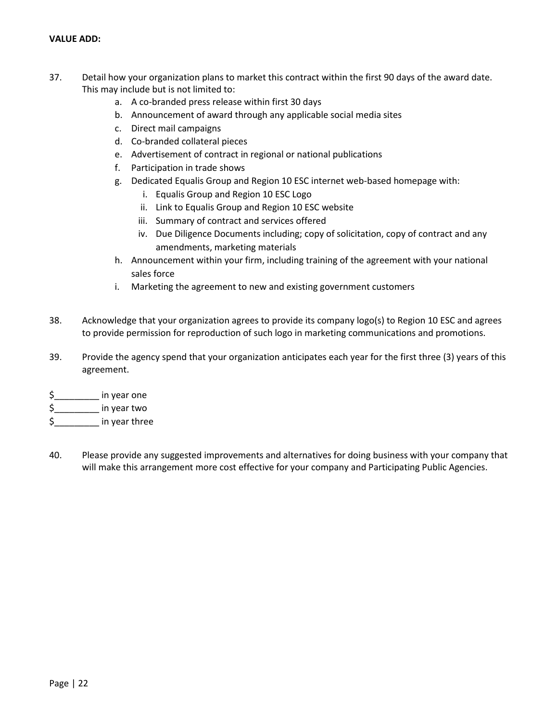## <span id="page-21-0"></span>**VALUE ADD:**

- 37. Detail how your organization plans to market this contract within the first 90 days of the award date. This may include but is not limited to:
	- a. A co-branded press release within first 30 days
	- b. Announcement of award through any applicable social media sites
	- c. Direct mail campaigns
	- d. Co-branded collateral pieces
	- e. Advertisement of contract in regional or national publications
	- f. Participation in trade shows
	- g. Dedicated Equalis Group and Region 10 ESC internet web-based homepage with:
		- i. Equalis Group and Region 10 ESC Logo
		- ii. Link to Equalis Group and Region 10 ESC website
		- iii. Summary of contract and services offered
		- iv. Due Diligence Documents including; copy of solicitation, copy of contract and any amendments, marketing materials
	- h. Announcement within your firm, including training of the agreement with your national sales force
	- i. Marketing the agreement to new and existing government customers
- 38. Acknowledge that your organization agrees to provide its company logo(s) to Region 10 ESC and agrees to provide permission for reproduction of such logo in marketing communications and promotions.
- 39. Provide the agency spend that your organization anticipates each year for the first three (3) years of this agreement.
- \$\_\_\_\_\_\_\_\_\_ in year one
- \$\_\_\_\_\_\_\_\_\_ in year two
- $\frac{1}{2}$  in year three
- 40. Please provide any suggested improvements and alternatives for doing business with your company that will make this arrangement more cost effective for your company and Participating Public Agencies.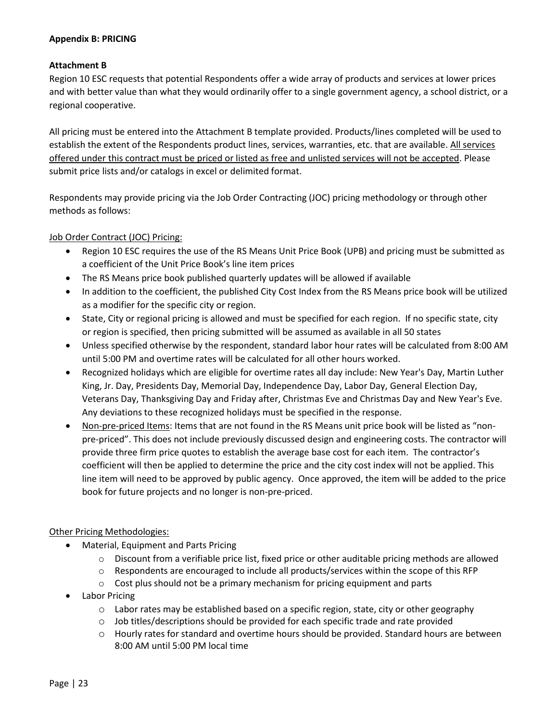## <span id="page-22-0"></span>**Appendix B: PRICING**

## **Attachment B**

Region 10 ESC requests that potential Respondents offer a wide array of products and services at lower prices and with better value than what they would ordinarily offer to a single government agency, a school district, or a regional cooperative.

All pricing must be entered into the Attachment B template provided. Products/lines completed will be used to establish the extent of the Respondents product lines, services, warranties, etc. that are available. All services offered under this contract must be priced or listed as free and unlisted services will not be accepted. Please submit price lists and/or catalogs in excel or delimited format.

Respondents may provide pricing via the Job Order Contracting (JOC) pricing methodology or through other methods as follows:

# Job Order Contract (JOC) Pricing:

- Region 10 ESC requires the use of the RS Means Unit Price Book (UPB) and pricing must be submitted as a coefficient of the Unit Price Book's line item prices
- The RS Means price book published quarterly updates will be allowed if available
- In addition to the coefficient, the published City Cost Index from the RS Means price book will be utilized as a modifier for the specific city or region.
- State, City or regional pricing is allowed and must be specified for each region. If no specific state, city or region is specified, then pricing submitted will be assumed as available in all 50 states
- Unless specified otherwise by the respondent, standard labor hour rates will be calculated from 8:00 AM until 5:00 PM and overtime rates will be calculated for all other hours worked.
- Recognized holidays which are eligible for overtime rates all day include: New Year's Day, Martin Luther King, Jr. Day, Presidents Day, Memorial Day, Independence Day, Labor Day, General Election Day, Veterans Day, Thanksgiving Day and Friday after, Christmas Eve and Christmas Day and New Year's Eve. Any deviations to these recognized holidays must be specified in the response.
- Non-pre-priced Items: Items that are not found in the RS Means unit price book will be listed as "nonpre-priced". This does not include previously discussed design and engineering costs. The contractor will provide three firm price quotes to establish the average base cost for each item. The contractor's coefficient will then be applied to determine the price and the city cost index will not be applied. This line item will need to be approved by public agency. Once approved, the item will be added to the price book for future projects and no longer is non-pre-priced.

## Other Pricing Methodologies:

- Material, Equipment and Parts Pricing
	- $\circ$  Discount from a verifiable price list, fixed price or other auditable pricing methods are allowed
	- $\circ$  Respondents are encouraged to include all products/services within the scope of this RFP
	- o Cost plus should not be a primary mechanism for pricing equipment and parts
- **Labor Pricing** 
	- o Labor rates may be established based on a specific region, state, city or other geography
	- o Job titles/descriptions should be provided for each specific trade and rate provided
	- o Hourly rates for standard and overtime hours should be provided. Standard hours are between 8:00 AM until 5:00 PM local time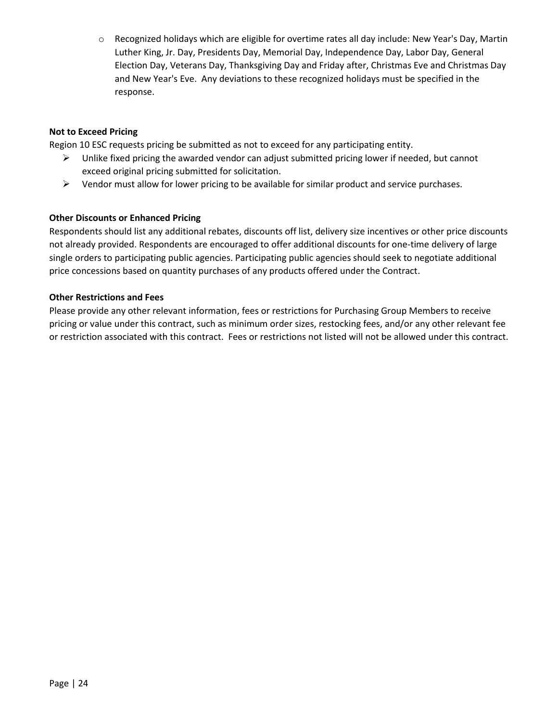o Recognized holidays which are eligible for overtime rates all day include: New Year's Day, Martin Luther King, Jr. Day, Presidents Day, Memorial Day, Independence Day, Labor Day, General Election Day, Veterans Day, Thanksgiving Day and Friday after, Christmas Eve and Christmas Day and New Year's Eve. Any deviations to these recognized holidays must be specified in the response.

## **Not to Exceed Pricing**

Region 10 ESC requests pricing be submitted as not to exceed for any participating entity.

- $\triangleright$  Unlike fixed pricing the awarded vendor can adjust submitted pricing lower if needed, but cannot exceed original pricing submitted for solicitation.
- $\triangleright$  Vendor must allow for lower pricing to be available for similar product and service purchases.

## **Other Discounts or Enhanced Pricing**

Respondents should list any additional rebates, discounts off list, delivery size incentives or other price discounts not already provided. Respondents are encouraged to offer additional discounts for one-time delivery of large single orders to participating public agencies. Participating public agencies should seek to negotiate additional price concessions based on quantity purchases of any products offered under the Contract.

## **Other Restrictions and Fees**

Please provide any other relevant information, fees or restrictions for Purchasing Group Members to receive pricing or value under this contract, such as minimum order sizes, restocking fees, and/or any other relevant fee or restriction associated with this contract. Fees or restrictions not listed will not be allowed under this contract.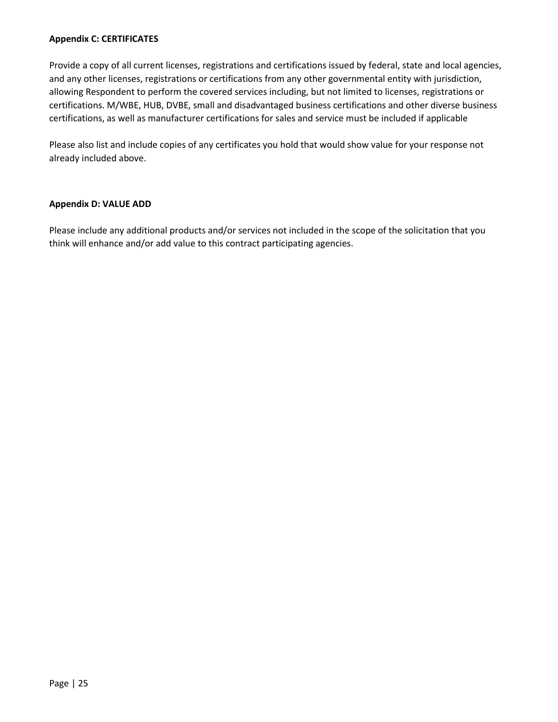## <span id="page-24-0"></span>**Appendix C: CERTIFICATES**

Provide a copy of all current licenses, registrations and certifications issued by federal, state and local agencies, and any other licenses, registrations or certifications from any other governmental entity with jurisdiction, allowing Respondent to perform the covered services including, but not limited to licenses, registrations or certifications. M/WBE, HUB, DVBE, small and disadvantaged business certifications and other diverse business certifications, as well as manufacturer certifications for sales and service must be included if applicable

Please also list and include copies of any certificates you hold that would show value for your response not already included above.

#### <span id="page-24-1"></span>**Appendix D: VALUE ADD**

Please include any additional products and/or services not included in the scope of the solicitation that you think will enhance and/or add value to this contract participating agencies.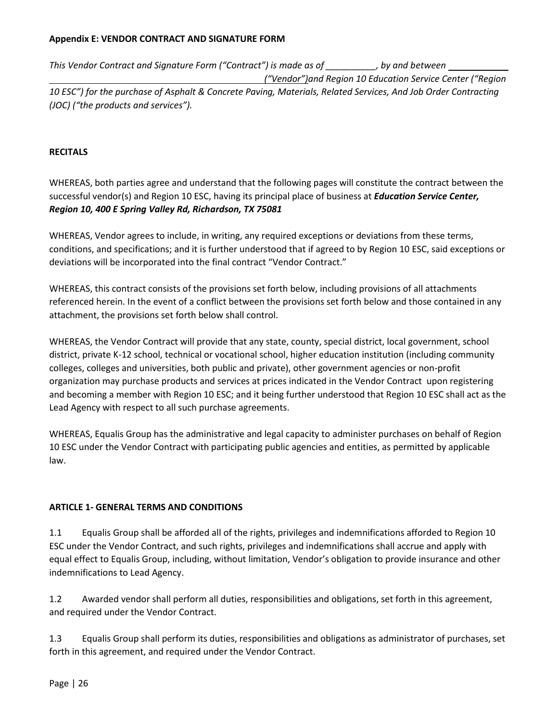# <span id="page-25-0"></span>**Appendix E: VENDOR CONTRACT AND SIGNATURE FORM**

*This Vendor Contract and Signature Form ("Contract") is made as of \_\_\_\_\_\_\_\_\_\_, by and between* 

 *("Vendor")and Region 10 Education Service Center ("Region* 

*10 ESC") for the purchase of Asphalt & Concrete Paving, Materials, Related Services, And Job Order Contracting (JOC) ("the products and services").*

# <span id="page-25-1"></span>**RECITALS**

WHEREAS, both parties agree and understand that the following pages will constitute the contract between the successful vendor(s) and Region 10 ESC, having its principal place of business at *Education Service Center, Region 10, 400 E Spring Valley Rd, Richardson, TX 75081*

WHEREAS, Vendor agrees to include, in writing, any required exceptions or deviations from these terms, conditions, and specifications; and it is further understood that if agreed to by Region 10 ESC, said exceptions or deviations will be incorporated into the final contract "Vendor Contract."

WHEREAS, this contract consists of the provisions set forth below, including provisions of all attachments referenced herein. In the event of a conflict between the provisions set forth below and those contained in any attachment, the provisions set forth below shall control.

WHEREAS, the Vendor Contract will provide that any state, county, special district, local government, school district, private K-12 school, technical or vocational school, higher education institution (including community colleges, colleges and universities, both public and private), other government agencies or non-profit organization may purchase products and services at prices indicated in the Vendor Contract upon registering and becoming a member with Region 10 ESC; and it being further understood that Region 10 ESC shall act as the Lead Agency with respect to all such purchase agreements.

WHEREAS, Equalis Group has the administrative and legal capacity to administer purchases on behalf of Region 10 ESC under the Vendor Contract with participating public agencies and entities, as permitted by applicable law.

# **ARTICLE 1- GENERAL TERMS AND CONDITIONS**

1.1 Equalis Group shall be afforded all of the rights, privileges and indemnifications afforded to Region 10 ESC under the Vendor Contract, and such rights, privileges and indemnifications shall accrue and apply with equal effect to Equalis Group, including, without limitation, Vendor's obligation to provide insurance and other indemnifications to Lead Agency.

1.2 Awarded vendor shall perform all duties, responsibilities and obligations, set forth in this agreement, and required under the Vendor Contract.

1.3 Equalis Group shall perform its duties, responsibilities and obligations as administrator of purchases, set forth in this agreement, and required under the Vendor Contract.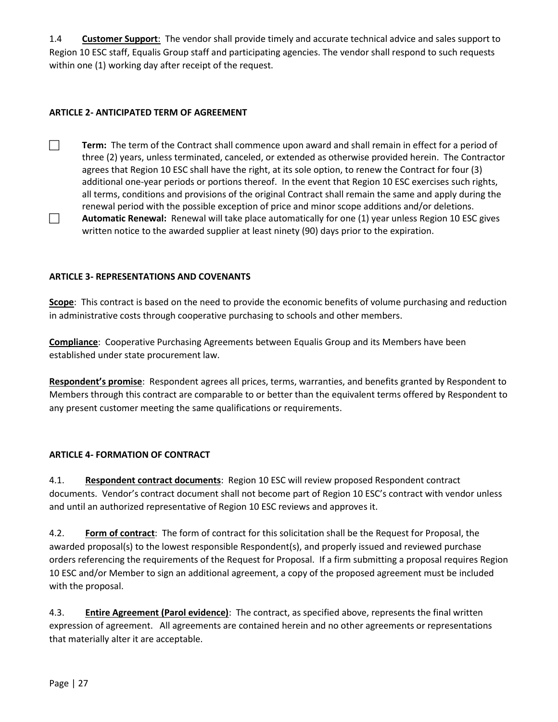1.4 **Customer Support**: The vendor shall provide timely and accurate technical advice and sales support to Region 10 ESC staff, Equalis Group staff and participating agencies. The vendor shall respond to such requests within one (1) working day after receipt of the request.

# **ARTICLE 2- ANTICIPATED TERM OF AGREEMENT**

- **Term:** The term of the Contract shall commence upon award and shall remain in effect for a period of three (2) years, unless terminated, canceled, or extended as otherwise provided herein. The Contractor agrees that Region 10 ESC shall have the right, at its sole option, to renew the Contract for four (3) additional one-year periods or portions thereof. In the event that Region 10 ESC exercises such rights, all terms, conditions and provisions of the original Contract shall remain the same and apply during the renewal period with the possible exception of price and minor scope additions and/or deletions. **Automatic Renewal:** Renewal will take place automatically for one (1) year unless Region 10 ESC gives
	- written notice to the awarded supplier at least ninety (90) days prior to the expiration.

## **ARTICLE 3- REPRESENTATIONS AND COVENANTS**

**Scope**: This contract is based on the need to provide the economic benefits of volume purchasing and reduction in administrative costs through cooperative purchasing to schools and other members.

**Compliance**: Cooperative Purchasing Agreements between Equalis Group and its Members have been established under state procurement law.

**Respondent's promise**: Respondent agrees all prices, terms, warranties, and benefits granted by Respondent to Members through this contract are comparable to or better than the equivalent terms offered by Respondent to any present customer meeting the same qualifications or requirements.

## **ARTICLE 4- FORMATION OF CONTRACT**

4.1. **Respondent contract documents**: Region 10 ESC will review proposed Respondent contract documents. Vendor's contract document shall not become part of Region 10 ESC's contract with vendor unless and until an authorized representative of Region 10 ESC reviews and approves it.

4.2. **Form of contract**:The form of contract for this solicitation shall be the Request for Proposal, the awarded proposal(s) to the lowest responsible Respondent(s), and properly issued and reviewed purchase orders referencing the requirements of the Request for Proposal. If a firm submitting a proposal requires Region 10 ESC and/or Member to sign an additional agreement, a copy of the proposed agreement must be included with the proposal.

4.3. **Entire Agreement (Parol evidence)**: The contract, as specified above, represents the final written expression of agreement. All agreements are contained herein and no other agreements or representations that materially alter it are acceptable.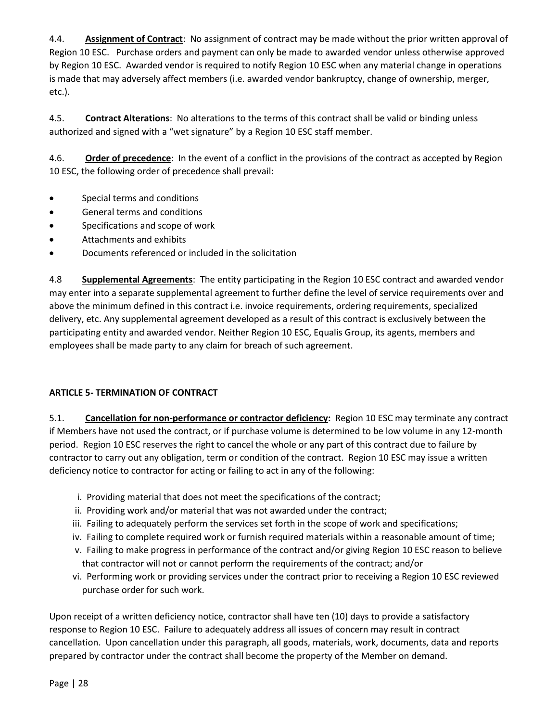4.4. **Assignment of Contract**: No assignment of contract may be made without the prior written approval of Region 10 ESC. Purchase orders and payment can only be made to awarded vendor unless otherwise approved by Region 10 ESC. Awarded vendor is required to notify Region 10 ESC when any material change in operations is made that may adversely affect members (i.e. awarded vendor bankruptcy, change of ownership, merger, etc.).

4.5. **Contract Alterations**: No alterations to the terms of this contract shall be valid or binding unless authorized and signed with a "wet signature" by a Region 10 ESC staff member.

4.6. **Order of precedence**: In the event of a conflict in the provisions of the contract as accepted by Region 10 ESC, the following order of precedence shall prevail:

- Special terms and conditions
- General terms and conditions
- Specifications and scope of work
- Attachments and exhibits
- Documents referenced or included in the solicitation

4.8 **Supplemental Agreements**: The entity participating in the Region 10 ESC contract and awarded vendor may enter into a separate supplemental agreement to further define the level of service requirements over and above the minimum defined in this contract i.e. invoice requirements, ordering requirements, specialized delivery, etc. Any supplemental agreement developed as a result of this contract is exclusively between the participating entity and awarded vendor. Neither Region 10 ESC, Equalis Group, its agents, members and employees shall be made party to any claim for breach of such agreement.

# **ARTICLE 5- TERMINATION OF CONTRACT**

5.1. **Cancellation for non-performance or contractor deficiency:** Region 10 ESC may terminate any contract if Members have not used the contract, or if purchase volume is determined to be low volume in any 12-month period. Region 10 ESC reserves the right to cancel the whole or any part of this contract due to failure by contractor to carry out any obligation, term or condition of the contract. Region 10 ESC may issue a written deficiency notice to contractor for acting or failing to act in any of the following:

- i. Providing material that does not meet the specifications of the contract;
- ii. Providing work and/or material that was not awarded under the contract;
- iii. Failing to adequately perform the services set forth in the scope of work and specifications;
- iv. Failing to complete required work or furnish required materials within a reasonable amount of time;
- v. Failing to make progress in performance of the contract and/or giving Region 10 ESC reason to believe that contractor will not or cannot perform the requirements of the contract; and/or
- vi. Performing work or providing services under the contract prior to receiving a Region 10 ESC reviewed purchase order for such work.

Upon receipt of a written deficiency notice, contractor shall have ten (10) days to provide a satisfactory response to Region 10 ESC. Failure to adequately address all issues of concern may result in contract cancellation. Upon cancellation under this paragraph, all goods, materials, work, documents, data and reports prepared by contractor under the contract shall become the property of the Member on demand.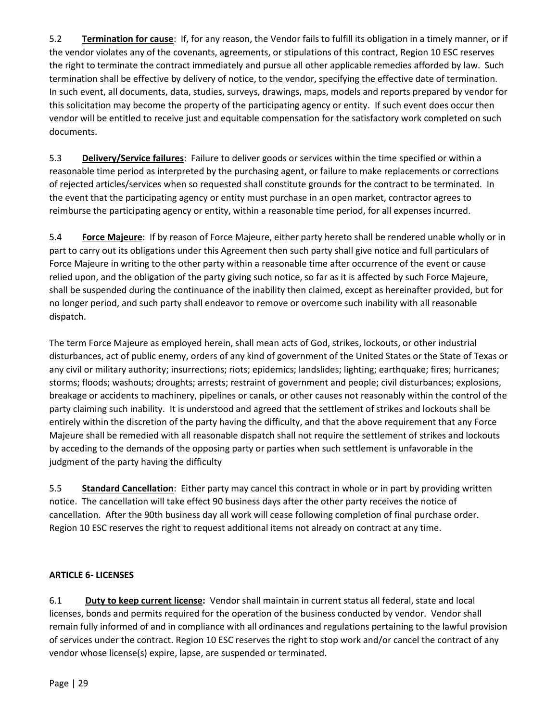5.2 **Termination for cause**: If, for any reason, the Vendor fails to fulfill its obligation in a timely manner, or if the vendor violates any of the covenants, agreements, or stipulations of this contract, Region 10 ESC reserves the right to terminate the contract immediately and pursue all other applicable remedies afforded by law. Such termination shall be effective by delivery of notice, to the vendor, specifying the effective date of termination. In such event, all documents, data, studies, surveys, drawings, maps, models and reports prepared by vendor for this solicitation may become the property of the participating agency or entity. If such event does occur then vendor will be entitled to receive just and equitable compensation for the satisfactory work completed on such documents.

5.3 **Delivery/Service failures**: Failure to deliver goods or services within the time specified or within a reasonable time period as interpreted by the purchasing agent, or failure to make replacements or corrections of rejected articles/services when so requested shall constitute grounds for the contract to be terminated. In the event that the participating agency or entity must purchase in an open market, contractor agrees to reimburse the participating agency or entity, within a reasonable time period, for all expenses incurred.

5.4 **Force Majeure**: If by reason of Force Majeure, either party hereto shall be rendered unable wholly or in part to carry out its obligations under this Agreement then such party shall give notice and full particulars of Force Majeure in writing to the other party within a reasonable time after occurrence of the event or cause relied upon, and the obligation of the party giving such notice, so far as it is affected by such Force Majeure, shall be suspended during the continuance of the inability then claimed, except as hereinafter provided, but for no longer period, and such party shall endeavor to remove or overcome such inability with all reasonable dispatch.

The term Force Majeure as employed herein, shall mean acts of God, strikes, lockouts, or other industrial disturbances, act of public enemy, orders of any kind of government of the United States or the State of Texas or any civil or military authority; insurrections; riots; epidemics; landslides; lighting; earthquake; fires; hurricanes; storms; floods; washouts; droughts; arrests; restraint of government and people; civil disturbances; explosions, breakage or accidents to machinery, pipelines or canals, or other causes not reasonably within the control of the party claiming such inability. It is understood and agreed that the settlement of strikes and lockouts shall be entirely within the discretion of the party having the difficulty, and that the above requirement that any Force Majeure shall be remedied with all reasonable dispatch shall not require the settlement of strikes and lockouts by acceding to the demands of the opposing party or parties when such settlement is unfavorable in the judgment of the party having the difficulty

5.5 **Standard Cancellation**: Either party may cancel this contract in whole or in part by providing written notice. The cancellation will take effect 90 business days after the other party receives the notice of cancellation. After the 90th business day all work will cease following completion of final purchase order. Region 10 ESC reserves the right to request additional items not already on contract at any time.

# **ARTICLE 6- LICENSES**

6.1 **Duty to keep current license:** Vendor shall maintain in current status all federal, state and local licenses, bonds and permits required for the operation of the business conducted by vendor. Vendor shall remain fully informed of and in compliance with all ordinances and regulations pertaining to the lawful provision of services under the contract. Region 10 ESC reserves the right to stop work and/or cancel the contract of any vendor whose license(s) expire, lapse, are suspended or terminated.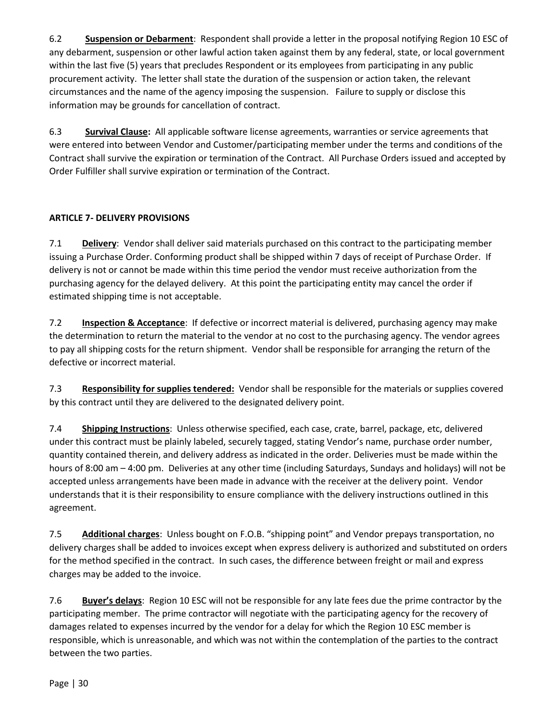6.2 **Suspension or Debarment**: Respondent shall provide a letter in the proposal notifying Region 10 ESC of any debarment, suspension or other lawful action taken against them by any federal, state, or local government within the last five (5) years that precludes Respondent or its employees from participating in any public procurement activity. The letter shall state the duration of the suspension or action taken, the relevant circumstances and the name of the agency imposing the suspension. Failure to supply or disclose this information may be grounds for cancellation of contract.

6.3 **Survival Clause:** All applicable software license agreements, warranties or service agreements that were entered into between Vendor and Customer/participating member under the terms and conditions of the Contract shall survive the expiration or termination of the Contract. All Purchase Orders issued and accepted by Order Fulfiller shall survive expiration or termination of the Contract.

# **ARTICLE 7- DELIVERY PROVISIONS**

7.1 **Delivery**:Vendor shall deliver said materials purchased on this contract to the participating member issuing a Purchase Order. Conforming product shall be shipped within 7 days of receipt of Purchase Order. If delivery is not or cannot be made within this time period the vendor must receive authorization from the purchasing agency for the delayed delivery. At this point the participating entity may cancel the order if estimated shipping time is not acceptable.

7.2 **Inspection & Acceptance**: If defective or incorrect material is delivered, purchasing agency may make the determination to return the material to the vendor at no cost to the purchasing agency. The vendor agrees to pay all shipping costs for the return shipment. Vendor shall be responsible for arranging the return of the defective or incorrect material.

7.3 **Responsibility for supplies tendered:** Vendor shall be responsible for the materials or supplies covered by this contract until they are delivered to the designated delivery point.

7.4 **Shipping Instructions**: Unless otherwise specified, each case, crate, barrel, package, etc, delivered under this contract must be plainly labeled, securely tagged, stating Vendor's name, purchase order number, quantity contained therein, and delivery address as indicated in the order. Deliveries must be made within the hours of 8:00 am – 4:00 pm. Deliveries at any other time (including Saturdays, Sundays and holidays) will not be accepted unless arrangements have been made in advance with the receiver at the delivery point. Vendor understands that it is their responsibility to ensure compliance with the delivery instructions outlined in this agreement.

7.5 **Additional charges**: Unless bought on F.O.B. "shipping point" and Vendor prepays transportation, no delivery charges shall be added to invoices except when express delivery is authorized and substituted on orders for the method specified in the contract. In such cases, the difference between freight or mail and express charges may be added to the invoice.

7.6 **Buyer's delays**: Region 10 ESC will not be responsible for any late fees due the prime contractor by the participating member. The prime contractor will negotiate with the participating agency for the recovery of damages related to expenses incurred by the vendor for a delay for which the Region 10 ESC member is responsible, which is unreasonable, and which was not within the contemplation of the parties to the contract between the two parties.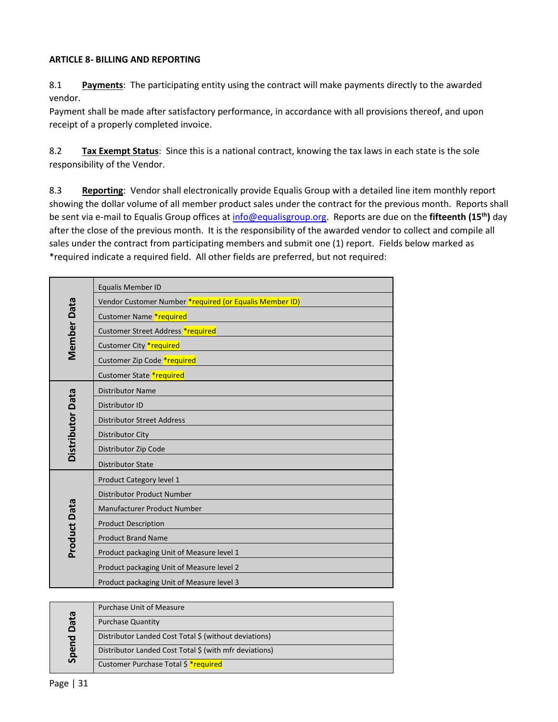# **ARTICLE 8- BILLING AND REPORTING**

8.1 **Payments**:The participating entity using the contract will make payments directly to the awarded vendor.

Payment shall be made after satisfactory performance, in accordance with all provisions thereof, and upon receipt of a properly completed invoice.

8.2 **Tax Exempt Status**: Since this is a national contract, knowing the tax laws in each state is the sole responsibility of the Vendor.

8.3 **Reporting**: Vendor shall electronically provide Equalis Group with a detailed line item monthly report showing the dollar volume of all member product sales under the contract for the previous month. Reports shall be sent via e-mail to Equalis Group offices at [info@equalisgroup.org.](mailto:info@equalisgroup.org) Reports are due on the **fifteenth (15th)** day after the close of the previous month. It is the responsibility of the awarded vendor to collect and compile all sales under the contract from participating members and submit one (1) report. Fields below marked as \*required indicate a required field. All other fields are preferred, but not required:

| <b>Equalis Member ID</b>                                |
|---------------------------------------------------------|
| Vendor Customer Number *required (or Equalis Member ID) |
| Customer Name *required                                 |
| Customer Street Address *required                       |
| Customer City *required                                 |
|                                                         |
| Customer Zip Code *required                             |
| Customer State *required                                |
| <b>Distributor Name</b>                                 |
| Distributor ID                                          |
| <b>Distributor Street Address</b>                       |
| Distributor City                                        |
| Distributor Zip Code                                    |
| <b>Distributor State</b>                                |
| Product Category level 1                                |
| Distributor Product Number                              |
| Manufacturer Product Number                             |
| <b>Product Description</b>                              |
| <b>Product Brand Name</b>                               |
| Product packaging Unit of Measure level 1               |
| Product packaging Unit of Measure level 2               |
| Product packaging Unit of Measure level 3               |
|                                                         |

|             | <b>Purchase Unit of Measure</b>                        |
|-------------|--------------------------------------------------------|
| <b>Data</b> | <b>Purchase Quantity</b>                               |
|             | Distributor Landed Cost Total \$ (without deviations)  |
| Spend       | Distributor Landed Cost Total \$ (with mfr deviations) |
|             | Customer Purchase Total \$ *required                   |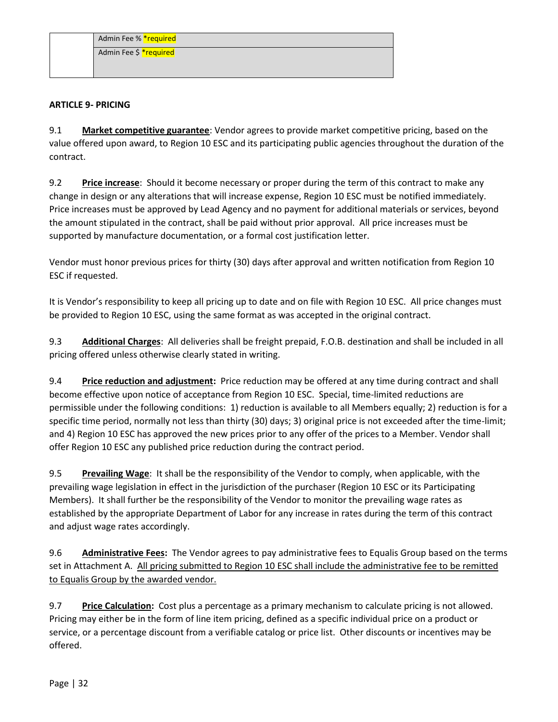| Admin Fee % *required  |
|------------------------|
| Admin Fee \$ *required |
|                        |

# **ARTICLE 9- PRICING**

9.1 **Market competitive guarantee**: Vendor agrees to provide market competitive pricing, based on the value offered upon award, to Region 10 ESC and its participating public agencies throughout the duration of the contract.

9.2 **Price increase**: Should it become necessary or proper during the term of this contract to make any change in design or any alterations that will increase expense, Region 10 ESC must be notified immediately. Price increases must be approved by Lead Agency and no payment for additional materials or services, beyond the amount stipulated in the contract, shall be paid without prior approval. All price increases must be supported by manufacture documentation, or a formal cost justification letter.

Vendor must honor previous prices for thirty (30) days after approval and written notification from Region 10 ESC if requested.

It is Vendor's responsibility to keep all pricing up to date and on file with Region 10 ESC. All price changes must be provided to Region 10 ESC, using the same format as was accepted in the original contract.

9.3 **Additional Charges**: All deliveries shall be freight prepaid, F.O.B. destination and shall be included in all pricing offered unless otherwise clearly stated in writing.

9.4 **Price reduction and adjustment:** Price reduction may be offered at any time during contract and shall become effective upon notice of acceptance from Region 10 ESC. Special, time-limited reductions are permissible under the following conditions: 1) reduction is available to all Members equally; 2) reduction is for a specific time period, normally not less than thirty (30) days; 3) original price is not exceeded after the time-limit; and 4) Region 10 ESC has approved the new prices prior to any offer of the prices to a Member. Vendor shall offer Region 10 ESC any published price reduction during the contract period.

9.5 **Prevailing Wage**: It shall be the responsibility of the Vendor to comply, when applicable, with the prevailing wage legislation in effect in the jurisdiction of the purchaser (Region 10 ESC or its Participating Members). It shall further be the responsibility of the Vendor to monitor the prevailing wage rates as established by the appropriate Department of Labor for any increase in rates during the term of this contract and adjust wage rates accordingly.

9.6 **Administrative Fees:** The Vendor agrees to pay administrative fees to Equalis Group based on the terms set in Attachment A. All pricing submitted to Region 10 ESC shall include the administrative fee to be remitted to Equalis Group by the awarded vendor.

9.7 **Price Calculation:** Cost plus a percentage as a primary mechanism to calculate pricing is not allowed. Pricing may either be in the form of line item pricing, defined as a specific individual price on a product or service, or a percentage discount from a verifiable catalog or price list. Other discounts or incentives may be offered.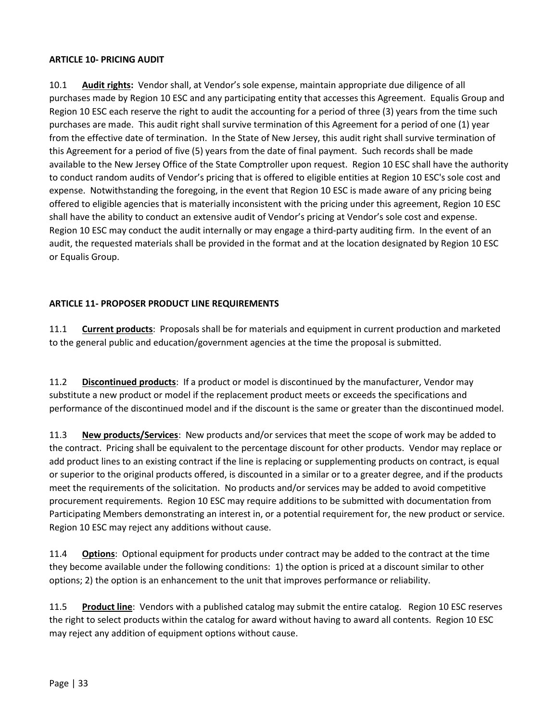## **ARTICLE 10- PRICING AUDIT**

10.1 **Audit rights:** Vendor shall, at Vendor's sole expense, maintain appropriate due diligence of all purchases made by Region 10 ESC and any participating entity that accesses this Agreement. Equalis Group and Region 10 ESC each reserve the right to audit the accounting for a period of three (3) years from the time such purchases are made. This audit right shall survive termination of this Agreement for a period of one (1) year from the effective date of termination. In the State of New Jersey, this audit right shall survive termination of this Agreement for a period of five (5) years from the date of final payment. Such records shall be made available to the New Jersey Office of the State Comptroller upon request. Region 10 ESC shall have the authority to conduct random audits of Vendor's pricing that is offered to eligible entities at Region 10 ESC's sole cost and expense. Notwithstanding the foregoing, in the event that Region 10 ESC is made aware of any pricing being offered to eligible agencies that is materially inconsistent with the pricing under this agreement, Region 10 ESC shall have the ability to conduct an extensive audit of Vendor's pricing at Vendor's sole cost and expense. Region 10 ESC may conduct the audit internally or may engage a third-party auditing firm. In the event of an audit, the requested materials shall be provided in the format and at the location designated by Region 10 ESC or Equalis Group.

# **ARTICLE 11- PROPOSER PRODUCT LINE REQUIREMENTS**

11.1 **Current products**:Proposals shall be for materials and equipment in current production and marketed to the general public and education/government agencies at the time the proposal is submitted.

11.2 **Discontinued products**:If a product or model is discontinued by the manufacturer, Vendor may substitute a new product or model if the replacement product meets or exceeds the specifications and performance of the discontinued model and if the discount is the same or greater than the discontinued model.

11.3 **New products/Services**:New products and/or services that meet the scope of work may be added to the contract. Pricing shall be equivalent to the percentage discount for other products. Vendor may replace or add product lines to an existing contract if the line is replacing or supplementing products on contract, is equal or superior to the original products offered, is discounted in a similar or to a greater degree, and if the products meet the requirements of the solicitation. No products and/or services may be added to avoid competitive procurement requirements. Region 10 ESC may require additions to be submitted with documentation from Participating Members demonstrating an interest in, or a potential requirement for, the new product or service. Region 10 ESC may reject any additions without cause.

11.4 **Options**:Optional equipment for products under contract may be added to the contract at the time they become available under the following conditions: 1) the option is priced at a discount similar to other options; 2) the option is an enhancement to the unit that improves performance or reliability.

11.5 **Product line**:Vendors with a published catalog may submit the entire catalog. Region 10 ESC reserves the right to select products within the catalog for award without having to award all contents. Region 10 ESC may reject any addition of equipment options without cause.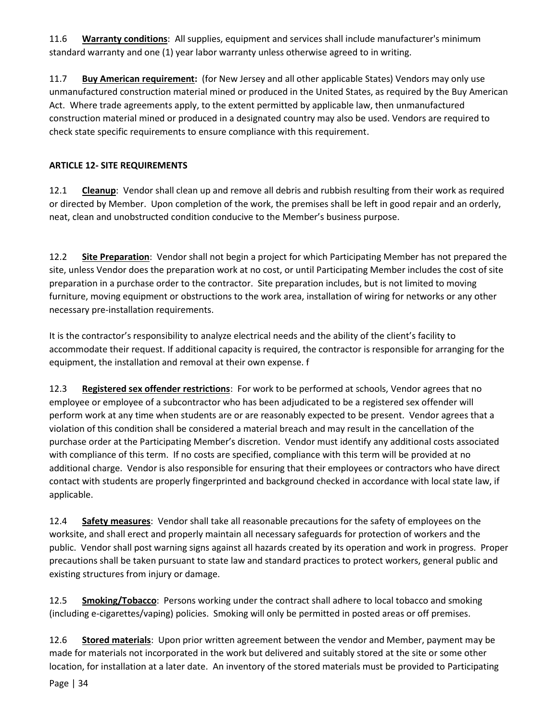11.6 **Warranty conditions**:All supplies, equipment and services shall include manufacturer's minimum standard warranty and one (1) year labor warranty unless otherwise agreed to in writing.

11.7 **Buy American requirement:** (for New Jersey and all other applicable States) Vendors may only use unmanufactured construction material mined or produced in the United States, as required by the Buy American Act. Where trade agreements apply, to the extent permitted by applicable law, then unmanufactured construction material mined or produced in a designated country may also be used. Vendors are required to check state specific requirements to ensure compliance with this requirement.

# **ARTICLE 12- SITE REQUIREMENTS**

12.1 **Cleanup**: Vendor shall clean up and remove all debris and rubbish resulting from their work as required or directed by Member. Upon completion of the work, the premises shall be left in good repair and an orderly, neat, clean and unobstructed condition conducive to the Member's business purpose.

12.2 **Site Preparation**:Vendor shall not begin a project for which Participating Member has not prepared the site, unless Vendor does the preparation work at no cost, or until Participating Member includes the cost of site preparation in a purchase order to the contractor. Site preparation includes, but is not limited to moving furniture, moving equipment or obstructions to the work area, installation of wiring for networks or any other necessary pre-installation requirements.

It is the contractor's responsibility to analyze electrical needs and the ability of the client's facility to accommodate their request. If additional capacity is required, the contractor is responsible for arranging for the equipment, the installation and removal at their own expense. f

12.3 **Registered sex offender restrictions**:For work to be performed at schools, Vendor agrees that no employee or employee of a subcontractor who has been adjudicated to be a registered sex offender will perform work at any time when students are or are reasonably expected to be present. Vendor agrees that a violation of this condition shall be considered a material breach and may result in the cancellation of the purchase order at the Participating Member's discretion. Vendor must identify any additional costs associated with compliance of this term. If no costs are specified, compliance with this term will be provided at no additional charge. Vendor is also responsible for ensuring that their employees or contractors who have direct contact with students are properly fingerprinted and background checked in accordance with local state law, if applicable.

12.4 **Safety measures**:Vendor shall take all reasonable precautions for the safety of employees on the worksite, and shall erect and properly maintain all necessary safeguards for protection of workers and the public. Vendor shall post warning signs against all hazards created by its operation and work in progress. Proper precautions shall be taken pursuant to state law and standard practices to protect workers, general public and existing structures from injury or damage.

12.5 **Smoking/Tobacco**:Persons working under the contract shall adhere to local tobacco and smoking (including e-cigarettes/vaping) policies. Smoking will only be permitted in posted areas or off premises.

12.6 **Stored materials**:Upon prior written agreement between the vendor and Member, payment may be made for materials not incorporated in the work but delivered and suitably stored at the site or some other location, for installation at a later date. An inventory of the stored materials must be provided to Participating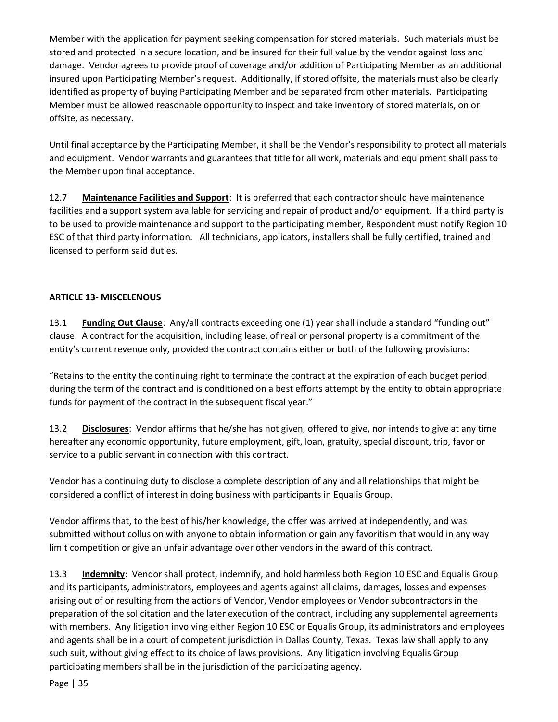Member with the application for payment seeking compensation for stored materials. Such materials must be stored and protected in a secure location, and be insured for their full value by the vendor against loss and damage. Vendor agrees to provide proof of coverage and/or addition of Participating Member as an additional insured upon Participating Member's request. Additionally, if stored offsite, the materials must also be clearly identified as property of buying Participating Member and be separated from other materials. Participating Member must be allowed reasonable opportunity to inspect and take inventory of stored materials, on or offsite, as necessary.

Until final acceptance by the Participating Member, it shall be the Vendor's responsibility to protect all materials and equipment. Vendor warrants and guarantees that title for all work, materials and equipment shall pass to the Member upon final acceptance.

12.7 **Maintenance Facilities and Support**: It is preferred that each contractor should have maintenance facilities and a support system available for servicing and repair of product and/or equipment. If a third party is to be used to provide maintenance and support to the participating member, Respondent must notify Region 10 ESC of that third party information. All technicians, applicators, installers shall be fully certified, trained and licensed to perform said duties.

# **ARTICLE 13- MISCELENOUS**

13.1 **Funding Out Clause**: Any/all contracts exceeding one (1) year shall include a standard "funding out" clause. A contract for the acquisition, including lease, of real or personal property is a commitment of the entity's current revenue only, provided the contract contains either or both of the following provisions:

"Retains to the entity the continuing right to terminate the contract at the expiration of each budget period during the term of the contract and is conditioned on a best efforts attempt by the entity to obtain appropriate funds for payment of the contract in the subsequent fiscal year."

13.2 **Disclosures**: Vendor affirms that he/she has not given, offered to give, nor intends to give at any time hereafter any economic opportunity, future employment, gift, loan, gratuity, special discount, trip, favor or service to a public servant in connection with this contract.

Vendor has a continuing duty to disclose a complete description of any and all relationships that might be considered a conflict of interest in doing business with participants in Equalis Group.

Vendor affirms that, to the best of his/her knowledge, the offer was arrived at independently, and was submitted without collusion with anyone to obtain information or gain any favoritism that would in any way limit competition or give an unfair advantage over other vendors in the award of this contract.

13.3 **Indemnity**: Vendor shall protect, indemnify, and hold harmless both Region 10 ESC and Equalis Group and its participants, administrators, employees and agents against all claims, damages, losses and expenses arising out of or resulting from the actions of Vendor, Vendor employees or Vendor subcontractors in the preparation of the solicitation and the later execution of the contract, including any supplemental agreements with members. Any litigation involving either Region 10 ESC or Equalis Group, its administrators and employees and agents shall be in a court of competent jurisdiction in Dallas County, Texas. Texas law shall apply to any such suit, without giving effect to its choice of laws provisions. Any litigation involving Equalis Group participating members shall be in the jurisdiction of the participating agency.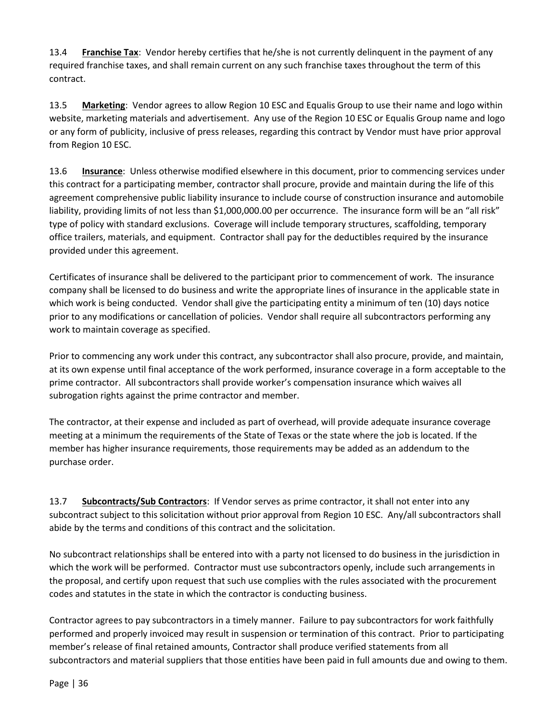13.4 **Franchise Tax**: Vendor hereby certifies that he/she is not currently delinquent in the payment of any required franchise taxes, and shall remain current on any such franchise taxes throughout the term of this contract.

13.5 **Marketing**: Vendor agrees to allow Region 10 ESC and Equalis Group to use their name and logo within website, marketing materials and advertisement. Any use of the Region 10 ESC or Equalis Group name and logo or any form of publicity, inclusive of press releases, regarding this contract by Vendor must have prior approval from Region 10 ESC.

13.6 **Insurance**:Unless otherwise modified elsewhere in this document, prior to commencing services under this contract for a participating member, contractor shall procure, provide and maintain during the life of this agreement comprehensive public liability insurance to include course of construction insurance and automobile liability, providing limits of not less than \$1,000,000.00 per occurrence. The insurance form will be an "all risk" type of policy with standard exclusions. Coverage will include temporary structures, scaffolding, temporary office trailers, materials, and equipment. Contractor shall pay for the deductibles required by the insurance provided under this agreement.

Certificates of insurance shall be delivered to the participant prior to commencement of work. The insurance company shall be licensed to do business and write the appropriate lines of insurance in the applicable state in which work is being conducted. Vendor shall give the participating entity a minimum of ten (10) days notice prior to any modifications or cancellation of policies. Vendor shall require all subcontractors performing any work to maintain coverage as specified.

Prior to commencing any work under this contract, any subcontractor shall also procure, provide, and maintain, at its own expense until final acceptance of the work performed, insurance coverage in a form acceptable to the prime contractor. All subcontractors shall provide worker's compensation insurance which waives all subrogation rights against the prime contractor and member.

The contractor, at their expense and included as part of overhead, will provide adequate insurance coverage meeting at a minimum the requirements of the State of Texas or the state where the job is located. If the member has higher insurance requirements, those requirements may be added as an addendum to the purchase order.

13.7 **Subcontracts/Sub Contractors**: If Vendor serves as prime contractor, it shall not enter into any subcontract subject to this solicitation without prior approval from Region 10 ESC. Any/all subcontractors shall abide by the terms and conditions of this contract and the solicitation.

No subcontract relationships shall be entered into with a party not licensed to do business in the jurisdiction in which the work will be performed. Contractor must use subcontractors openly, include such arrangements in the proposal, and certify upon request that such use complies with the rules associated with the procurement codes and statutes in the state in which the contractor is conducting business.

Contractor agrees to pay subcontractors in a timely manner. Failure to pay subcontractors for work faithfully performed and properly invoiced may result in suspension or termination of this contract. Prior to participating member's release of final retained amounts, Contractor shall produce verified statements from all subcontractors and material suppliers that those entities have been paid in full amounts due and owing to them.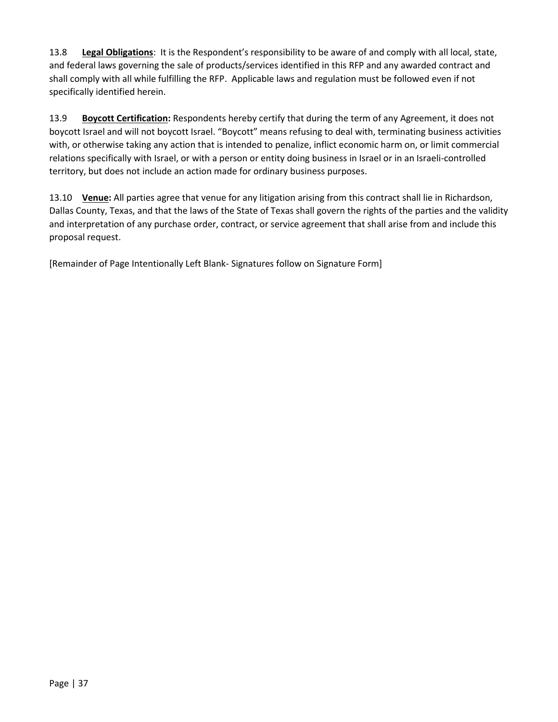13.8 **Legal Obligations**: It is the Respondent's responsibility to be aware of and comply with all local, state, and federal laws governing the sale of products/services identified in this RFP and any awarded contract and shall comply with all while fulfilling the RFP. Applicable laws and regulation must be followed even if not specifically identified herein.

13.9 **Boycott Certification:** Respondents hereby certify that during the term of any Agreement, it does not boycott Israel and will not boycott Israel. "Boycott" means refusing to deal with, terminating business activities with, or otherwise taking any action that is intended to penalize, inflict economic harm on, or limit commercial relations specifically with Israel, or with a person or entity doing business in Israel or in an Israeli-controlled territory, but does not include an action made for ordinary business purposes.

13.10 **Venue:** All parties agree that venue for any litigation arising from this contract shall lie in Richardson, Dallas County, Texas, and that the laws of the State of Texas shall govern the rights of the parties and the validity and interpretation of any purchase order, contract, or service agreement that shall arise from and include this proposal request.

[Remainder of Page Intentionally Left Blank- Signatures follow on Signature Form]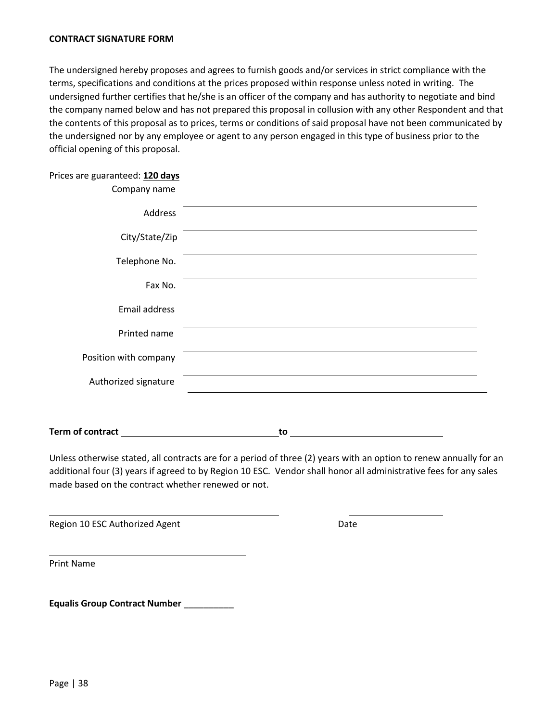#### <span id="page-37-0"></span>**CONTRACT SIGNATURE FORM**

The undersigned hereby proposes and agrees to furnish goods and/or services in strict compliance with the terms, specifications and conditions at the prices proposed within response unless noted in writing. The undersigned further certifies that he/she is an officer of the company and has authority to negotiate and bind the company named below and has not prepared this proposal in collusion with any other Respondent and that the contents of this proposal as to prices, terms or conditions of said proposal have not been communicated by the undersigned nor by any employee or agent to any person engaged in this type of business prior to the official opening of this proposal.

| Prices are guaranteed: 120 days |  |  |
|---------------------------------|--|--|
|---------------------------------|--|--|

| Company name          |  |
|-----------------------|--|
| Address               |  |
| City/State/Zip        |  |
| Telephone No.         |  |
| Fax No.               |  |
| Email address         |  |
| Printed name          |  |
| Position with company |  |
| Authorized signature  |  |
|                       |  |

**Term of contract** 1 **to to** 

Unless otherwise stated, all contracts are for a period of three (2) years with an option to renew annually for an additional four (3) years if agreed to by Region 10 ESC. Vendor shall honor all administrative fees for any sales made based on the contract whether renewed or not.

Region 10 ESC Authorized Agent **Date** Date

Print Name

**Equalis Group Contract Number** \_\_\_\_\_\_\_\_\_\_

 $\overline{\phantom{0}}$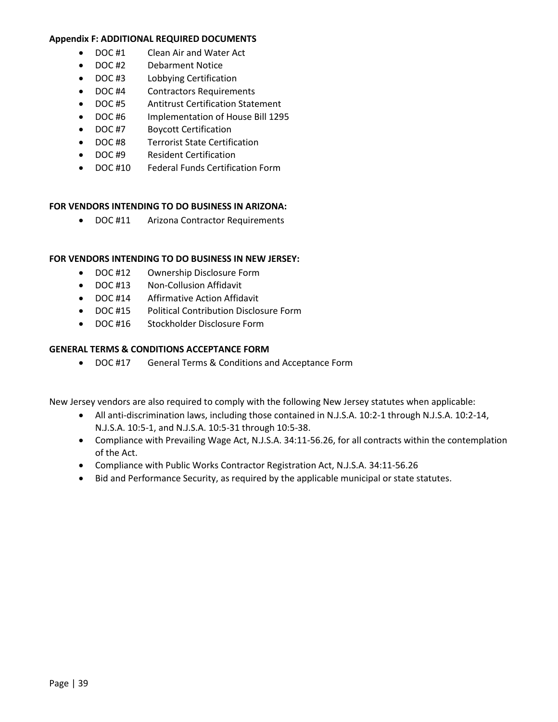#### <span id="page-38-0"></span>**Appendix F: ADDITIONAL REQUIRED DOCUMENTS**

- DOC #1 Clean Air and Water Act
- DOC #2 Debarment Notice
- DOC #3 Lobbying Certification
- DOC #4 Contractors Requirements
- DOC #5 Antitrust Certification Statement
- DOC #6 Implementation of House Bill 1295
- DOC #7 Boycott Certification
- DOC #8 Terrorist State Certification
- DOC #9 Resident Certification
- DOC #10 Federal Funds Certification Form

# **FOR VENDORS INTENDING TO DO BUSINESS IN ARIZONA:**

• DOC #11 Arizona Contractor Requirements

# **FOR VENDORS INTENDING TO DO BUSINESS IN NEW JERSEY:**

- DOC #12 Ownership Disclosure Form
- DOC #13 Non-Collusion Affidavit
- DOC #14 Affirmative Action Affidavit
- DOC #15 Political Contribution Disclosure Form
- DOC #16 Stockholder Disclosure Form

# **GENERAL TERMS & CONDITIONS ACCEPTANCE FORM**

• DOC #17 General Terms & Conditions and Acceptance Form

New Jersey vendors are also required to comply with the following New Jersey statutes when applicable:

- All anti-discrimination laws, including those contained in N.J.S.A. 10:2-1 through N.J.S.A. 10:2-14, N.J.S.A. 10:5-1, and N.J.S.A. 10:5-31 through 10:5-38.
- Compliance with Prevailing Wage Act, N.J.S.A. 34:11-56.26, for all contracts within the contemplation of the Act.
- Compliance with Public Works Contractor Registration Act, N.J.S.A. 34:11-56.26
- Bid and Performance Security, as required by the applicable municipal or state statutes.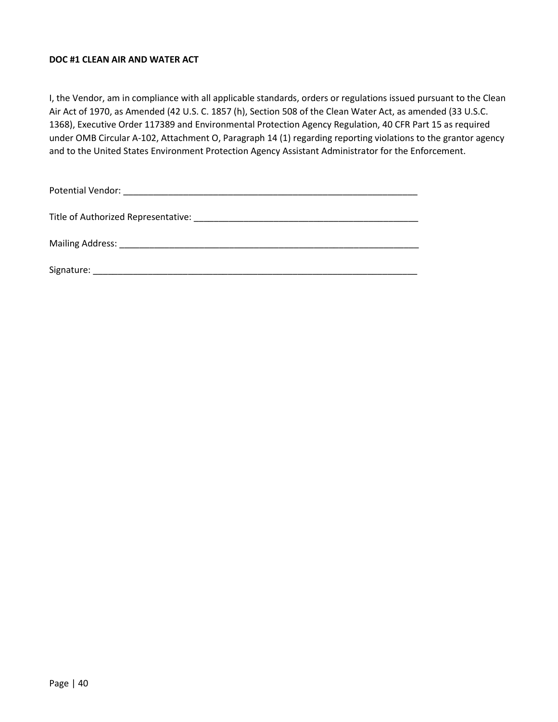## **DOC #1 CLEAN AIR AND WATER ACT**

I, the Vendor, am in compliance with all applicable standards, orders or regulations issued pursuant to the Clean Air Act of 1970, as Amended (42 U.S. C. 1857 (h), Section 508 of the Clean Water Act, as amended (33 U.S.C. 1368), Executive Order 117389 and Environmental Protection Agency Regulation, 40 CFR Part 15 as required under OMB Circular A-102, Attachment O, Paragraph 14 (1) regarding reporting violations to the grantor agency and to the United States Environment Protection Agency Assistant Administrator for the Enforcement.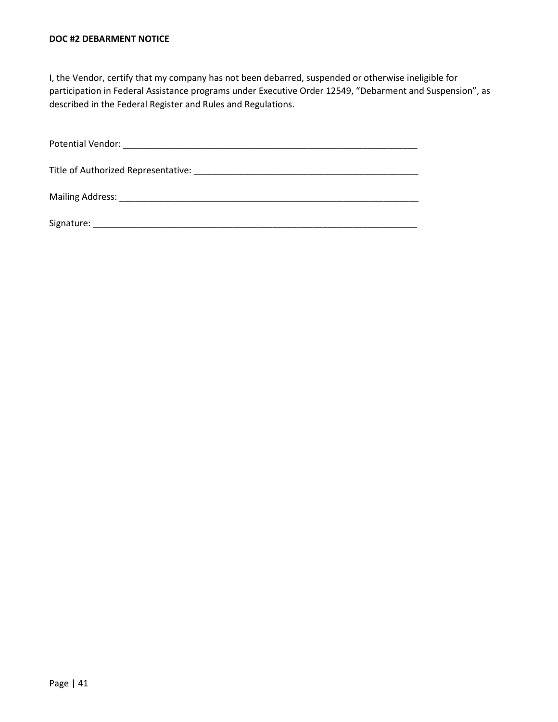#### **DOC #2 DEBARMENT NOTICE**

I, the Vendor, certify that my company has not been debarred, suspended or otherwise ineligible for participation in Federal Assistance programs under Executive Order 12549, "Debarment and Suspension", as described in the Federal Register and Rules and Regulations.

| Signature: |
|------------|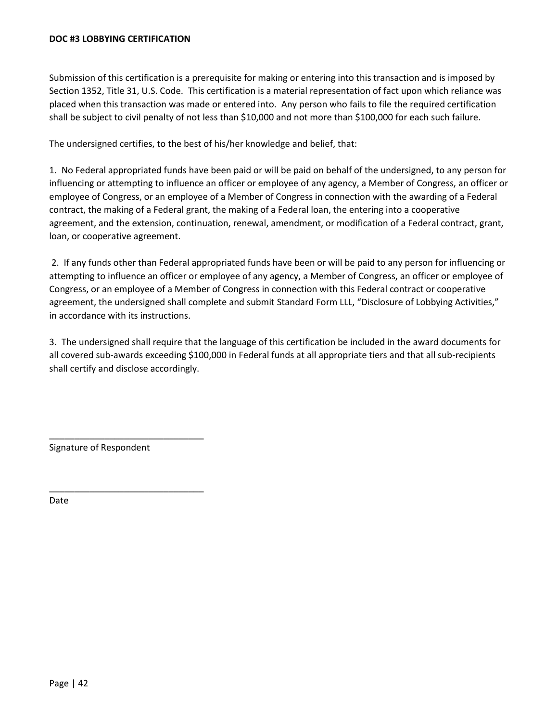#### **DOC #3 LOBBYING CERTIFICATION**

Submission of this certification is a prerequisite for making or entering into this transaction and is imposed by Section 1352, Title 31, U.S. Code. This certification is a material representation of fact upon which reliance was placed when this transaction was made or entered into. Any person who fails to file the required certification shall be subject to civil penalty of not less than \$10,000 and not more than \$100,000 for each such failure.

The undersigned certifies, to the best of his/her knowledge and belief, that:

1. No Federal appropriated funds have been paid or will be paid on behalf of the undersigned, to any person for influencing or attempting to influence an officer or employee of any agency, a Member of Congress, an officer or employee of Congress, or an employee of a Member of Congress in connection with the awarding of a Federal contract, the making of a Federal grant, the making of a Federal loan, the entering into a cooperative agreement, and the extension, continuation, renewal, amendment, or modification of a Federal contract, grant, loan, or cooperative agreement.

2. If any funds other than Federal appropriated funds have been or will be paid to any person for influencing or attempting to influence an officer or employee of any agency, a Member of Congress, an officer or employee of Congress, or an employee of a Member of Congress in connection with this Federal contract or cooperative agreement, the undersigned shall complete and submit Standard Form LLL, "Disclosure of Lobbying Activities," in accordance with its instructions.

3. The undersigned shall require that the language of this certification be included in the award documents for all covered sub-awards exceeding \$100,000 in Federal funds at all appropriate tiers and that all sub-recipients shall certify and disclose accordingly.

Signature of Respondent

\_\_\_\_\_\_\_\_\_\_\_\_\_\_\_\_\_\_\_\_\_\_\_\_\_\_\_\_\_\_\_

\_\_\_\_\_\_\_\_\_\_\_\_\_\_\_\_\_\_\_\_\_\_\_\_\_\_\_\_\_\_\_

Date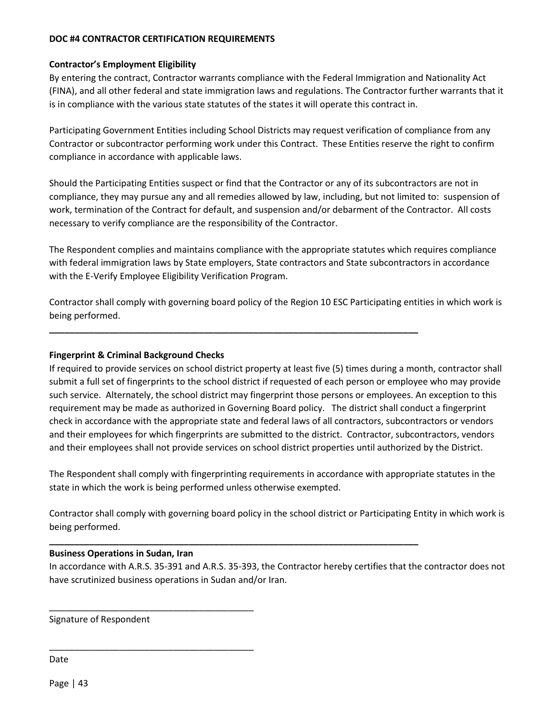## **DOC #4 CONTRACTOR CERTIFICATION REQUIREMENTS**

#### **Contractor's Employment Eligibility**

By entering the contract, Contractor warrants compliance with the Federal Immigration and Nationality Act (FINA), and all other federal and state immigration laws and regulations. The Contractor further warrants that it is in compliance with the various state statutes of the states it will operate this contract in.

Participating Government Entities including School Districts may request verification of compliance from any Contractor or subcontractor performing work under this Contract. These Entities reserve the right to confirm compliance in accordance with applicable laws.

Should the Participating Entities suspect or find that the Contractor or any of its subcontractors are not in compliance, they may pursue any and all remedies allowed by law, including, but not limited to: suspension of work, termination of the Contract for default, and suspension and/or debarment of the Contractor. All costs necessary to verify compliance are the responsibility of the Contractor.

The Respondent complies and maintains compliance with the appropriate statutes which requires compliance with federal immigration laws by State employers, State contractors and State subcontractors in accordance with the E-Verify Employee Eligibility Verification Program.

Contractor shall comply with governing board policy of the Region 10 ESC Participating entities in which work is being performed.

**\_\_\_\_\_\_\_\_\_\_\_\_\_\_\_\_\_\_\_\_\_\_\_\_\_\_\_\_\_\_\_\_\_\_\_\_\_\_\_\_\_\_\_\_\_\_\_\_\_\_\_\_\_\_\_\_\_\_\_\_\_\_\_\_\_\_\_\_\_\_\_\_\_\_**

**\_\_\_\_\_\_\_\_\_\_\_\_\_\_\_\_\_\_\_\_\_\_\_\_\_\_\_\_\_\_\_\_\_\_\_\_\_\_\_\_\_\_\_\_\_\_\_\_\_\_\_\_\_\_\_\_\_\_\_\_\_\_\_\_\_\_\_\_\_\_\_\_\_\_**

#### **Fingerprint & Criminal Background Checks**

If required to provide services on school district property at least five (5) times during a month, contractor shall submit a full set of fingerprints to the school district if requested of each person or employee who may provide such service. Alternately, the school district may fingerprint those persons or employees. An exception to this requirement may be made as authorized in Governing Board policy. The district shall conduct a fingerprint check in accordance with the appropriate state and federal laws of all contractors, subcontractors or vendors and their employees for which fingerprints are submitted to the district. Contractor, subcontractors, vendors and their employees shall not provide services on school district properties until authorized by the District.

The Respondent shall comply with fingerprinting requirements in accordance with appropriate statutes in the state in which the work is being performed unless otherwise exempted.

Contractor shall comply with governing board policy in the school district or Participating Entity in which work is being performed.

#### **Business Operations in Sudan, Iran**

\_\_\_\_\_\_\_\_\_\_\_\_\_\_\_\_\_\_\_\_\_\_\_\_\_\_\_\_\_\_\_\_\_\_\_\_\_\_\_\_\_

\_\_\_\_\_\_\_\_\_\_\_\_\_\_\_\_\_\_\_\_\_\_\_\_\_\_\_\_\_\_\_\_\_\_\_\_\_\_\_\_\_

In accordance with A.R.S. 35-391 and A.R.S. 35-393, the Contractor hereby certifies that the contractor does not have scrutinized business operations in Sudan and/or Iran.

Signature of Respondent

Date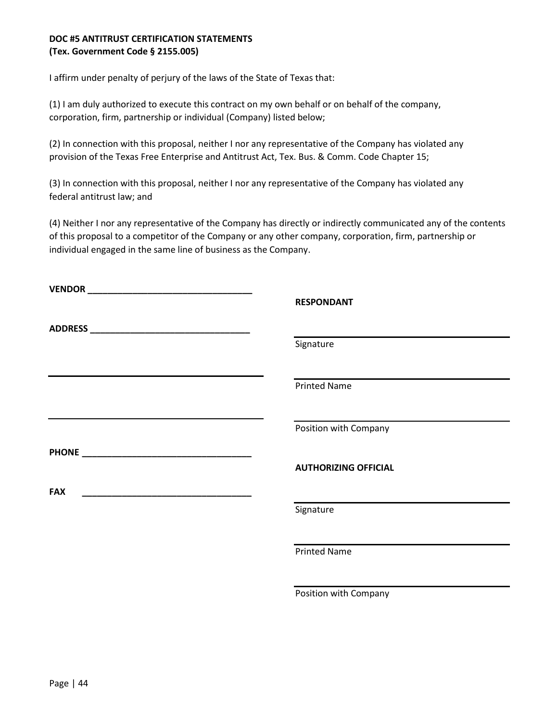# **DOC #5 ANTITRUST CERTIFICATION STATEMENTS (Tex. Government Code § 2155.005)**

I affirm under penalty of perjury of the laws of the State of Texas that:

(1) I am duly authorized to execute this contract on my own behalf or on behalf of the company, corporation, firm, partnership or individual (Company) listed below;

(2) In connection with this proposal, neither I nor any representative of the Company has violated any provision of the Texas Free Enterprise and Antitrust Act, Tex. Bus. & Comm. Code Chapter 15;

(3) In connection with this proposal, neither I nor any representative of the Company has violated any federal antitrust law; and

(4) Neither I nor any representative of the Company has directly or indirectly communicated any of the contents of this proposal to a competitor of the Company or any other company, corporation, firm, partnership or individual engaged in the same line of business as the Company.

|            | <b>RESPONDANT</b>           |  |
|------------|-----------------------------|--|
|            | Signature                   |  |
|            | <b>Printed Name</b>         |  |
|            | Position with Company       |  |
|            | <b>AUTHORIZING OFFICIAL</b> |  |
| <b>FAX</b> |                             |  |
|            | Signature                   |  |
|            | <b>Printed Name</b>         |  |
|            | Position with Company       |  |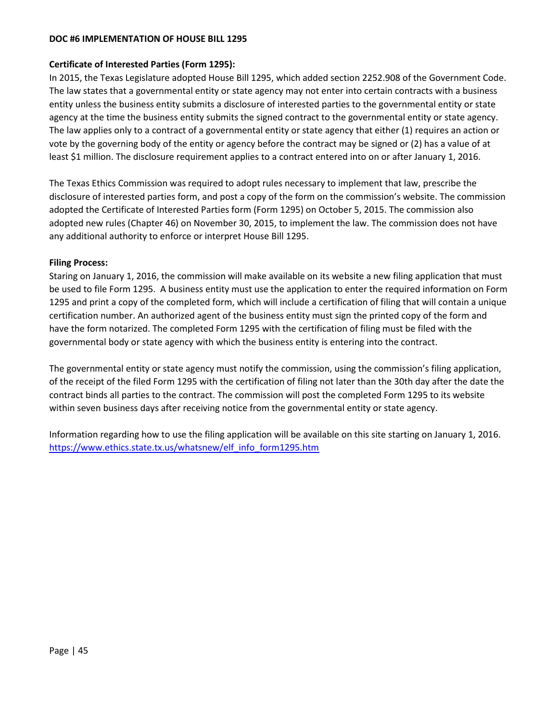#### **DOC #6 IMPLEMENTATION OF HOUSE BILL 1295**

#### **Certificate of Interested Parties (Form 1295):**

In 2015, the Texas Legislature adopted House Bill 1295, which added section 2252.908 of the Government Code. The law states that a governmental entity or state agency may not enter into certain contracts with a business entity unless the business entity submits a disclosure of interested parties to the governmental entity or state agency at the time the business entity submits the signed contract to the governmental entity or state agency. The law applies only to a contract of a governmental entity or state agency that either (1) requires an action or vote by the governing body of the entity or agency before the contract may be signed or (2) has a value of at least \$1 million. The disclosure requirement applies to a contract entered into on or after January 1, 2016.

The Texas Ethics Commission was required to adopt rules necessary to implement that law, prescribe the disclosure of interested parties form, and post a copy of the form on the commission's website. The commission adopted the Certificate of Interested Parties form (Form 1295) on October 5, 2015. The commission also adopted new rules (Chapter 46) on November 30, 2015, to implement the law. The commission does not have any additional authority to enforce or interpret House Bill 1295.

#### **Filing Process:**

Staring on January 1, 2016, the commission will make available on its website a new filing application that must be used to file Form 1295. A business entity must use the application to enter the required information on Form 1295 and print a copy of the completed form, which will include a certification of filing that will contain a unique certification number. An authorized agent of the business entity must sign the printed copy of the form and have the form notarized. The completed Form 1295 with the certification of filing must be filed with the governmental body or state agency with which the business entity is entering into the contract.

The governmental entity or state agency must notify the commission, using the commission's filing application, of the receipt of the filed Form 1295 with the certification of filing not later than the 30th day after the date the contract binds all parties to the contract. The commission will post the completed Form 1295 to its website within seven business days after receiving notice from the governmental entity or state agency.

Information regarding how to use the filing application will be available on this site starting on January 1, 2016. [https://www.ethics.state.tx.us/whatsnew/elf\\_info\\_form1295.htm](https://www.ethics.state.tx.us/whatsnew/elf_info_form1295.htm)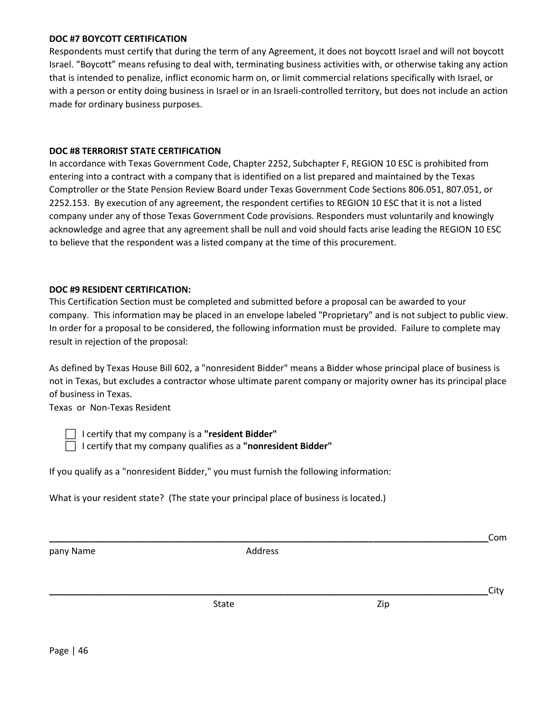#### **DOC #7 BOYCOTT CERTIFICATION**

Respondents must certify that during the term of any Agreement, it does not boycott Israel and will not boycott Israel. "Boycott" means refusing to deal with, terminating business activities with, or otherwise taking any action that is intended to penalize, inflict economic harm on, or limit commercial relations specifically with Israel, or with a person or entity doing business in Israel or in an Israeli-controlled territory, but does not include an action made for ordinary business purposes.

#### **DOC #8 TERRORIST STATE CERTIFICATION**

In accordance with Texas Government Code, Chapter 2252, Subchapter F, REGION 10 ESC is prohibited from entering into a contract with a company that is identified on a list prepared and maintained by the Texas Comptroller or the State Pension Review Board under Texas Government Code Sections 806.051, 807.051, or 2252.153. By execution of any agreement, the respondent certifies to REGION 10 ESC that it is not a listed company under any of those Texas Government Code provisions. Responders must voluntarily and knowingly acknowledge and agree that any agreement shall be null and void should facts arise leading the REGION 10 ESC to believe that the respondent was a listed company at the time of this procurement.

#### **DOC #9 RESIDENT CERTIFICATION:**

This Certification Section must be completed and submitted before a proposal can be awarded to your company. This information may be placed in an envelope labeled "Proprietary" and is not subject to public view. In order for a proposal to be considered, the following information must be provided. Failure to complete may result in rejection of the proposal:

As defined by Texas House Bill 602, a "nonresident Bidder" means a Bidder whose principal place of business is not in Texas, but excludes a contractor whose ultimate parent company or majority owner has its principal place of business in Texas.

Texas or Non-Texas Resident

I certify that my company is a **"resident Bidder"**

I certify that my company qualifies as a **"nonresident Bidder"**

If you qualify as a "nonresident Bidder," you must furnish the following information:

What is your resident state? (The state your principal place of business is located.)

**\_\_\_\_\_\_\_\_\_\_\_\_\_\_\_\_\_\_\_\_\_\_\_\_\_\_\_\_\_\_\_\_\_\_\_\_\_\_\_\_\_\_\_\_\_\_\_\_\_\_\_\_\_\_\_\_\_\_\_\_\_\_\_\_\_\_\_\_\_\_\_\_\_\_\_\_\_\_\_\_\_\_\_\_\_\_\_\_**Com pany Name and Address and Address **\_\_\_\_\_\_\_\_\_\_\_\_\_\_\_\_\_\_\_\_\_\_\_\_\_\_\_\_\_\_\_\_\_\_\_\_\_\_\_\_\_\_\_\_\_\_\_\_\_\_\_\_\_\_\_\_\_\_\_\_\_\_\_\_\_\_\_\_\_\_\_\_\_\_\_\_\_\_\_\_\_\_\_\_\_\_\_\_**City State Zip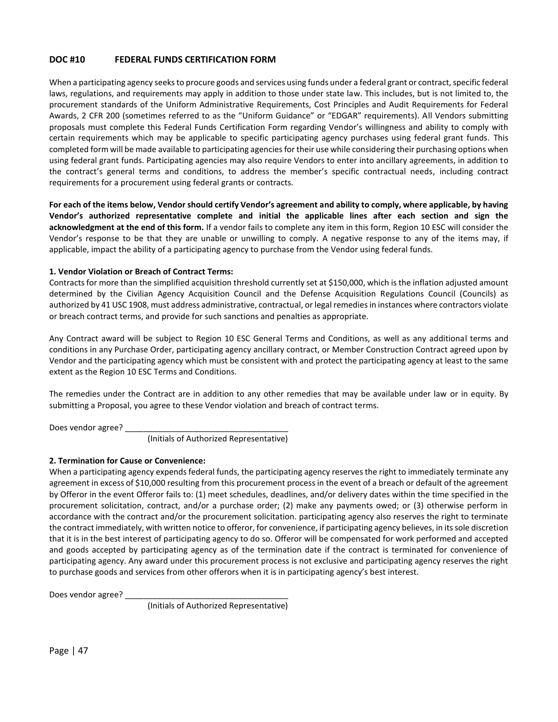## **DOC #10 FEDERAL FUNDS CERTIFICATION FORM**

When a participating agency seeks to procure goods and services using funds under a federal grant or contract, specific federal laws, regulations, and requirements may apply in addition to those under state law. This includes, but is not limited to, the procurement standards of the Uniform Administrative Requirements, Cost Principles and Audit Requirements for Federal Awards, 2 CFR 200 (sometimes referred to as the "Uniform Guidance" or "EDGAR" requirements). All Vendors submitting proposals must complete this Federal Funds Certification Form regarding Vendor's willingness and ability to comply with certain requirements which may be applicable to specific participating agency purchases using federal grant funds. This completed form will be made available to participating agencies for their use while considering their purchasing options when using federal grant funds. Participating agencies may also require Vendors to enter into ancillary agreements, in addition to the contract's general terms and conditions, to address the member's specific contractual needs, including contract requirements for a procurement using federal grants or contracts.

**For each of the items below, Vendor should certify Vendor's agreement and ability to comply, where applicable, by having Vendor's authorized representative complete and initial the applicable lines after each section and sign the acknowledgment at the end of this form.** If a vendor fails to complete any item in this form, Region 10 ESC will consider the Vendor's response to be that they are unable or unwilling to comply. A negative response to any of the items may, if applicable, impact the ability of a participating agency to purchase from the Vendor using federal funds.

#### **1. Vendor Violation or Breach of Contract Terms:**

Contracts for more than the simplified acquisition threshold currently set at \$150,000, which is the inflation adjusted amount determined by the Civilian Agency Acquisition Council and the Defense Acquisition Regulations Council (Councils) as authorized by 41 USC 1908, must address administrative, contractual, or legal remedies in instances where contractors violate or breach contract terms, and provide for such sanctions and penalties as appropriate.

Any Contract award will be subject to Region 10 ESC General Terms and Conditions, as well as any additional terms and conditions in any Purchase Order, participating agency ancillary contract, or Member Construction Contract agreed upon by Vendor and the participating agency which must be consistent with and protect the participating agency at least to the same extent as the Region 10 ESC Terms and Conditions.

The remedies under the Contract are in addition to any other remedies that may be available under law or in equity. By submitting a Proposal, you agree to these Vendor violation and breach of contract terms.

Does vendor agree? \_\_\_\_\_\_\_\_\_\_\_\_\_\_\_\_\_\_\_\_\_\_\_\_\_\_\_\_\_\_\_\_\_\_\_\_

(Initials of Authorized Representative)

#### **2. Termination for Cause or Convenience:**

When a participating agency expends federal funds, the participating agency reserves the right to immediately terminate any agreement in excess of \$10,000 resulting from this procurement process in the event of a breach or default of the agreement by Offeror in the event Offeror fails to: (1) meet schedules, deadlines, and/or delivery dates within the time specified in the procurement solicitation, contract, and/or a purchase order; (2) make any payments owed; or (3) otherwise perform in accordance with the contract and/or the procurement solicitation. participating agency also reserves the right to terminate the contract immediately, with written notice to offeror, for convenience, if participating agency believes, in its sole discretion that it is in the best interest of participating agency to do so. Offeror will be compensated for work performed and accepted and goods accepted by participating agency as of the termination date if the contract is terminated for convenience of participating agency. Any award under this procurement process is not exclusive and participating agency reserves the right to purchase goods and services from other offerors when it is in participating agency's best interest.

Does vendor agree?

(Initials of Authorized Representative)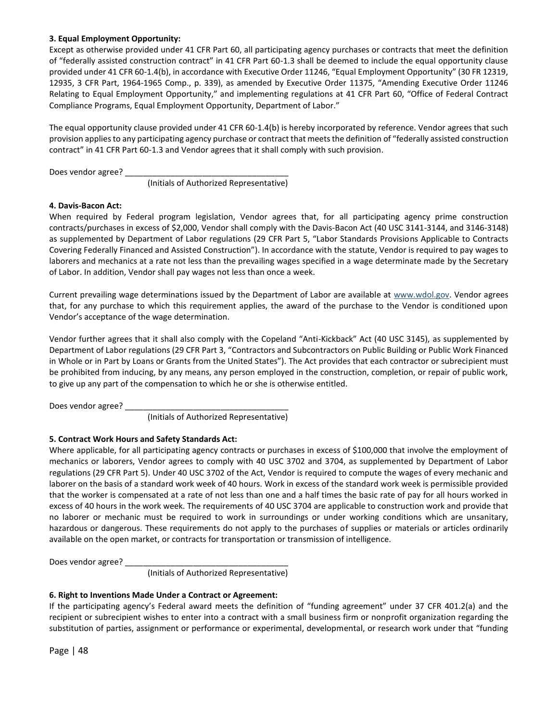#### **3. Equal Employment Opportunity:**

Except as otherwise provided under 41 CFR Part 60, all participating agency purchases or contracts that meet the definition of "federally assisted construction contract" in 41 CFR Part 60-1.3 shall be deemed to include the equal opportunity clause provided under 41 CFR 60-1.4(b), in accordance with Executive Order 11246, "Equal Employment Opportunity" (30 FR 12319, 12935, 3 CFR Part, 1964-1965 Comp., p. 339), as amended by Executive Order 11375, "Amending Executive Order 11246 Relating to Equal Employment Opportunity," and implementing regulations at 41 CFR Part 60, "Office of Federal Contract Compliance Programs, Equal Employment Opportunity, Department of Labor."

The equal opportunity clause provided under 41 CFR 60-1.4(b) is hereby incorporated by reference. Vendor agrees that such provision applies to any participating agency purchase or contract that meets the definition of "federally assisted construction contract" in 41 CFR Part 60-1.3 and Vendor agrees that it shall comply with such provision.

Does vendor agree? \_\_\_\_\_

(Initials of Authorized Representative)

#### **4. Davis-Bacon Act:**

When required by Federal program legislation, Vendor agrees that, for all participating agency prime construction contracts/purchases in excess of \$2,000, Vendor shall comply with the Davis-Bacon Act (40 USC 3141-3144, and 3146-3148) as supplemented by Department of Labor regulations (29 CFR Part 5, "Labor Standards Provisions Applicable to Contracts Covering Federally Financed and Assisted Construction"). In accordance with the statute, Vendor is required to pay wages to laborers and mechanics at a rate not less than the prevailing wages specified in a wage determinate made by the Secretary of Labor. In addition, Vendor shall pay wages not less than once a week.

Current prevailing wage determinations issued by the Department of Labor are available at [www.wdol.gov.](file:///C:/Users/clint.pechacek/AppData/Local/Microsoft/Windows/INetCache/Content.Outlook/8QZVRPDC/www.wdol.gov) Vendor agrees that, for any purchase to which this requirement applies, the award of the purchase to the Vendor is conditioned upon Vendor's acceptance of the wage determination.

Vendor further agrees that it shall also comply with the Copeland "Anti-Kickback" Act (40 USC 3145), as supplemented by Department of Labor regulations (29 CFR Part 3, "Contractors and Subcontractors on Public Building or Public Work Financed in Whole or in Part by Loans or Grants from the United States"). The Act provides that each contractor or subrecipient must be prohibited from inducing, by any means, any person employed in the construction, completion, or repair of public work, to give up any part of the compensation to which he or she is otherwise entitled.

Does vendor agree? \_\_\_\_\_\_\_\_\_\_\_\_\_\_\_\_\_\_\_\_\_\_\_\_\_\_\_\_\_\_\_\_\_\_\_\_

(Initials of Authorized Representative)

#### **5. Contract Work Hours and Safety Standards Act:**

Where applicable, for all participating agency contracts or purchases in excess of \$100,000 that involve the employment of mechanics or laborers, Vendor agrees to comply with 40 USC 3702 and 3704, as supplemented by Department of Labor regulations (29 CFR Part 5). Under 40 USC 3702 of the Act, Vendor is required to compute the wages of every mechanic and laborer on the basis of a standard work week of 40 hours. Work in excess of the standard work week is permissible provided that the worker is compensated at a rate of not less than one and a half times the basic rate of pay for all hours worked in excess of 40 hours in the work week. The requirements of 40 USC 3704 are applicable to construction work and provide that no laborer or mechanic must be required to work in surroundings or under working conditions which are unsanitary, hazardous or dangerous. These requirements do not apply to the purchases of supplies or materials or articles ordinarily available on the open market, or contracts for transportation or transmission of intelligence.

Does vendor agree? \_\_\_\_

(Initials of Authorized Representative)

#### **6. Right to Inventions Made Under a Contract or Agreement:**

If the participating agency's Federal award meets the definition of "funding agreement" under 37 CFR 401.2(a) and the recipient or subrecipient wishes to enter into a contract with a small business firm or nonprofit organization regarding the substitution of parties, assignment or performance or experimental, developmental, or research work under that "funding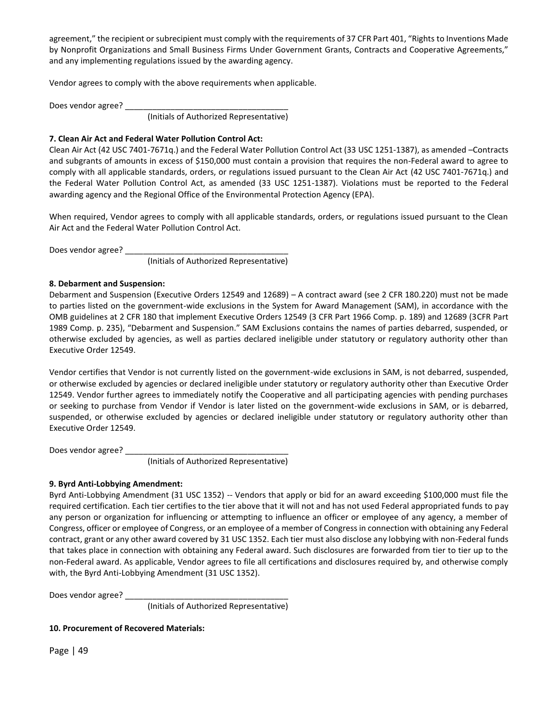agreement," the recipient or subrecipient must comply with the requirements of 37 CFR Part 401, "Rights to Inventions Made by Nonprofit Organizations and Small Business Firms Under Government Grants, Contracts and Cooperative Agreements," and any implementing regulations issued by the awarding agency.

Vendor agrees to comply with the above requirements when applicable.

Does vendor agree? \_\_\_\_

(Initials of Authorized Representative)

#### **7. Clean Air Act and Federal Water Pollution Control Act:**

Clean Air Act (42 USC 7401-7671q.) and the Federal Water Pollution Control Act (33 USC 1251-1387), as amended –Contracts and subgrants of amounts in excess of \$150,000 must contain a provision that requires the non-Federal award to agree to comply with all applicable standards, orders, or regulations issued pursuant to the Clean Air Act (42 USC 7401-7671q.) and the Federal Water Pollution Control Act, as amended (33 USC 1251-1387). Violations must be reported to the Federal awarding agency and the Regional Office of the Environmental Protection Agency (EPA).

When required, Vendor agrees to comply with all applicable standards, orders, or regulations issued pursuant to the Clean Air Act and the Federal Water Pollution Control Act.

Does vendor agree? \_\_\_\_\_\_\_\_\_\_\_\_\_\_\_\_\_\_\_\_\_\_\_\_\_\_\_\_\_\_\_\_\_\_\_\_

(Initials of Authorized Representative)

#### **8. Debarment and Suspension:**

Debarment and Suspension (Executive Orders 12549 and 12689) – A contract award (see 2 CFR 180.220) must not be made to parties listed on the government-wide exclusions in the System for Award Management (SAM), in accordance with the OMB guidelines at 2 CFR 180 that implement Executive Orders 12549 (3 CFR Part 1966 Comp. p. 189) and 12689 (3CFR Part 1989 Comp. p. 235), "Debarment and Suspension." SAM Exclusions contains the names of parties debarred, suspended, or otherwise excluded by agencies, as well as parties declared ineligible under statutory or regulatory authority other than Executive Order 12549.

Vendor certifies that Vendor is not currently listed on the government-wide exclusions in SAM, is not debarred, suspended, or otherwise excluded by agencies or declared ineligible under statutory or regulatory authority other than Executive Order 12549. Vendor further agrees to immediately notify the Cooperative and all participating agencies with pending purchases or seeking to purchase from Vendor if Vendor is later listed on the government-wide exclusions in SAM, or is debarred, suspended, or otherwise excluded by agencies or declared ineligible under statutory or regulatory authority other than Executive Order 12549.

Does vendor agree? \_\_\_\_

(Initials of Authorized Representative)

## **9. Byrd Anti-Lobbying Amendment:**

Byrd Anti-Lobbying Amendment (31 USC 1352) -- Vendors that apply or bid for an award exceeding \$100,000 must file the required certification. Each tier certifies to the tier above that it will not and has not used Federal appropriated funds to pay any person or organization for influencing or attempting to influence an officer or employee of any agency, a member of Congress, officer or employee of Congress, or an employee of a member of Congress in connection with obtaining any Federal contract, grant or any other award covered by 31 USC 1352. Each tier must also disclose any lobbying with non-Federal funds that takes place in connection with obtaining any Federal award. Such disclosures are forwarded from tier to tier up to the non-Federal award. As applicable, Vendor agrees to file all certifications and disclosures required by, and otherwise comply with, the Byrd Anti-Lobbying Amendment (31 USC 1352).

Does vendor agree? \_\_\_\_\_\_\_\_\_\_\_\_\_\_\_\_\_\_\_\_\_\_\_\_\_\_\_\_\_\_\_\_\_\_\_\_

(Initials of Authorized Representative)

## **10. Procurement of Recovered Materials:**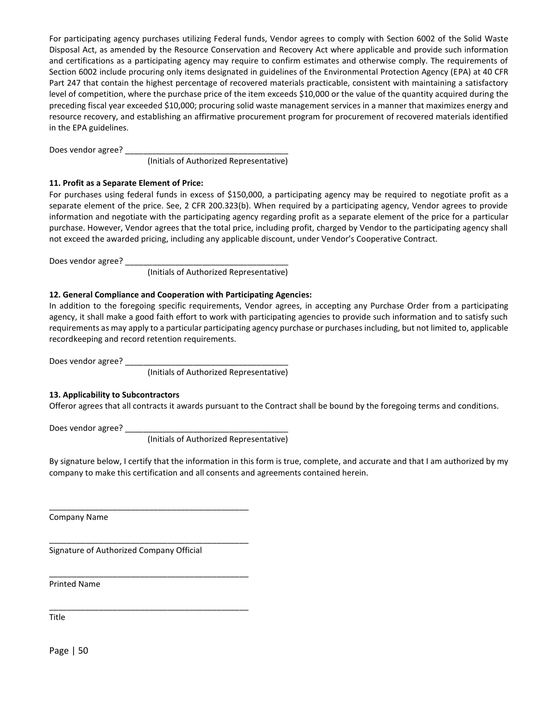For participating agency purchases utilizing Federal funds, Vendor agrees to comply with Section 6002 of the Solid Waste Disposal Act, as amended by the Resource Conservation and Recovery Act where applicable and provide such information and certifications as a participating agency may require to confirm estimates and otherwise comply. The requirements of Section 6002 include procuring only items designated in guidelines of the Environmental Protection Agency (EPA) at 40 CFR Part 247 that contain the highest percentage of recovered materials practicable, consistent with maintaining a satisfactory level of competition, where the purchase price of the item exceeds \$10,000 or the value of the quantity acquired during the preceding fiscal year exceeded \$10,000; procuring solid waste management services in a manner that maximizes energy and resource recovery, and establishing an affirmative procurement program for procurement of recovered materials identified in the EPA guidelines.

Does vendor agree? \_\_

(Initials of Authorized Representative)

#### **11. Profit as a Separate Element of Price:**

For purchases using federal funds in excess of \$150,000, a participating agency may be required to negotiate profit as a separate element of the price. See, 2 CFR 200.323(b). When required by a participating agency, Vendor agrees to provide information and negotiate with the participating agency regarding profit as a separate element of the price for a particular purchase. However, Vendor agrees that the total price, including profit, charged by Vendor to the participating agency shall not exceed the awarded pricing, including any applicable discount, under Vendor's Cooperative Contract.

Does vendor agree? \_\_\_\_\_

(Initials of Authorized Representative)

#### **12. General Compliance and Cooperation with Participating Agencies:**

In addition to the foregoing specific requirements, Vendor agrees, in accepting any Purchase Order from a participating agency, it shall make a good faith effort to work with participating agencies to provide such information and to satisfy such requirements as may apply to a particular participating agency purchase or purchases including, but not limited to, applicable recordkeeping and record retention requirements.

Does vendor agree? \_\_\_\_

(Initials of Authorized Representative)

#### **13. Applicability to Subcontractors**

Offeror agrees that all contracts it awards pursuant to the Contract shall be bound by the foregoing terms and conditions.

Does vendor agree?

(Initials of Authorized Representative)

By signature below, I certify that the information in this form is true, complete, and accurate and that I am authorized by my company to make this certification and all consents and agreements contained herein.

Company Name

Signature of Authorized Company Official

\_\_\_\_\_\_\_\_\_\_\_\_\_\_\_\_\_\_\_\_\_\_\_\_\_\_\_\_\_\_\_\_\_\_\_\_\_\_\_\_\_\_\_\_

\_\_\_\_\_\_\_\_\_\_\_\_\_\_\_\_\_\_\_\_\_\_\_\_\_\_\_\_\_\_\_\_\_\_\_\_\_\_\_\_\_\_\_\_

\_\_\_\_\_\_\_\_\_\_\_\_\_\_\_\_\_\_\_\_\_\_\_\_\_\_\_\_\_\_\_\_\_\_\_\_\_\_\_\_\_\_\_\_

\_\_\_\_\_\_\_\_\_\_\_\_\_\_\_\_\_\_\_\_\_\_\_\_\_\_\_\_\_\_\_\_\_\_\_\_\_\_\_\_\_\_\_\_

Printed Name

Title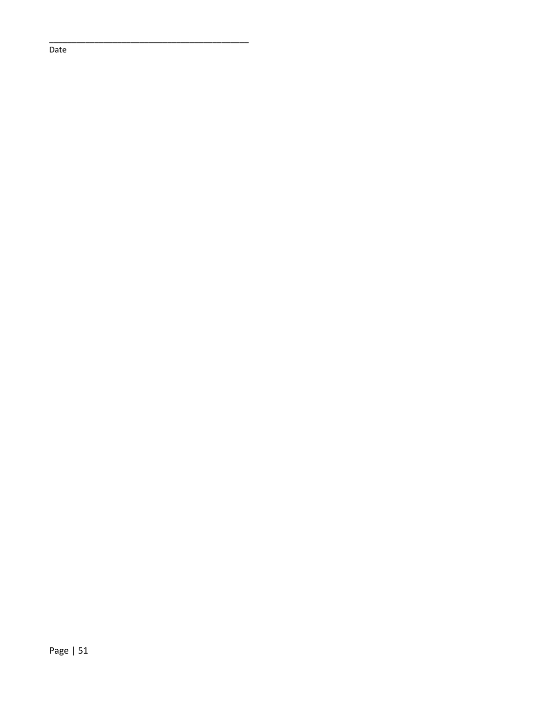Date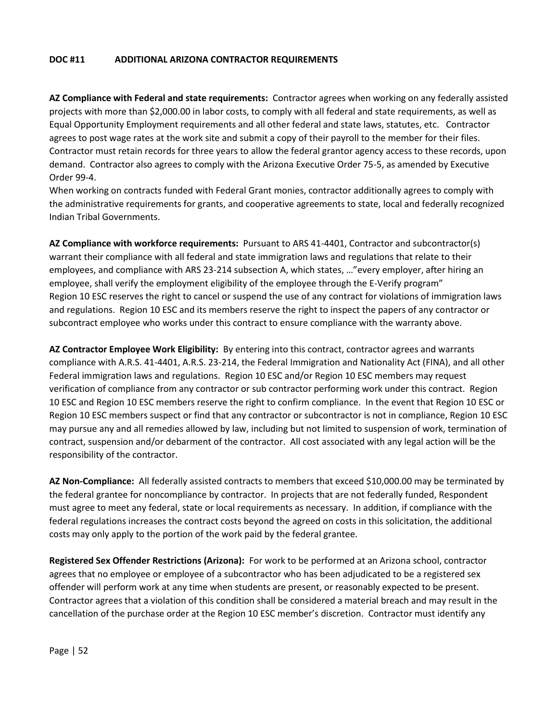## **DOC #11 ADDITIONAL ARIZONA CONTRACTOR REQUIREMENTS**

**AZ Compliance with Federal and state requirements:** Contractor agrees when working on any federally assisted projects with more than \$2,000.00 in labor costs, to comply with all federal and state requirements, as well as Equal Opportunity Employment requirements and all other federal and state laws, statutes, etc. Contractor agrees to post wage rates at the work site and submit a copy of their payroll to the member for their files. Contractor must retain records for three years to allow the federal grantor agency access to these records, upon demand. Contractor also agrees to comply with the Arizona Executive Order 75-5, as amended by Executive Order 99-4.

When working on contracts funded with Federal Grant monies, contractor additionally agrees to comply with the administrative requirements for grants, and cooperative agreements to state, local and federally recognized Indian Tribal Governments.

**AZ Compliance with workforce requirements:** Pursuant to ARS 41-4401, Contractor and subcontractor(s) warrant their compliance with all federal and state immigration laws and regulations that relate to their employees, and compliance with ARS 23-214 subsection A, which states, …"every employer, after hiring an employee, shall verify the employment eligibility of the employee through the E-Verify program" Region 10 ESC reserves the right to cancel or suspend the use of any contract for violations of immigration laws and regulations. Region 10 ESC and its members reserve the right to inspect the papers of any contractor or subcontract employee who works under this contract to ensure compliance with the warranty above.

**AZ Contractor Employee Work Eligibility:** By entering into this contract, contractor agrees and warrants compliance with A.R.S. 41-4401, A.R.S. 23-214, the Federal Immigration and Nationality Act (FINA), and all other Federal immigration laws and regulations. Region 10 ESC and/or Region 10 ESC members may request verification of compliance from any contractor or sub contractor performing work under this contract. Region 10 ESC and Region 10 ESC members reserve the right to confirm compliance. In the event that Region 10 ESC or Region 10 ESC members suspect or find that any contractor or subcontractor is not in compliance, Region 10 ESC may pursue any and all remedies allowed by law, including but not limited to suspension of work, termination of contract, suspension and/or debarment of the contractor. All cost associated with any legal action will be the responsibility of the contractor.

**AZ Non-Compliance:** All federally assisted contracts to members that exceed \$10,000.00 may be terminated by the federal grantee for noncompliance by contractor. In projects that are not federally funded, Respondent must agree to meet any federal, state or local requirements as necessary. In addition, if compliance with the federal regulations increases the contract costs beyond the agreed on costs in this solicitation, the additional costs may only apply to the portion of the work paid by the federal grantee.

**Registered Sex Offender Restrictions (Arizona):** For work to be performed at an Arizona school, contractor agrees that no employee or employee of a subcontractor who has been adjudicated to be a registered sex offender will perform work at any time when students are present, or reasonably expected to be present. Contractor agrees that a violation of this condition shall be considered a material breach and may result in the cancellation of the purchase order at the Region 10 ESC member's discretion. Contractor must identify any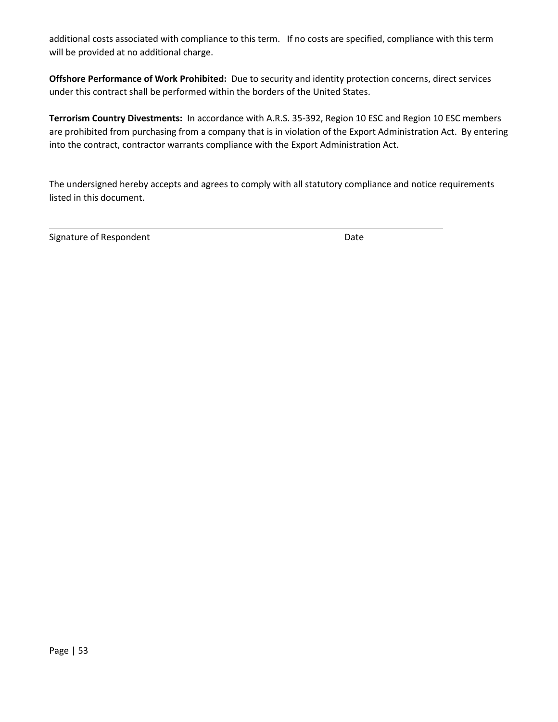additional costs associated with compliance to this term. If no costs are specified, compliance with this term will be provided at no additional charge.

**Offshore Performance of Work Prohibited:** Due to security and identity protection concerns, direct services under this contract shall be performed within the borders of the United States.

**Terrorism Country Divestments:** In accordance with A.R.S. 35-392, Region 10 ESC and Region 10 ESC members are prohibited from purchasing from a company that is in violation of the Export Administration Act. By entering into the contract, contractor warrants compliance with the Export Administration Act.

The undersigned hereby accepts and agrees to comply with all statutory compliance and notice requirements listed in this document.

Signature of Respondent **Date**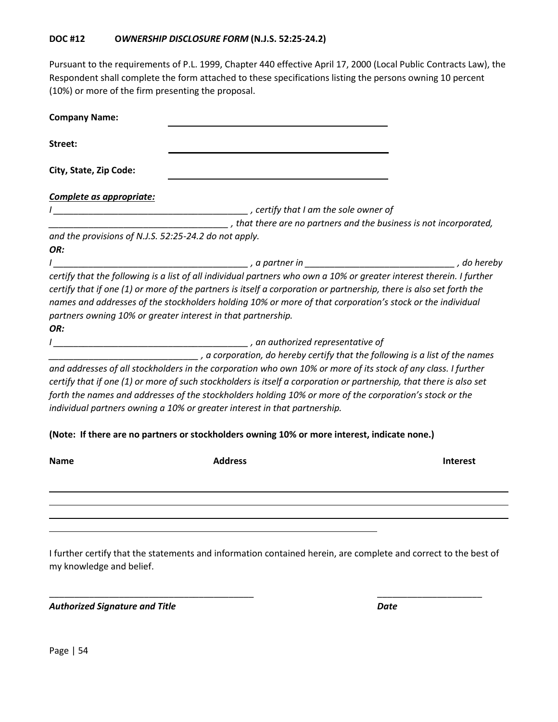Pursuant to the requirements of P.L. 1999, Chapter 440 effective April 17, 2000 (Local Public Contracts Law), the Respondent shall complete the form attached to these specifications listing the persons owning 10 percent (10%) or more of the firm presenting the proposal.

| <b>Company Name:</b>                                  |                                                                                                                                                                                                                                                                                                                                                                                                                              |                 |
|-------------------------------------------------------|------------------------------------------------------------------------------------------------------------------------------------------------------------------------------------------------------------------------------------------------------------------------------------------------------------------------------------------------------------------------------------------------------------------------------|-----------------|
| Street:                                               |                                                                                                                                                                                                                                                                                                                                                                                                                              |                 |
| City, State, Zip Code:                                |                                                                                                                                                                                                                                                                                                                                                                                                                              |                 |
| Complete as appropriate:                              |                                                                                                                                                                                                                                                                                                                                                                                                                              |                 |
|                                                       |                                                                                                                                                                                                                                                                                                                                                                                                                              |                 |
|                                                       | _____________________, that there are no partners and the business is not incorporated,                                                                                                                                                                                                                                                                                                                                      |                 |
| and the provisions of N.J.S. 52:25-24.2 do not apply. |                                                                                                                                                                                                                                                                                                                                                                                                                              |                 |
| OR:                                                   |                                                                                                                                                                                                                                                                                                                                                                                                                              |                 |
|                                                       |                                                                                                                                                                                                                                                                                                                                                                                                                              |                 |
| OR:                                                   | names and addresses of the stockholders holding 10% or more of that corporation's stock or the individual<br>partners owning 10% or greater interest in that partnership.                                                                                                                                                                                                                                                    |                 |
|                                                       | a corporation, do hereby certify that the following is a list of the names                                                                                                                                                                                                                                                                                                                                                   |                 |
|                                                       | and addresses of all stockholders in the corporation who own 10% or more of its stock of any class. I further<br>certify that if one (1) or more of such stockholders is itself a corporation or partnership, that there is also set<br>forth the names and addresses of the stockholders holding 10% or more of the corporation's stock or the<br>individual partners owning a 10% or greater interest in that partnership. |                 |
|                                                       | (Note: If there are no partners or stockholders owning 10% or more interest, indicate none.)                                                                                                                                                                                                                                                                                                                                 |                 |
| <b>Name</b>                                           | <b>Address</b>                                                                                                                                                                                                                                                                                                                                                                                                               | <b>Interest</b> |
|                                                       |                                                                                                                                                                                                                                                                                                                                                                                                                              |                 |
|                                                       |                                                                                                                                                                                                                                                                                                                                                                                                                              |                 |

I further certify that the statements and information contained herein, are complete and correct to the best of my knowledge and belief.

\_\_\_\_\_\_\_\_\_\_\_\_\_\_\_\_\_\_\_\_\_\_\_\_\_\_\_\_\_\_\_\_\_\_\_\_\_\_\_\_\_ \_\_\_\_\_\_\_\_\_\_\_\_\_\_\_\_\_\_\_\_\_

*Authorized Signature and Title Date*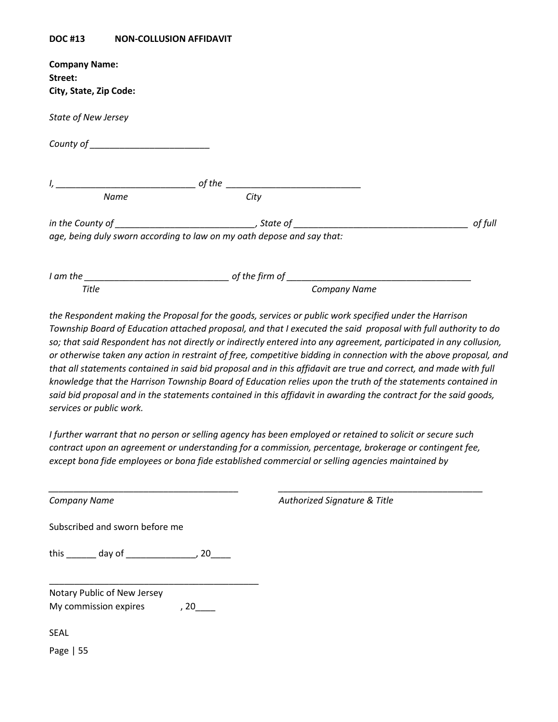#### **DOC #13 NON-COLLUSION AFFIDAVIT**

| <b>Company Name:</b>       |                                                                        |         |
|----------------------------|------------------------------------------------------------------------|---------|
| Street:                    |                                                                        |         |
| City, State, Zip Code:     |                                                                        |         |
| <b>State of New Jersey</b> |                                                                        |         |
|                            |                                                                        |         |
|                            |                                                                        |         |
| <b>Name</b>                | <b>City</b>                                                            |         |
|                            |                                                                        | of full |
|                            | age, being duly sworn according to law on my oath depose and say that: |         |
|                            |                                                                        |         |
| <b>Title</b>               | <b>Company Name</b>                                                    |         |
|                            |                                                                        |         |

*the Respondent making the Proposal for the goods, services or public work specified under the Harrison Township Board of Education attached proposal, and that I executed the said proposal with full authority to do so; that said Respondent has not directly or indirectly entered into any agreement, participated in any collusion, or otherwise taken any action in restraint of free, competitive bidding in connection with the above proposal, and that all statements contained in said bid proposal and in this affidavit are true and correct, and made with full knowledge that the Harrison Township Board of Education relies upon the truth of the statements contained in said bid proposal and in the statements contained in this affidavit in awarding the contract for the said goods, services or public work.*

*I further warrant that no person or selling agency has been employed or retained to solicit or secure such contract upon an agreement or understanding for a commission, percentage, brokerage or contingent fee, except bona fide employees or bona fide established commercial or selling agencies maintained by* 

*\_\_\_\_\_\_\_\_\_\_\_\_\_\_\_\_\_\_\_\_\_\_\_\_\_\_\_\_\_\_\_\_\_\_\_\_\_\_ \_\_\_\_\_\_\_\_\_\_\_\_\_\_\_\_\_\_\_\_\_\_\_\_\_\_\_\_\_\_\_\_\_\_\_\_\_\_\_\_\_*

*Company Name Authorized Signature & Title*

Subscribed and sworn before me

this \_\_\_\_\_\_\_\_ day of \_\_\_\_\_\_\_\_\_\_\_\_\_\_\_\_\_, 20\_\_\_\_\_

\_\_\_\_\_\_\_\_\_\_\_\_\_\_\_\_\_\_\_\_\_\_\_\_\_\_\_\_\_\_\_\_\_\_\_\_\_\_\_\_\_\_

| Notary Public of New Jersey |      |
|-----------------------------|------|
| My commission expires       | , 20 |

SEAL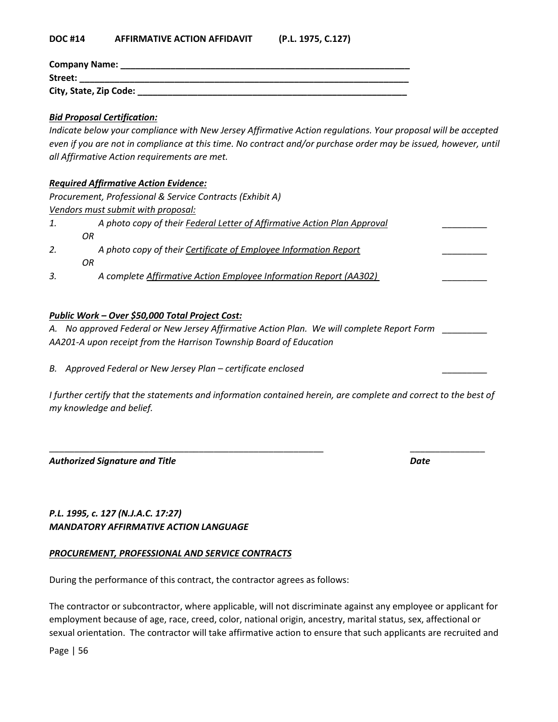#### **DOC #14 AFFIRMATIVE ACTION AFFIDAVIT (P.L. 1975, C.127)**

| Company Name:          |
|------------------------|
| Street:                |
| City, State, Zip Code: |

#### *Bid Proposal Certification:*

*Indicate below your compliance with New Jersey Affirmative Action regulations. Your proposal will be accepted even if you are not in compliance at this time. No contract and/or purchase order may be issued, however, until all Affirmative Action requirements are met.*

#### *Required Affirmative Action Evidence:*

*Procurement, Professional & Service Contracts (Exhibit A) Vendors must submit with proposal: 1. A photo copy of their Federal Letter of Affirmative Action Plan Approval \_\_\_\_\_\_\_\_\_ OR 2. A photo copy of their Certificate of Employee Information Report \_\_\_\_\_\_\_\_\_ OR 3. A complete Affirmative Action Employee Information Report (AA302) \_\_\_\_\_\_\_\_\_*

## *Public Work – Over \$50,000 Total Project Cost:*

*A. No approved Federal or New Jersey Affirmative Action Plan. We will complete Report Form \_\_\_\_\_\_\_\_\_ AA201-A upon receipt from the Harrison Township Board of Education* 

*B.* Approved Federal or New Jersey Plan – certificate enclosed

*I* further certify that the statements and information contained herein, are complete and correct to the best of *my knowledge and belief.* 

\_\_\_\_\_\_\_\_\_\_\_\_\_\_\_\_\_\_\_\_\_\_\_\_\_\_\_\_\_\_\_\_\_\_\_\_\_\_\_\_\_\_\_\_\_\_\_\_\_\_\_\_\_\_\_ \_\_\_\_\_\_\_\_\_\_\_\_\_\_\_

*Authorized Signature and Title Date*

# *P.L. 1995, c. 127 (N.J.A.C. 17:27) MANDATORY AFFIRMATIVE ACTION LANGUAGE*

# *PROCUREMENT, PROFESSIONAL AND SERVICE CONTRACTS*

During the performance of this contract, the contractor agrees as follows:

The contractor or subcontractor, where applicable, will not discriminate against any employee or applicant for employment because of age, race, creed, color, national origin, ancestry, marital status, sex, affectional or sexual orientation. The contractor will take affirmative action to ensure that such applicants are recruited and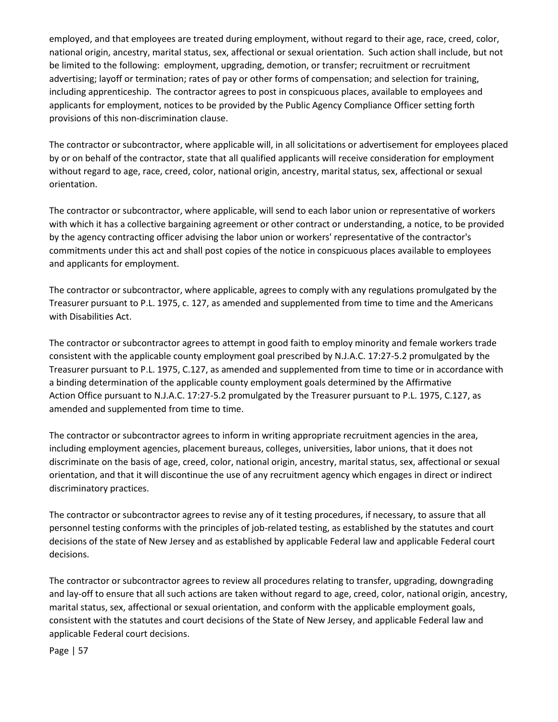employed, and that employees are treated during employment, without regard to their age, race, creed, color, national origin, ancestry, marital status, sex, affectional or sexual orientation. Such action shall include, but not be limited to the following: employment, upgrading, demotion, or transfer; recruitment or recruitment advertising; layoff or termination; rates of pay or other forms of compensation; and selection for training, including apprenticeship. The contractor agrees to post in conspicuous places, available to employees and applicants for employment, notices to be provided by the Public Agency Compliance Officer setting forth provisions of this non-discrimination clause.

The contractor or subcontractor, where applicable will, in all solicitations or advertisement for employees placed by or on behalf of the contractor, state that all qualified applicants will receive consideration for employment without regard to age, race, creed, color, national origin, ancestry, marital status, sex, affectional or sexual orientation.

The contractor or subcontractor, where applicable, will send to each labor union or representative of workers with which it has a collective bargaining agreement or other contract or understanding, a notice, to be provided by the agency contracting officer advising the labor union or workers' representative of the contractor's commitments under this act and shall post copies of the notice in conspicuous places available to employees and applicants for employment.

The contractor or subcontractor, where applicable, agrees to comply with any regulations promulgated by the Treasurer pursuant to P.L. 1975, c. 127, as amended and supplemented from time to time and the Americans with Disabilities Act.

The contractor or subcontractor agrees to attempt in good faith to employ minority and female workers trade consistent with the applicable county employment goal prescribed by N.J.A.C. 17:27-5.2 promulgated by the Treasurer pursuant to P.L. 1975, C.127, as amended and supplemented from time to time or in accordance with a binding determination of the applicable county employment goals determined by the Affirmative Action Office pursuant to N.J.A.C. 17:27-5.2 promulgated by the Treasurer pursuant to P.L. 1975, C.127, as amended and supplemented from time to time.

The contractor or subcontractor agrees to inform in writing appropriate recruitment agencies in the area, including employment agencies, placement bureaus, colleges, universities, labor unions, that it does not discriminate on the basis of age, creed, color, national origin, ancestry, marital status, sex, affectional or sexual orientation, and that it will discontinue the use of any recruitment agency which engages in direct or indirect discriminatory practices.

The contractor or subcontractor agrees to revise any of it testing procedures, if necessary, to assure that all personnel testing conforms with the principles of job-related testing, as established by the statutes and court decisions of the state of New Jersey and as established by applicable Federal law and applicable Federal court decisions.

The contractor or subcontractor agrees to review all procedures relating to transfer, upgrading, downgrading and lay-off to ensure that all such actions are taken without regard to age, creed, color, national origin, ancestry, marital status, sex, affectional or sexual orientation, and conform with the applicable employment goals, consistent with the statutes and court decisions of the State of New Jersey, and applicable Federal law and applicable Federal court decisions.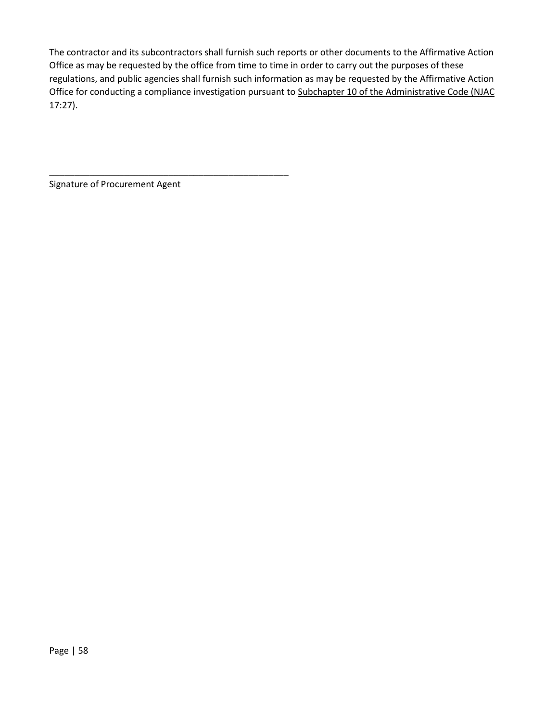The contractor and its subcontractors shall furnish such reports or other documents to the Affirmative Action Office as may be requested by the office from time to time in order to carry out the purposes of these regulations, and public agencies shall furnish such information as may be requested by the Affirmative Action Office for conducting a compliance investigation pursuant to Subchapter 10 of the Administrative Code (NJAC 17:27).

Signature of Procurement Agent

\_\_\_\_\_\_\_\_\_\_\_\_\_\_\_\_\_\_\_\_\_\_\_\_\_\_\_\_\_\_\_\_\_\_\_\_\_\_\_\_\_\_\_\_\_\_\_\_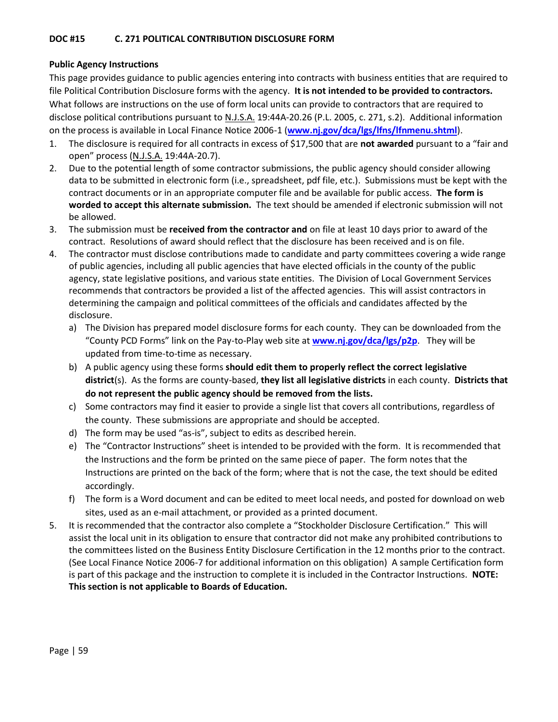## **DOC #15 C. 271 POLITICAL CONTRIBUTION DISCLOSURE FORM**

# **Public Agency Instructions**

This page provides guidance to public agencies entering into contracts with business entities that are required to file Political Contribution Disclosure forms with the agency. **It is not intended to be provided to contractors.**  What follows are instructions on the use of form local units can provide to contractors that are required to disclose political contributions pursuant to N.J.S.A. 19:44A-20.26 (P.L. 2005, c. 271, s.2). Additional information on the process is available in Local Finance Notice 2006-1 (**[www.nj.gov/dca/lgs/lfns/lfnmenu.shtml](http://www.nj.gov/dca/lgs/lfns/lfnmenu.shtml)**).

- 1. The disclosure is required for all contracts in excess of \$17,500 that are **not awarded** pursuant to a "fair and open" process (N.J.S.A. 19:44A-20.7).
- 2. Due to the potential length of some contractor submissions, the public agency should consider allowing data to be submitted in electronic form (i.e., spreadsheet, pdf file, etc.). Submissions must be kept with the contract documents or in an appropriate computer file and be available for public access. **The form is worded to accept this alternate submission.** The text should be amended if electronic submission will not be allowed.
- 3. The submission must be **received from the contractor and** on file at least 10 days prior to award of the contract. Resolutions of award should reflect that the disclosure has been received and is on file.
- 4. The contractor must disclose contributions made to candidate and party committees covering a wide range of public agencies, including all public agencies that have elected officials in the county of the public agency, state legislative positions, and various state entities. The Division of Local Government Services recommends that contractors be provided a list of the affected agencies. This will assist contractors in determining the campaign and political committees of the officials and candidates affected by the disclosure.
	- a) The Division has prepared model disclosure forms for each county. They can be downloaded from the "County PCD Forms" link on the Pay-to-Play web site at **[www.nj.gov/dca/lgs/p2p](http://www.nj.gov/dca/lgs/p2p)**. They will be updated from time-to-time as necessary.
	- b) A public agency using these forms **should edit them to properly reflect the correct legislative district**(s). As the forms are county-based, **they list all legislative districts** in each county. **Districts that do not represent the public agency should be removed from the lists.**
	- c) Some contractors may find it easier to provide a single list that covers all contributions, regardless of the county. These submissions are appropriate and should be accepted.
	- d) The form may be used "as-is", subject to edits as described herein.
	- e) The "Contractor Instructions" sheet is intended to be provided with the form. It is recommended that the Instructions and the form be printed on the same piece of paper. The form notes that the Instructions are printed on the back of the form; where that is not the case, the text should be edited accordingly.
	- f) The form is a Word document and can be edited to meet local needs, and posted for download on web sites, used as an e-mail attachment, or provided as a printed document.
- 5. It is recommended that the contractor also complete a "Stockholder Disclosure Certification." This will assist the local unit in its obligation to ensure that contractor did not make any prohibited contributions to the committees listed on the Business Entity Disclosure Certification in the 12 months prior to the contract. (See Local Finance Notice 2006-7 for additional information on this obligation) A sample Certification form is part of this package and the instruction to complete it is included in the Contractor Instructions. **NOTE: This section is not applicable to Boards of Education.**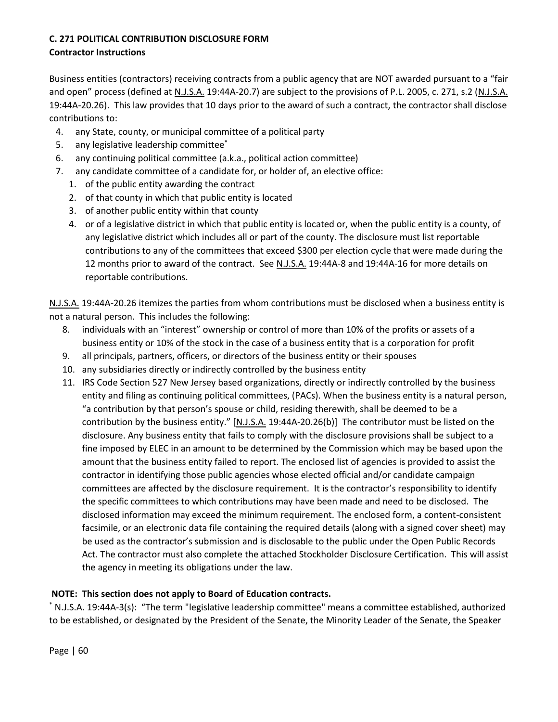# **C. 271 POLITICAL CONTRIBUTION DISCLOSURE FORM**

# **Contractor Instructions**

Business entities (contractors) receiving contracts from a public agency that are NOT awarded pursuant to a "fair and open" process (defined at N.J.S.A. 19:44A-20.7) are subject to the provisions of P.L. 2005, c. 271, s.2 (N.J.S.A. 19:44A-20.26). This law provides that 10 days prior to the award of such a contract, the contractor shall disclose contributions to:

- 4. any State, county, or municipal committee of a political party
- 5. any legislative leadership committee**\***
- 6. any continuing political committee (a.k.a., political action committee)
- 7. any candidate committee of a candidate for, or holder of, an elective office:
	- 1. of the public entity awarding the contract
	- 2. of that county in which that public entity is located
	- 3. of another public entity within that county
	- 4. or of a legislative district in which that public entity is located or, when the public entity is a county, of any legislative district which includes all or part of the county. The disclosure must list reportable contributions to any of the committees that exceed \$300 per election cycle that were made during the 12 months prior to award of the contract. See N.J.S.A. 19:44A-8 and 19:44A-16 for more details on reportable contributions.

N.J.S.A. 19:44A-20.26 itemizes the parties from whom contributions must be disclosed when a business entity is not a natural person. This includes the following:

- 8. individuals with an "interest" ownership or control of more than 10% of the profits or assets of a business entity or 10% of the stock in the case of a business entity that is a corporation for profit
- 9. all principals, partners, officers, or directors of the business entity or their spouses
- 10. any subsidiaries directly or indirectly controlled by the business entity
- 11. IRS Code Section 527 New Jersey based organizations, directly or indirectly controlled by the business entity and filing as continuing political committees, (PACs). When the business entity is a natural person, "a contribution by that person's spouse or child, residing therewith, shall be deemed to be a contribution by the business entity." [N.J.S.A. 19:44A-20.26(b)] The contributor must be listed on the disclosure. Any business entity that fails to comply with the disclosure provisions shall be subject to a fine imposed by ELEC in an amount to be determined by the Commission which may be based upon the amount that the business entity failed to report. The enclosed list of agencies is provided to assist the contractor in identifying those public agencies whose elected official and/or candidate campaign committees are affected by the disclosure requirement. It is the contractor's responsibility to identify the specific committees to which contributions may have been made and need to be disclosed. The disclosed information may exceed the minimum requirement. The enclosed form, a content-consistent facsimile, or an electronic data file containing the required details (along with a signed cover sheet) may be used as the contractor's submission and is disclosable to the public under the Open Public Records Act. The contractor must also complete the attached Stockholder Disclosure Certification. This will assist the agency in meeting its obligations under the law.

# **NOTE: This section does not apply to Board of Education contracts.**

\* N.J.S.A. 19:44A-3(s): "The term "legislative leadership committee" means a committee established, authorized to be established, or designated by the President of the Senate, the Minority Leader of the Senate, the Speaker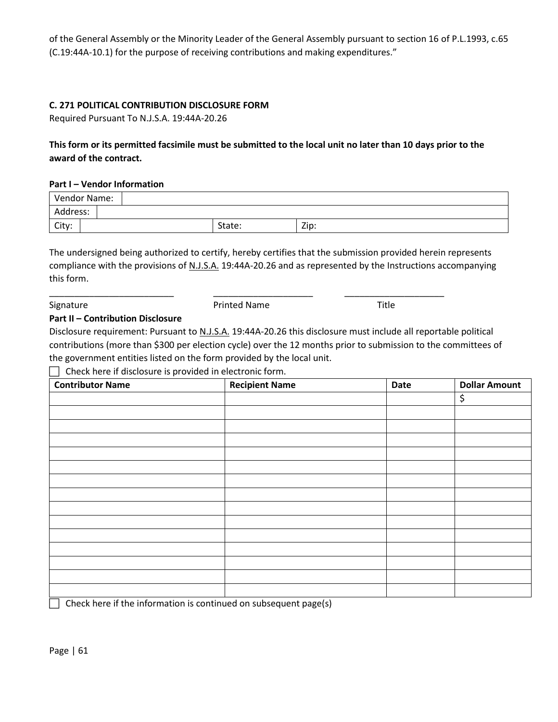of the General Assembly or the Minority Leader of the General Assembly pursuant to section 16 of P.L.1993, c.65 (C.19:44A-10.1) for the purpose of receiving contributions and making expenditures."

## **C. 271 POLITICAL CONTRIBUTION DISCLOSURE FORM**

Required Pursuant To N.J.S.A. 19:44A-20.26

# **This form or its permitted facsimile must be submitted to the local unit no later than 10 days prior to the award of the contract.**

#### **Part I – Vendor Information**

| Vendor Name: |  |        |      |
|--------------|--|--------|------|
| Address:     |  |        |      |
| City:        |  | State: | Zip: |

The undersigned being authorized to certify, hereby certifies that the submission provided herein represents compliance with the provisions of N.J.S.A. 19:44A-20.26 and as represented by the Instructions accompanying this form.

\_\_\_\_\_\_\_\_\_\_\_\_\_\_\_\_\_\_\_\_\_\_\_\_\_ \_\_\_\_\_\_\_\_\_\_\_\_\_\_\_\_\_\_\_\_ \_\_\_\_\_\_\_\_\_\_\_\_\_\_\_\_\_\_\_\_ Signature **Title 19 and 19 and 19 and 19 and 19 and 19 and 19 and 19 and 19 and 19 and 19 and 19 and 19 and 19 and 19 and 19 and 19 and 19 and 19 and 19 and 19 and 19 and 19 and 19 and 19 and 19 and 19 and 19 and 19 and 19** 

## **Part II – Contribution Disclosure**

Disclosure requirement: Pursuant to N.J.S.A. 19:44A-20.26 this disclosure must include all reportable political contributions (more than \$300 per election cycle) over the 12 months prior to submission to the committees of the government entities listed on the form provided by the local unit.

 $\Box$  Check here if disclosure is provided in electronic form.

| <b>Contributor Name</b> | <b>Recipient Name</b> | Date | <b>Dollar Amount</b> |
|-------------------------|-----------------------|------|----------------------|
|                         |                       |      | \$                   |
|                         |                       |      |                      |
|                         |                       |      |                      |
|                         |                       |      |                      |
|                         |                       |      |                      |
|                         |                       |      |                      |
|                         |                       |      |                      |
|                         |                       |      |                      |
|                         |                       |      |                      |
|                         |                       |      |                      |
|                         |                       |      |                      |
|                         |                       |      |                      |
|                         |                       |      |                      |
|                         |                       |      |                      |
|                         |                       |      |                      |

 $\Box$  Check here if the information is continued on subsequent page(s)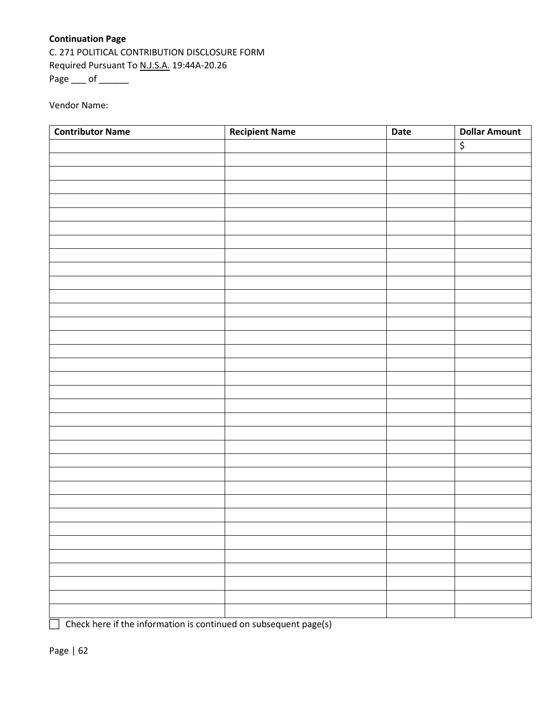# **Continuation Page**

C. 271 POLITICAL CONTRIBUTION DISCLOSURE FORM Required Pursuant To N.J.S.A. 19:44A-20.26 Page \_\_\_ of \_\_\_\_\_\_

Vendor Name:

| <b>Contributor Name</b> | <b>Recipient Name</b> | Date | <b>Dollar Amount</b> |
|-------------------------|-----------------------|------|----------------------|
|                         |                       |      | \$                   |
|                         |                       |      |                      |
|                         |                       |      |                      |
|                         |                       |      |                      |
|                         |                       |      |                      |
|                         |                       |      |                      |
|                         |                       |      |                      |
|                         |                       |      |                      |
|                         |                       |      |                      |
|                         |                       |      |                      |
|                         |                       |      |                      |
|                         |                       |      |                      |
|                         |                       |      |                      |
|                         |                       |      |                      |
|                         |                       |      |                      |
|                         |                       |      |                      |
|                         |                       |      |                      |
|                         |                       |      |                      |
|                         |                       |      |                      |
|                         |                       |      |                      |
|                         |                       |      |                      |
|                         |                       |      |                      |
|                         |                       |      |                      |
|                         |                       |      |                      |
|                         |                       |      |                      |
|                         |                       |      |                      |
|                         |                       |      |                      |
|                         |                       |      |                      |
|                         |                       |      |                      |
|                         |                       |      |                      |
|                         |                       |      |                      |
|                         |                       |      |                      |
|                         |                       |      |                      |
|                         |                       |      |                      |
|                         |                       |      |                      |

 $\Box$  Check here if the information is continued on subsequent page(s)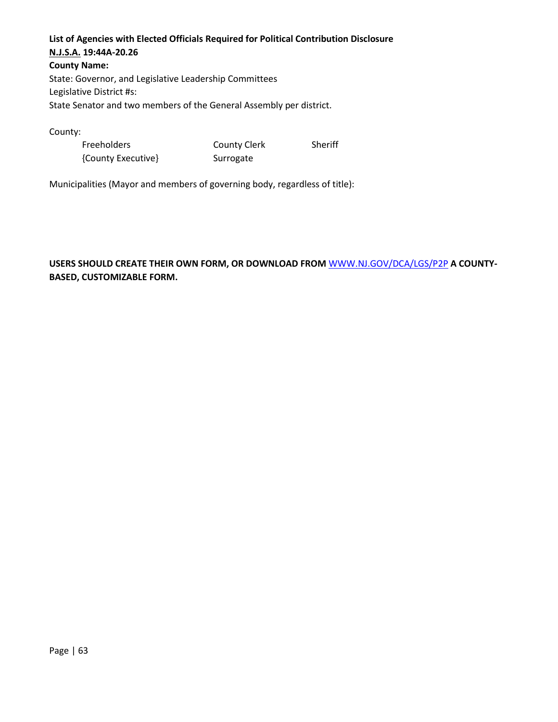# **List of Agencies with Elected Officials Required for Political Contribution Disclosure N.J.S.A. 19:44A-20.26**

**County Name:**  State: Governor, and Legislative Leadership Committees Legislative District #s: State Senator and two members of the General Assembly per district.

County:

| Freeholders        | <b>County Clerk</b> | Sheriff |
|--------------------|---------------------|---------|
| {County Executive} | Surrogate           |         |

Municipalities (Mayor and members of governing body, regardless of title):

# **USERS SHOULD CREATE THEIR OWN FORM, OR DOWNLOAD FROM** [WWW.NJ.GOV/DCA/LGS/P2P](http://www.nj.gov/DCA/LGS/P2P) **A COUNTY-BASED, CUSTOMIZABLE FORM.**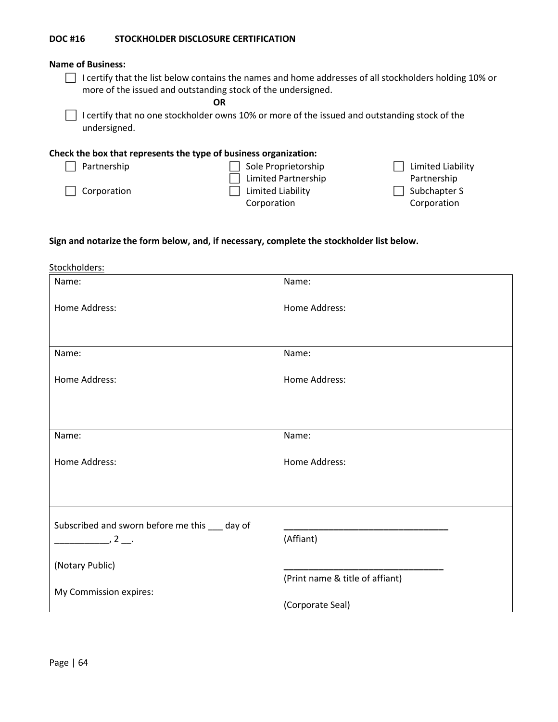#### **DOC #16 STOCKHOLDER DISCLOSURE CERTIFICATION**

#### **Name of Business:**

□ I certify that the list below contains the names and home addresses of all stockholders holding 10% or more of the issued and outstanding stock of the undersigned.

**OR**

 $\Box$  I certify that no one stockholder owns 10% or more of the issued and outstanding stock of the undersigned.

#### **Check the box that represents the type of business organization:**

| Partnership        | Sole Proprietorship        | $\Box$ Limited Liability |
|--------------------|----------------------------|--------------------------|
|                    | $\Box$ Limited Partnership | Partnership              |
| $\Box$ Corporation | $\Box$ Limited Liability   | $\Box$ Subchapter S      |
|                    | Corporation                | Corporation              |
|                    |                            |                          |

#### **Sign and notarize the form below, and, if necessary, complete the stockholder list below.**

| Stockholders:                                  |                                 |
|------------------------------------------------|---------------------------------|
| Name:                                          | Name:                           |
| Home Address:                                  | Home Address:                   |
| Name:                                          | Name:                           |
| Home Address:                                  | Home Address:                   |
|                                                |                                 |
| Name:                                          | Name:                           |
| Home Address:                                  | Home Address:                   |
|                                                |                                 |
| Subscribed and sworn before me this ___ day of |                                 |
| $\frac{1}{2}$                                  | (Affiant)                       |
| (Notary Public)                                |                                 |
|                                                | (Print name & title of affiant) |
| My Commission expires:                         | (Corporate Seal)                |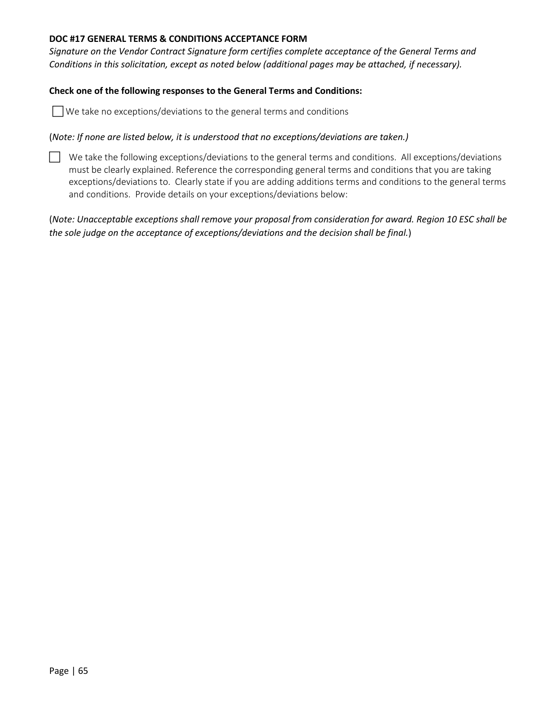## **DOC #17 GENERAL TERMS & CONDITIONS ACCEPTANCE FORM**

*Signature on the Vendor Contract Signature form certifies complete acceptance of the General Terms and Conditions in this solicitation, except as noted below (additional pages may be attached, if necessary).* 

#### **Check one of the following responses to the General Terms and Conditions:**

We take no exceptions/deviations to the general terms and conditions

#### (*Note: If none are listed below, it is understood that no exceptions/deviations are taken.)*

 $\Box$  We take the following exceptions/deviations to the general terms and conditions. All exceptions/deviations must be clearly explained. Reference the corresponding general terms and conditions that you are taking exceptions/deviations to. Clearly state if you are adding additions terms and conditions to the general terms and conditions. Provide details on your exceptions/deviations below:

(*Note: Unacceptable exceptions shall remove your proposal from consideration for award. Region 10 ESC shall be the sole judge on the acceptance of exceptions/deviations and the decision shall be final.*)